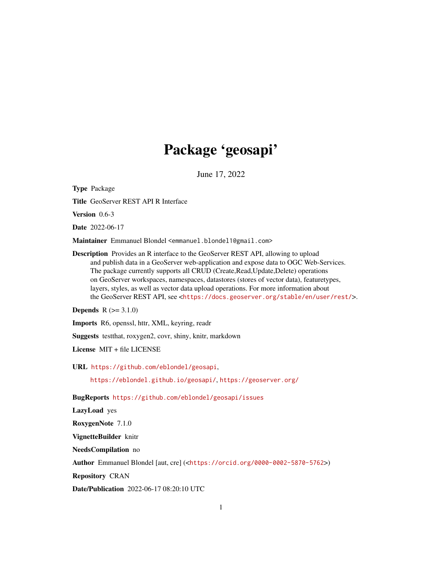# Package 'geosapi'

June 17, 2022

<span id="page-0-0"></span>Type Package Title GeoServer REST API R Interface Version 0.6-3 Date 2022-06-17 Maintainer Emmanuel Blondel <emmanuel.blondel1@gmail.com> Description Provides an R interface to the GeoServer REST API, allowing to upload and publish data in a GeoServer web-application and expose data to OGC Web-Services. The package currently supports all CRUD (Create,Read,Update,Delete) operations on GeoServer workspaces, namespaces, datastores (stores of vector data), featuretypes, layers, styles, as well as vector data upload operations. For more information about the GeoServer REST API, see <<https://docs.geoserver.org/stable/en/user/rest/>>. **Depends**  $R (= 3.1.0)$ Imports R6, openssl, httr, XML, keyring, readr

Suggests testthat, roxygen2, covr, shiny, knitr, markdown

License MIT + file LICENSE

URL <https://github.com/eblondel/geosapi>,

<https://eblondel.github.io/geosapi/>, <https://geoserver.org/>

BugReports <https://github.com/eblondel/geosapi/issues>

LazyLoad yes

RoxygenNote 7.1.0

VignetteBuilder knitr

NeedsCompilation no

Author Emmanuel Blondel [aut, cre] (<<https://orcid.org/0000-0002-5870-5762>>)

Repository CRAN

Date/Publication 2022-06-17 08:20:10 UTC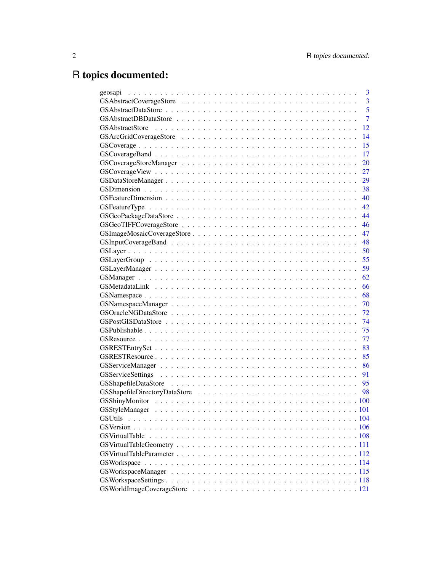# R topics documented:

| 3              |
|----------------|
| $\overline{3}$ |
| $\overline{5}$ |
| $\overline{7}$ |
| 12             |
| 14             |
| 15             |
| 17             |
| 20             |
| 27             |
| 29             |
| 38             |
| 40             |
| 42             |
| 44             |
| 46             |
| 47             |
| 48             |
| 50             |
| 55             |
| 59             |
| 62             |
| 66             |
| 68             |
| 70             |
| 72             |
| 74             |
| 75             |
| 77             |
| 83             |
| 85             |
|                |
| 91             |
|                |
|                |
|                |
|                |
| <b>GSUtils</b> |
|                |
|                |
|                |
|                |
|                |
|                |
|                |
|                |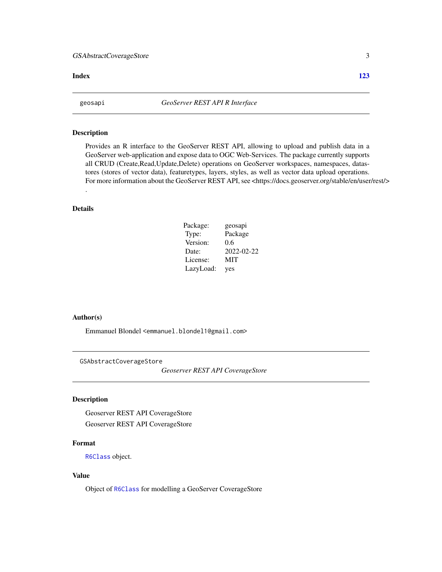# <span id="page-2-0"></span>GSAbstractCoverageStore 3

#### **Index** 2003 **[123](#page-122-0)**

#### Description

Provides an R interface to the GeoServer REST API, allowing to upload and publish data in a GeoServer web-application and expose data to OGC Web-Services. The package currently supports all CRUD (Create,Read,Update,Delete) operations on GeoServer workspaces, namespaces, datastores (stores of vector data), featuretypes, layers, styles, as well as vector data upload operations. For more information about the GeoServer REST API, see <https://docs.geoserver.org/stable/en/user/rest/>

# Details

.

| Package:  | geosapi    |
|-----------|------------|
| Type:     | Package    |
| Version:  | 0.6        |
| Date:     | 2022-02-22 |
| License:  | MIT        |
| LazyLoad: | yes        |

#### Author(s)

Emmanuel Blondel <emmanuel.blondel1@gmail.com>

<span id="page-2-1"></span>GSAbstractCoverageStore

*Geoserver REST API CoverageStore*

#### Description

Geoserver REST API CoverageStore Geoserver REST API CoverageStore

# Format

[R6Class](#page-0-0) object.

# Value

Object of [R6Class](#page-0-0) for modelling a GeoServer CoverageStore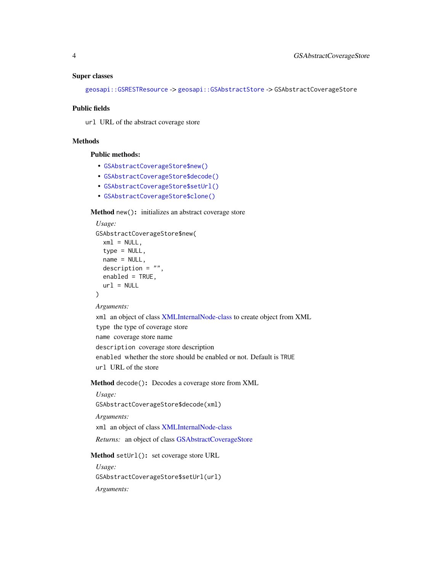#### Super classes

[geosapi::GSRESTResource](#page-0-0) -> [geosapi::GSAbstractStore](#page-0-0) -> GSAbstractCoverageStore

#### Public fields

url URL of the abstract coverage store

# Methods

# Public methods:

- [GSAbstractCoverageStore\\$new\(\)](#page-3-0)
- [GSAbstractCoverageStore\\$decode\(\)](#page-3-1)
- [GSAbstractCoverageStore\\$setUrl\(\)](#page-3-2)
- [GSAbstractCoverageStore\\$clone\(\)](#page-4-1)

#### <span id="page-3-0"></span>Method new(): initializes an abstract coverage store

```
Usage:
GSAbstractCoverageStore$new(
 xml = NULL,type = NULL,
 name = NULL,description = ",
 enabled = TRUE,
 url = NULL)
```
#### *Arguments:*

xml an object of class [XMLInternalNode-class](#page-0-0) to create object from XML type the type of coverage store name coverage store name description coverage store description enabled whether the store should be enabled or not. Default is TRUE url URL of the store

<span id="page-3-1"></span>Method decode(): Decodes a coverage store from XML

```
Usage:
 GSAbstractCoverageStore$decode(xml)
 Arguments:
 xml an object of class XMLInternalNode-class
 Returns: an object of class GSAbstractCoverageStore
Method setUrl(): set coverage store URL
```
<span id="page-3-2"></span>*Usage:*

GSAbstractCoverageStore\$setUrl(url)

*Arguments:*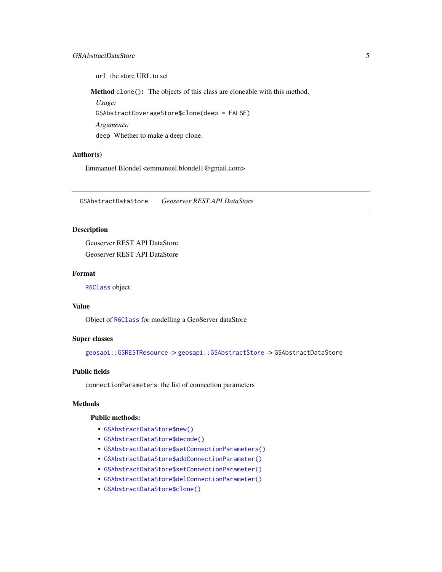# <span id="page-4-0"></span>GSAbstractDataStore 5

url the store URL to set

<span id="page-4-1"></span>Method clone(): The objects of this class are cloneable with this method.

*Usage:*

GSAbstractCoverageStore\$clone(deep = FALSE)

*Arguments:*

deep Whether to make a deep clone.

# Author(s)

Emmanuel Blondel <emmanuel.blondel1@gmail.com>

<span id="page-4-2"></span>GSAbstractDataStore *Geoserver REST API DataStore*

# Description

Geoserver REST API DataStore Geoserver REST API DataStore

# Format

[R6Class](#page-0-0) object.

# Value

Object of [R6Class](#page-0-0) for modelling a GeoServer dataStore

#### Super classes

[geosapi::GSRESTResource](#page-0-0) -> [geosapi::GSAbstractStore](#page-0-0) -> GSAbstractDataStore

#### Public fields

connectionParameters the list of connection parameters

#### **Methods**

# Public methods:

- [GSAbstractDataStore\\$new\(\)](#page-3-0)
- [GSAbstractDataStore\\$decode\(\)](#page-3-1)
- [GSAbstractDataStore\\$setConnectionParameters\(\)](#page-5-0)
- [GSAbstractDataStore\\$addConnectionParameter\(\)](#page-5-1)
- [GSAbstractDataStore\\$setConnectionParameter\(\)](#page-5-2)
- [GSAbstractDataStore\\$delConnectionParameter\(\)](#page-6-1)
- [GSAbstractDataStore\\$clone\(\)](#page-4-1)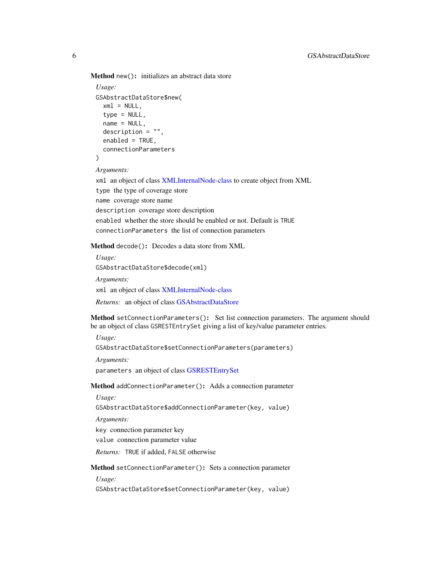Method new(): initializes an abstract data store

```
Usage:
GSAbstractDataStore$new(
 xml = NULL,type = NULL,
 name = NULL,description = ",
 enabled = TRUE,connectionParameters
)
```
*Arguments:*

xml an object of class [XMLInternalNode-class](#page-0-0) to create object from XML type the type of coverage store name coverage store name description coverage store description enabled whether the store should be enabled or not. Default is TRUE connectionParameters the list of connection parameters

Method decode(): Decodes a data store from XML

*Usage:*

GSAbstractDataStore\$decode(xml)

*Arguments:*

xml an object of class [XMLInternalNode-class](#page-0-0)

*Returns:* an object of class [GSAbstractDataStore](#page-4-2)

<span id="page-5-0"></span>Method setConnectionParameters(): Set list connection parameters. The argument should be an object of class GSRESTEntrySet giving a list of key/value parameter entries.

*Usage:*

GSAbstractDataStore\$setConnectionParameters(parameters)

*Arguments:*

parameters an object of class [GSRESTEntrySet](#page-82-1)

<span id="page-5-1"></span>Method addConnectionParameter(): Adds a connection parameter

*Usage:*

GSAbstractDataStore\$addConnectionParameter(key, value)

*Arguments:*

key connection parameter key

value connection parameter value

*Returns:* TRUE if added, FALSE otherwise

<span id="page-5-2"></span>Method setConnectionParameter(): Sets a connection parameter

*Usage:*

GSAbstractDataStore\$setConnectionParameter(key, value)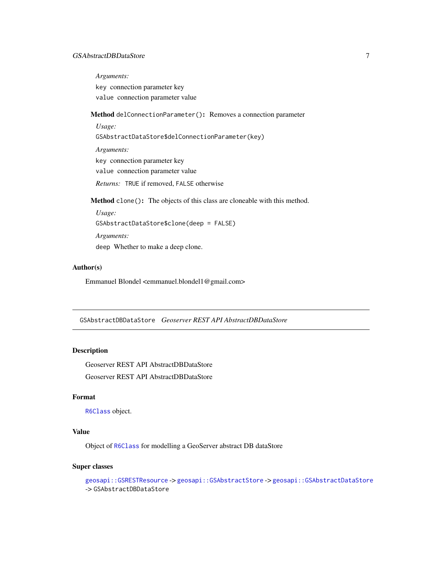# <span id="page-6-0"></span>GSAbstractDBDataStore 7

*Arguments:*

key connection parameter key value connection parameter value

<span id="page-6-1"></span>Method delConnectionParameter(): Removes a connection parameter

*Usage:* GSAbstractDataStore\$delConnectionParameter(key) *Arguments:* key connection parameter key value connection parameter value *Returns:* TRUE if removed, FALSE otherwise

Method clone(): The objects of this class are cloneable with this method.

```
Usage:
GSAbstractDataStore$clone(deep = FALSE)
Arguments:
deep Whether to make a deep clone.
```
# Author(s)

Emmanuel Blondel <emmanuel.blondel1@gmail.com>

GSAbstractDBDataStore *Geoserver REST API AbstractDBDataStore*

## Description

Geoserver REST API AbstractDBDataStore Geoserver REST API AbstractDBDataStore

# Format

[R6Class](#page-0-0) object.

# Value

Object of [R6Class](#page-0-0) for modelling a GeoServer abstract DB dataStore

### Super classes

```
geosapi::GSRESTResource -> geosapi::GSAbstractStore -> geosapi::GSAbstractDataStore
-> GSAbstractDBDataStore
```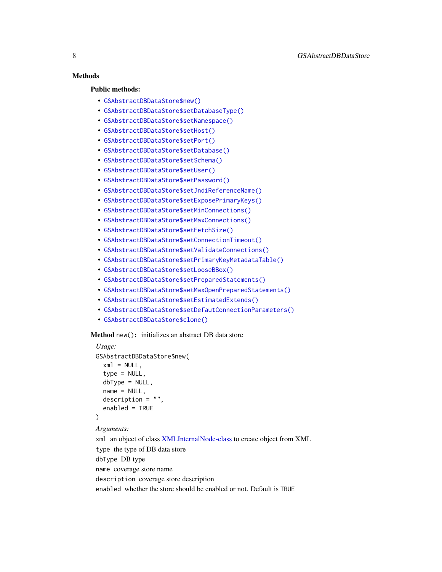# **Methods**

#### Public methods:

- [GSAbstractDBDataStore\\$new\(\)](#page-3-0)
- [GSAbstractDBDataStore\\$setDatabaseType\(\)](#page-7-0)
- [GSAbstractDBDataStore\\$setNamespace\(\)](#page-8-0)
- [GSAbstractDBDataStore\\$setHost\(\)](#page-8-1)
- [GSAbstractDBDataStore\\$setPort\(\)](#page-8-2)
- [GSAbstractDBDataStore\\$setDatabase\(\)](#page-8-3)
- [GSAbstractDBDataStore\\$setSchema\(\)](#page-8-4)
- [GSAbstractDBDataStore\\$setUser\(\)](#page-8-5)
- [GSAbstractDBDataStore\\$setPassword\(\)](#page-8-6)
- [GSAbstractDBDataStore\\$setJndiReferenceName\(\)](#page-9-0)
- [GSAbstractDBDataStore\\$setExposePrimaryKeys\(\)](#page-9-1)
- [GSAbstractDBDataStore\\$setMinConnections\(\)](#page-9-2)
- [GSAbstractDBDataStore\\$setMaxConnections\(\)](#page-9-3)
- [GSAbstractDBDataStore\\$setFetchSize\(\)](#page-9-4)
- [GSAbstractDBDataStore\\$setConnectionTimeout\(\)](#page-9-5)
- [GSAbstractDBDataStore\\$setValidateConnections\(\)](#page-9-6)
- [GSAbstractDBDataStore\\$setPrimaryKeyMetadataTable\(\)](#page-10-0)
- [GSAbstractDBDataStore\\$setLooseBBox\(\)](#page-10-1)
- [GSAbstractDBDataStore\\$setPreparedStatements\(\)](#page-10-2)
- [GSAbstractDBDataStore\\$setMaxOpenPreparedStatements\(\)](#page-10-3)
- [GSAbstractDBDataStore\\$setEstimatedExtends\(\)](#page-10-4)
- [GSAbstractDBDataStore\\$setDefautConnectionParameters\(\)](#page-10-5)
- [GSAbstractDBDataStore\\$clone\(\)](#page-4-1)

#### Method new(): initializes an abstract DB data store

```
Usage:
GSAbstractDBDataStore$new(
  xml = NULL,type = NULL,
  dbType = NULL,name = NULL,description = ",
  enabled = TRUE)
Arguments:
```
<span id="page-7-0"></span>xml an object of class [XMLInternalNode-class](#page-0-0) to create object from XML type the type of DB data store dbType DB type name coverage store name description coverage store description enabled whether the store should be enabled or not. Default is TRUE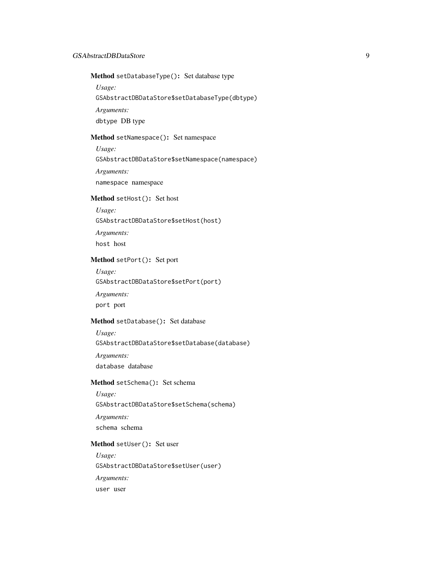Method setDatabaseType(): Set database type

*Usage:*

GSAbstractDBDataStore\$setDatabaseType(dbtype)

*Arguments:*

dbtype DB type

#### <span id="page-8-0"></span>Method setNamespace(): Set namespace

*Usage:*

GSAbstractDBDataStore\$setNamespace(namespace)

*Arguments:*

namespace namespace

# <span id="page-8-1"></span>Method setHost(): Set host

*Usage:*

GSAbstractDBDataStore\$setHost(host)

*Arguments:*

host host

# <span id="page-8-2"></span>Method setPort(): Set port

*Usage:*

GSAbstractDBDataStore\$setPort(port)

*Arguments:*

port port

# <span id="page-8-3"></span>Method setDatabase(): Set database

*Usage:* GSAbstractDBDataStore\$setDatabase(database) *Arguments:* database database

#### <span id="page-8-4"></span>Method setSchema(): Set schema

*Usage:* GSAbstractDBDataStore\$setSchema(schema) *Arguments:* schema schema

#### <span id="page-8-5"></span>Method setUser(): Set user

<span id="page-8-6"></span>*Usage:* GSAbstractDBDataStore\$setUser(user) *Arguments:* user user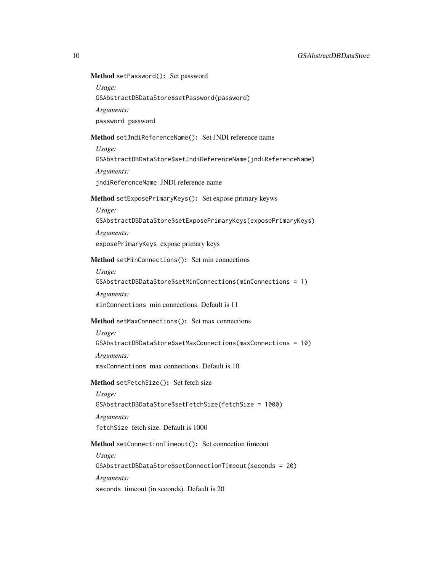# Method setPassword(): Set password

*Usage:*

GSAbstractDBDataStore\$setPassword(password)

*Arguments:*

password password

# <span id="page-9-0"></span>Method setJndiReferenceName(): Set JNDI reference name

*Usage:*

GSAbstractDBDataStore\$setJndiReferenceName(jndiReferenceName)

*Arguments:*

jndiReferenceName JNDI reference name

# <span id="page-9-1"></span>Method setExposePrimaryKeys(): Set expose primary keyws

*Usage:*

GSAbstractDBDataStore\$setExposePrimaryKeys(exposePrimaryKeys)

*Arguments:*

exposePrimaryKeys expose primary keys

#### <span id="page-9-2"></span>Method setMinConnections(): Set min connections

*Usage:*

GSAbstractDBDataStore\$setMinConnections(minConnections = 1)

*Arguments:*

minConnections min connections. Default is 11

# <span id="page-9-3"></span>Method setMaxConnections(): Set max connections

*Usage:* GSAbstractDBDataStore\$setMaxConnections(maxConnections = 10) *Arguments:* maxConnections max connections. Default is 10

#### <span id="page-9-4"></span>Method setFetchSize(): Set fetch size

*Usage:* GSAbstractDBDataStore\$setFetchSize(fetchSize = 1000) *Arguments:* fetchSize fetch size. Default is 1000

<span id="page-9-5"></span>Method setConnectionTimeout(): Set connection timeout

*Usage:*

GSAbstractDBDataStore\$setConnectionTimeout(seconds = 20) *Arguments:*

<span id="page-9-6"></span>seconds timeout (in seconds). Default is 20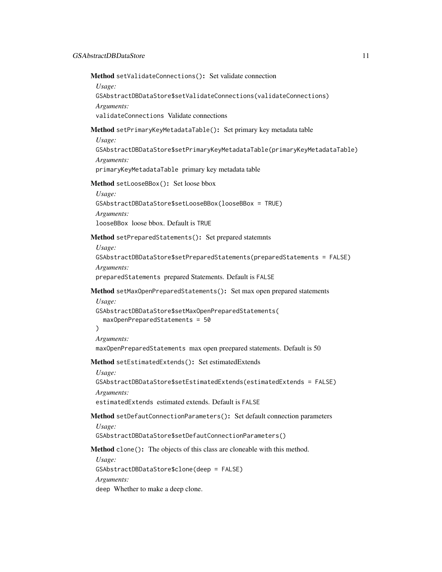Method setValidateConnections(): Set validate connection

*Usage:*

```
GSAbstractDBDataStore$setValidateConnections(validateConnections)
Arguments:
```
validateConnections Validate connections

# <span id="page-10-0"></span>Method setPrimaryKeyMetadataTable(): Set primary key metadata table

*Usage:*

GSAbstractDBDataStore\$setPrimaryKeyMetadataTable(primaryKeyMetadataTable) *Arguments:*

primaryKeyMetadataTable primary key metadata table

# <span id="page-10-1"></span>Method setLooseBBox(): Set loose bbox

```
Usage:
GSAbstractDBDataStore$setLooseBBox(looseBBox = TRUE)
Arguments:
looseBBox loose bbox. Default is TRUE
```
<span id="page-10-2"></span>Method setPreparedStatements(): Set prepared statemnts

*Usage:*

GSAbstractDBDataStore\$setPreparedStatements(preparedStatements = FALSE) *Arguments:*

preparedStatements prepared Statements. Default is FALSE

<span id="page-10-3"></span>Method setMaxOpenPreparedStatements(): Set max open prepared statements

```
Usage:
GSAbstractDBDataStore$setMaxOpenPreparedStatements(
  maxOpenPreparedStatements = 50
)
```

```
Arguments:
```
maxOpenPreparedStatements max open preepared statements. Default is 50

<span id="page-10-4"></span>Method setEstimatedExtends(): Set estimatedExtends

*Usage:*

GSAbstractDBDataStore\$setEstimatedExtends(estimatedExtends = FALSE)

*Arguments:*

estimatedExtends estimated extends. Default is FALSE

<span id="page-10-5"></span>Method setDefautConnectionParameters(): Set default connection parameters *Usage:*

GSAbstractDBDataStore\$setDefautConnectionParameters()

Method clone(): The objects of this class are cloneable with this method.

*Usage:* GSAbstractDBDataStore\$clone(deep = FALSE) *Arguments:* deep Whether to make a deep clone.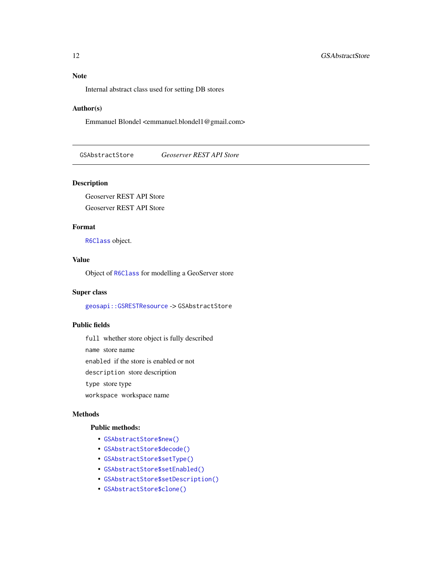# <span id="page-11-0"></span>Note

Internal abstract class used for setting DB stores

#### Author(s)

Emmanuel Blondel <emmanuel.blondel1@gmail.com>

GSAbstractStore *Geoserver REST API Store*

# Description

Geoserver REST API Store Geoserver REST API Store

# Format

[R6Class](#page-0-0) object.

# Value

Object of [R6Class](#page-0-0) for modelling a GeoServer store

#### Super class

[geosapi::GSRESTResource](#page-0-0) -> GSAbstractStore

# Public fields

full whether store object is fully described

name store name

enabled if the store is enabled or not

description store description

type store type

workspace workspace name

# Methods

# Public methods:

- [GSAbstractStore\\$new\(\)](#page-3-0)
- [GSAbstractStore\\$decode\(\)](#page-3-1)
- [GSAbstractStore\\$setType\(\)](#page-12-0)
- [GSAbstractStore\\$setEnabled\(\)](#page-12-1)
- [GSAbstractStore\\$setDescription\(\)](#page-12-2)
- [GSAbstractStore\\$clone\(\)](#page-4-1)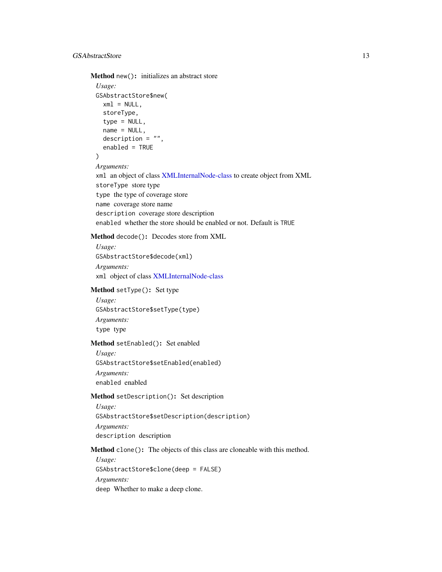Method new(): initializes an abstract store

```
Usage:
GSAbstractStore$new(
  xml = NULL,storeType,
  type = NULL,
  name = NULL,description = ",
  enabled = TRUE
)
Arguments:
xml an object of class XMLInternalNode-class to create object from XML
storeType store type
type the type of coverage store
name coverage store name
description coverage store description
enabled whether the store should be enabled or not. Default is TRUE
```
Method decode(): Decodes store from XML

*Usage:*

GSAbstractStore\$decode(xml) *Arguments:* xml object of class [XMLInternalNode-class](#page-0-0)

<span id="page-12-0"></span>Method setType(): Set type

*Usage:* GSAbstractStore\$setType(type) *Arguments:* type type

#### <span id="page-12-1"></span>Method setEnabled(): Set enabled

*Usage:* GSAbstractStore\$setEnabled(enabled) *Arguments:* enabled enabled

# <span id="page-12-2"></span>Method setDescription(): Set description

*Usage:* GSAbstractStore\$setDescription(description) *Arguments:* description description

Method clone(): The objects of this class are cloneable with this method.

*Usage:* GSAbstractStore\$clone(deep = FALSE) *Arguments:* deep Whether to make a deep clone.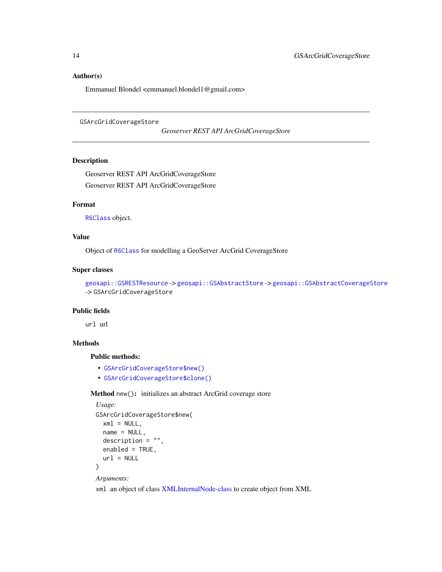#### <span id="page-13-0"></span>Author(s)

Emmanuel Blondel <emmanuel.blondel1@gmail.com>

```
GSArcGridCoverageStore
```
*Geoserver REST API ArcGridCoverageStore*

# Description

Geoserver REST API ArcGridCoverageStore Geoserver REST API ArcGridCoverageStore

#### Format

[R6Class](#page-0-0) object.

# Value

Object of [R6Class](#page-0-0) for modelling a GeoServer ArcGrid CoverageStore

### Super classes

[geosapi::GSRESTResource](#page-0-0) -> [geosapi::GSAbstractStore](#page-0-0) -> [geosapi::GSAbstractCoverageStore](#page-0-0) -> GSArcGridCoverageStore

#### Public fields

url url

#### Methods

#### Public methods:

- [GSArcGridCoverageStore\\$new\(\)](#page-3-0)
- [GSArcGridCoverageStore\\$clone\(\)](#page-4-1)

# Method new(): initializes an abstract ArcGrid coverage store

```
Usage:
GSArcGridCoverageStore$new(
  xml = NULL,name = NULL,description = ",
  enabled = TRUE,
  url = NULL)
Arguments:
```
xml an object of class [XMLInternalNode-class](#page-0-0) to create object from XML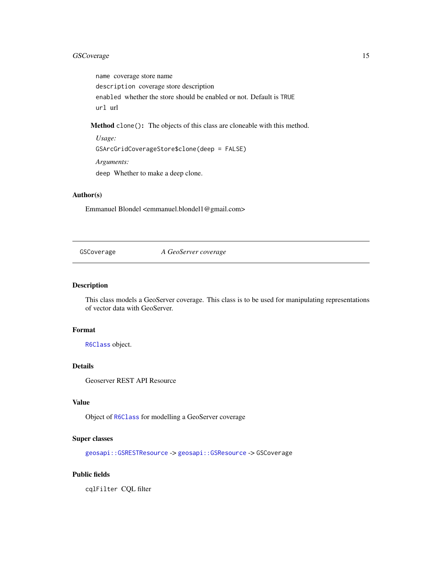# <span id="page-14-0"></span>GSCoverage 15

name coverage store name description coverage store description enabled whether the store should be enabled or not. Default is TRUE url url

Method clone(): The objects of this class are cloneable with this method.

*Usage:* GSArcGridCoverageStore\$clone(deep = FALSE) *Arguments:* deep Whether to make a deep clone.

# Author(s)

Emmanuel Blondel <emmanuel.blondel1@gmail.com>

<span id="page-14-1"></span>GSCoverage *A GeoServer coverage*

#### Description

This class models a GeoServer coverage. This class is to be used for manipulating representations of vector data with GeoServer.

# Format

[R6Class](#page-0-0) object.

# Details

Geoserver REST API Resource

# Value

Object of [R6Class](#page-0-0) for modelling a GeoServer coverage

#### Super classes

[geosapi::GSRESTResource](#page-0-0) -> [geosapi::GSResource](#page-0-0) -> GSCoverage

### Public fields

cqlFilter CQL filter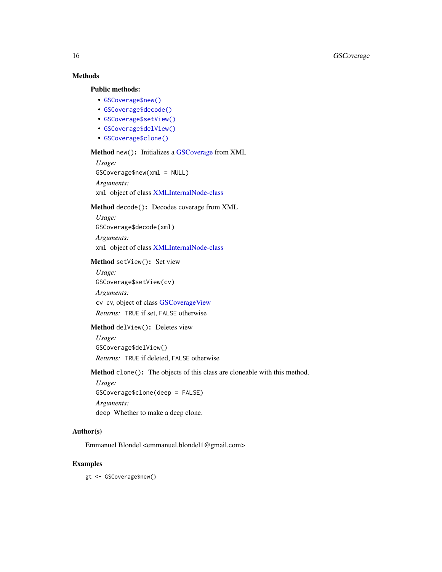# Methods

# Public methods:

- [GSCoverage\\$new\(\)](#page-3-0)
- [GSCoverage\\$decode\(\)](#page-3-1)
- [GSCoverage\\$setView\(\)](#page-15-0)
- [GSCoverage\\$delView\(\)](#page-15-1)
- [GSCoverage\\$clone\(\)](#page-4-1)

#### Method new(): Initializes a [GSCoverage](#page-14-1) from XML

```
Usage:
GSCoverage$new(xml = NULL)
Arguments:
xml object of class XMLInternalNode-class
```
# Method decode(): Decodes coverage from XML

*Usage:* GSCoverage\$decode(xml) *Arguments:* xml object of class [XMLInternalNode-class](#page-0-0)

# <span id="page-15-0"></span>Method setView(): Set view

*Usage:* GSCoverage\$setView(cv) *Arguments:* cv cv, object of class [GSCoverageView](#page-26-1) *Returns:* TRUE if set, FALSE otherwise

#### <span id="page-15-1"></span>Method delView(): Deletes view

*Usage:* GSCoverage\$delView() *Returns:* TRUE if deleted, FALSE otherwise

Method clone(): The objects of this class are cloneable with this method.

*Usage:* GSCoverage\$clone(deep = FALSE) *Arguments:* deep Whether to make a deep clone.

# Author(s)

Emmanuel Blondel <emmanuel.blondel1@gmail.com>

#### Examples

gt <- GSCoverage\$new()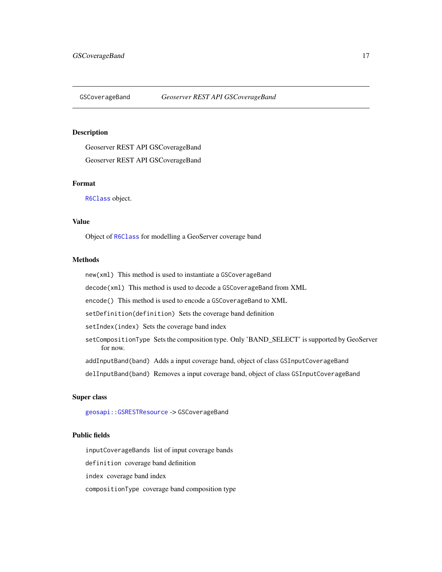<span id="page-16-1"></span><span id="page-16-0"></span>

# Description

Geoserver REST API GSCoverageBand Geoserver REST API GSCoverageBand

# Format

[R6Class](#page-0-0) object.

# Value

Object of [R6Class](#page-0-0) for modelling a GeoServer coverage band

#### **Methods**

new(xml) This method is used to instantiate a GSCoverageBand

decode(xml) This method is used to decode a GSCoverageBand from XML

encode() This method is used to encode a GSCoverageBand to XML

setDefinition(definition) Sets the coverage band definition

setIndex(index) Sets the coverage band index

setCompositionType Sets the composition type. Only 'BAND\_SELECT' is supported by GeoServer for now.

addInputBand(band) Adds a input coverage band, object of class GSInputCoverageBand

delInputBand(band) Removes a input coverage band, object of class GSInputCoverageBand

# Super class

[geosapi::GSRESTResource](#page-0-0) -> GSCoverageBand

# Public fields

inputCoverageBands list of input coverage bands

definition coverage band definition

index coverage band index

compositionType coverage band composition type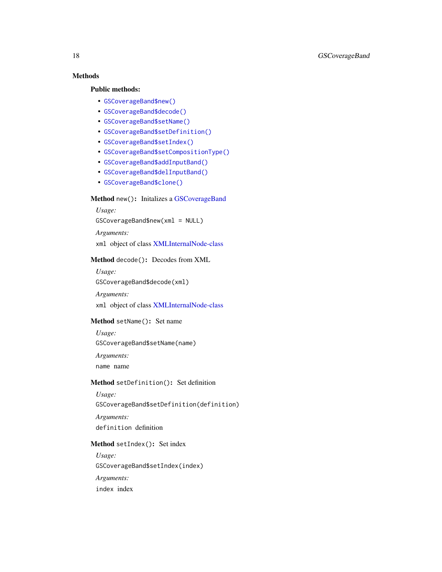# Methods

# Public methods:

- [GSCoverageBand\\$new\(\)](#page-3-0)
- [GSCoverageBand\\$decode\(\)](#page-3-1)
- [GSCoverageBand\\$setName\(\)](#page-17-0)
- [GSCoverageBand\\$setDefinition\(\)](#page-17-1)
- [GSCoverageBand\\$setIndex\(\)](#page-17-2)
- [GSCoverageBand\\$setCompositionType\(\)](#page-17-3)
- [GSCoverageBand\\$addInputBand\(\)](#page-18-0)
- [GSCoverageBand\\$delInputBand\(\)](#page-18-1)
- [GSCoverageBand\\$clone\(\)](#page-4-1)

# Method new(): Initalizes a [GSCoverageBand](#page-16-1)

*Usage:* GSCoverageBand\$new(xml = NULL) *Arguments:*

xml object of class [XMLInternalNode-class](#page-0-0)

# Method decode(): Decodes from XML

*Usage:*

GSCoverageBand\$decode(xml)

*Arguments:*

xml object of class [XMLInternalNode-class](#page-0-0)

# <span id="page-17-0"></span>Method setName(): Set name

*Usage:* GSCoverageBand\$setName(name) *Arguments:*

name name

#### <span id="page-17-1"></span>Method setDefinition(): Set definition

*Usage:* GSCoverageBand\$setDefinition(definition) *Arguments:* definition definition

# <span id="page-17-2"></span>Method setIndex(): Set index

<span id="page-17-3"></span>*Usage:* GSCoverageBand\$setIndex(index) *Arguments:* index index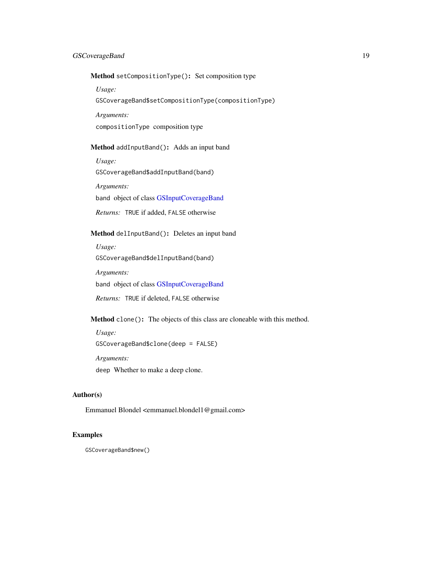# GSCoverageBand 19

Method setCompositionType(): Set composition type

*Usage:*

GSCoverageBand\$setCompositionType(compositionType)

*Arguments:*

compositionType composition type

# <span id="page-18-0"></span>Method addInputBand(): Adds an input band

*Usage:*

GSCoverageBand\$addInputBand(band)

*Arguments:*

band object of class [GSInputCoverageBand](#page-47-1)

*Returns:* TRUE if added, FALSE otherwise

# <span id="page-18-1"></span>Method delInputBand(): Deletes an input band

*Usage:*

GSCoverageBand\$delInputBand(band)

*Arguments:*

band object of class [GSInputCoverageBand](#page-47-1)

*Returns:* TRUE if deleted, FALSE otherwise

Method clone(): The objects of this class are cloneable with this method.

*Usage:* GSCoverageBand\$clone(deep = FALSE) *Arguments:* deep Whether to make a deep clone.

### Author(s)

Emmanuel Blondel <emmanuel.blondel1@gmail.com>

# Examples

GSCoverageBand\$new()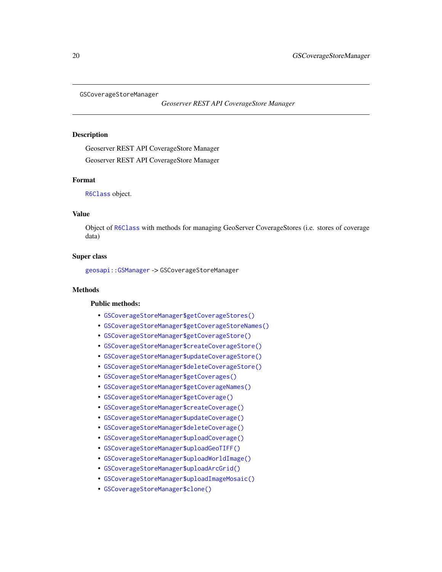<span id="page-19-0"></span>GSCoverageStoreManager

*Geoserver REST API CoverageStore Manager*

# **Description**

Geoserver REST API CoverageStore Manager Geoserver REST API CoverageStore Manager

#### Format

[R6Class](#page-0-0) object.

# Value

Object of [R6Class](#page-0-0) with methods for managing GeoServer CoverageStores (i.e. stores of coverage data)

### Super class

[geosapi::GSManager](#page-0-0) -> GSCoverageStoreManager

# **Methods**

#### Public methods:

- [GSCoverageStoreManager\\$getCoverageStores\(\)](#page-19-1)
- [GSCoverageStoreManager\\$getCoverageStoreNames\(\)](#page-20-0)
- [GSCoverageStoreManager\\$getCoverageStore\(\)](#page-20-1)
- [GSCoverageStoreManager\\$createCoverageStore\(\)](#page-20-2)
- [GSCoverageStoreManager\\$updateCoverageStore\(\)](#page-20-3)
- [GSCoverageStoreManager\\$deleteCoverageStore\(\)](#page-20-4)
- [GSCoverageStoreManager\\$getCoverages\(\)](#page-21-0)
- [GSCoverageStoreManager\\$getCoverageNames\(\)](#page-21-1)
- [GSCoverageStoreManager\\$getCoverage\(\)](#page-21-2)
- [GSCoverageStoreManager\\$createCoverage\(\)](#page-22-0)
- [GSCoverageStoreManager\\$updateCoverage\(\)](#page-22-1)
- [GSCoverageStoreManager\\$deleteCoverage\(\)](#page-22-2)
- [GSCoverageStoreManager\\$uploadCoverage\(\)](#page-22-3)
- [GSCoverageStoreManager\\$uploadGeoTIFF\(\)](#page-23-0)
- [GSCoverageStoreManager\\$uploadWorldImage\(\)](#page-23-1)
- [GSCoverageStoreManager\\$uploadArcGrid\(\)](#page-24-0)
- [GSCoverageStoreManager\\$uploadImageMosaic\(\)](#page-25-0)
- <span id="page-19-1"></span>• [GSCoverageStoreManager\\$clone\(\)](#page-4-1)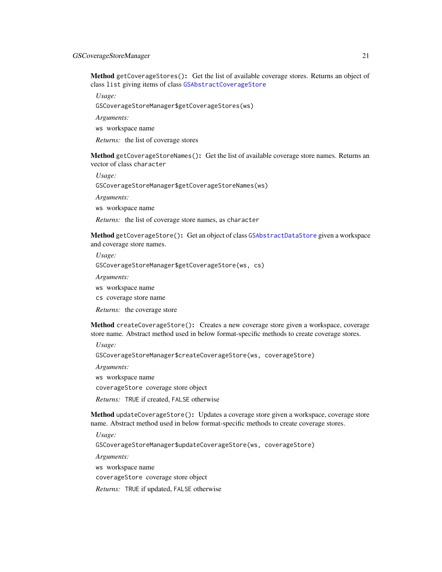# GSCoverageStoreManager 21

Method getCoverageStores(): Get the list of available coverage stores. Returns an object of class list giving items of class [GSAbstractCoverageStore](#page-2-1)

*Usage:*

GSCoverageStoreManager\$getCoverageStores(ws)

*Arguments:*

ws workspace name

*Returns:* the list of coverage stores

<span id="page-20-0"></span>Method getCoverageStoreNames(): Get the list of available coverage store names. Returns an vector of class character

*Usage:*

GSCoverageStoreManager\$getCoverageStoreNames(ws)

*Arguments:*

ws workspace name

*Returns:* the list of coverage store names, as character

<span id="page-20-1"></span>Method getCoverageStore(): Get an object of class [GSAbstractDataStore](#page-4-2) given a workspace and coverage store names.

*Usage:*

GSCoverageStoreManager\$getCoverageStore(ws, cs)

*Arguments:*

ws workspace name

cs coverage store name

*Returns:* the coverage store

<span id="page-20-2"></span>Method createCoverageStore(): Creates a new coverage store given a workspace, coverage store name. Abstract method used in below format-specific methods to create coverage stores.

*Usage:*

GSCoverageStoreManager\$createCoverageStore(ws, coverageStore)

*Arguments:*

ws workspace name

coverageStore coverage store object

*Returns:* TRUE if created, FALSE otherwise

<span id="page-20-3"></span>Method updateCoverageStore(): Updates a coverage store given a workspace, coverage store name. Abstract method used in below format-specific methods to create coverage stores.

*Usage:*

GSCoverageStoreManager\$updateCoverageStore(ws, coverageStore)

*Arguments:*

ws workspace name

coverageStore coverage store object

<span id="page-20-4"></span>*Returns:* TRUE if updated, FALSE otherwise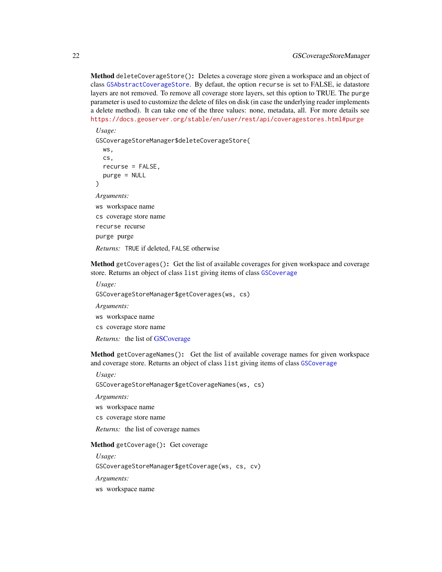Method deleteCoverageStore(): Deletes a coverage store given a workspace and an object of class [GSAbstractCoverageStore](#page-2-1). By defaut, the option recurse is set to FALSE, ie datastore layers are not removed. To remove all coverage store layers, set this option to TRUE. The purge parameter is used to customize the delete of files on disk (in case the underlying reader implements a delete method). It can take one of the three values: none, metadata, all. For more details see <https://docs.geoserver.org/stable/en/user/rest/api/coveragestores.html#purge>

*Usage:* GSCoverageStoreManager\$deleteCoverageStore( ws, cs, recurse = FALSE, purge = NULL ) *Arguments:* ws workspace name cs coverage store name recurse recurse purge purge

*Returns:* TRUE if deleted, FALSE otherwise

<span id="page-21-0"></span>Method getCoverages(): Get the list of available coverages for given workspace and coverage store. Returns an object of class list giving items of class [GSCoverage](#page-14-1)

*Usage:* GSCoverageStoreManager\$getCoverages(ws, cs)

*Arguments:*

ws workspace name

cs coverage store name

*Returns:* the list of [GSCoverage](#page-14-1)

<span id="page-21-1"></span>Method getCoverageNames(): Get the list of available coverage names for given workspace and coverage store. Returns an object of class list giving items of class [GSCoverage](#page-14-1)

*Usage:*

GSCoverageStoreManager\$getCoverageNames(ws, cs)

*Arguments:*

ws workspace name

cs coverage store name

*Returns:* the list of coverage names

#### <span id="page-21-2"></span>Method getCoverage(): Get coverage

*Usage:*

GSCoverageStoreManager\$getCoverage(ws, cs, cv)

*Arguments:*

ws workspace name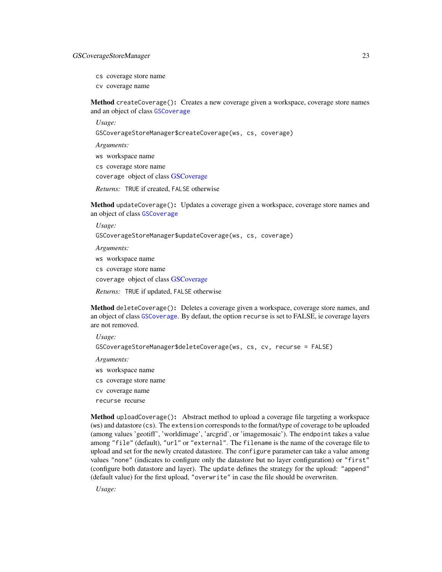# GSCoverageStoreManager 23

- cs coverage store name
- cv coverage name

<span id="page-22-0"></span>Method createCoverage(): Creates a new coverage given a workspace, coverage store names and an object of class [GSCoverage](#page-14-1)

*Usage:*

GSCoverageStoreManager\$createCoverage(ws, cs, coverage)

*Arguments:*

ws workspace name

cs coverage store name

coverage object of class [GSCoverage](#page-14-1)

*Returns:* TRUE if created, FALSE otherwise

<span id="page-22-1"></span>Method updateCoverage(): Updates a coverage given a workspace, coverage store names and an object of class [GSCoverage](#page-14-1)

*Usage:*

GSCoverageStoreManager\$updateCoverage(ws, cs, coverage)

*Arguments:* ws workspace name cs coverage store name coverage object of class [GSCoverage](#page-14-1) *Returns:* TRUE if updated, FALSE otherwise

<span id="page-22-2"></span>Method deleteCoverage(): Deletes a coverage given a workspace, coverage store names, and an object of class [GSCoverage](#page-14-1). By defaut, the option recurse is set to FALSE, ie coverage layers are not removed.

*Usage:*

GSCoverageStoreManager\$deleteCoverage(ws, cs, cv, recurse = FALSE)

*Arguments:*

- ws workspace name
- cs coverage store name

cv coverage name

recurse recurse

<span id="page-22-3"></span>Method uploadCoverage(): Abstract method to upload a coverage file targeting a workspace (ws) and datastore (cs). The extension corresponds to the format/type of coverage to be uploaded (among values 'geotiff', 'worldimage', 'arcgrid', or 'imagemosaic'). The endpoint takes a value among "file" (default), "url" or "external". The filename is the name of the coverage file to upload and set for the newly created datastore. The configure parameter can take a value among values "none" (indicates to configure only the datastore but no layer configuration) or "first" (configure both datastore and layer). The update defines the strategy for the upload: "append" (default value) for the first upload, "overwrite" in case the file should be overwriten.

*Usage:*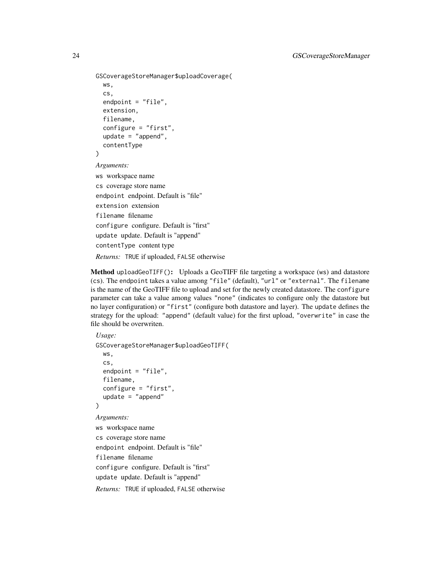```
GSCoverageStoreManager$uploadCoverage(
  ws,
  cs,
  endpoint = "file",
  extension,
  filename,
  configure = "first",
  update = "append",
  contentType
)
Arguments:
ws workspace name
cs coverage store name
endpoint endpoint. Default is "file"
extension extension
filename filename
configure configure. Default is "first"
update update. Default is "append"
contentType content type
Returns: TRUE if uploaded, FALSE otherwise
```
<span id="page-23-0"></span>Method uploadGeoTIFF(): Uploads a GeoTIFF file targeting a workspace (ws) and datastore (cs). The endpoint takes a value among "file" (default), "url" or "external". The filename is the name of the GeoTIFF file to upload and set for the newly created datastore. The configure parameter can take a value among values "none" (indicates to configure only the datastore but no layer configuration) or "first" (configure both datastore and layer). The update defines the strategy for the upload: "append" (default value) for the first upload, "overwrite" in case the file should be overwriten.

```
Usage:
GSCoverageStoreManager$uploadGeoTIFF(
  ws,
  cs,
  endpoint = "file",
  filename,
  configure = "first",
  update = "append"\lambdaArguments:
ws workspace name
cs coverage store name
endpoint endpoint. Default is "file"
filename filename
configure configure. Default is "first"
update update. Default is "append"
Returns: TRUE if uploaded, FALSE otherwise
```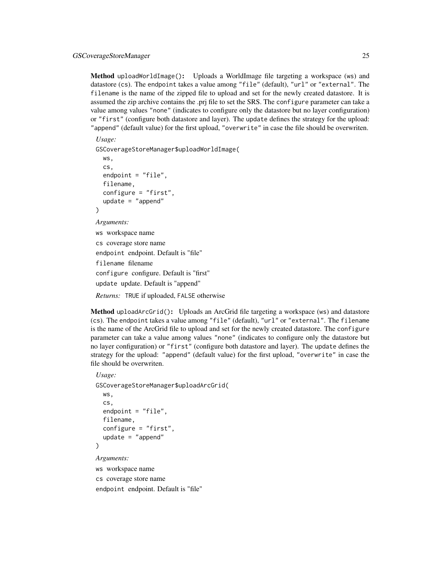Method uploadWorldImage(): Uploads a WorldImage file targeting a workspace (ws) and datastore (cs). The endpoint takes a value among "file" (default), "url" or "external". The filename is the name of the zipped file to upload and set for the newly created datastore. It is assumed the zip archive contains the .prj file to set the SRS. The configure parameter can take a value among values "none" (indicates to configure only the datastore but no layer configuration) or "first" (configure both datastore and layer). The update defines the strategy for the upload: "append" (default value) for the first upload, "overwrite" in case the file should be overwriten.

*Usage:*

GSCoverageStoreManager\$uploadWorldImage(

```
ws,
  cs,
  endpoint = "file",
  filename,
  configure = "first",
  update = "append"
)
Arguments:
ws workspace name
cs coverage store name
endpoint endpoint. Default is "file"
filename filename
configure configure. Default is "first"
update update. Default is "append"
Returns: TRUE if uploaded, FALSE otherwise
```
<span id="page-24-0"></span>Method uploadArcGrid(): Uploads an ArcGrid file targeting a workspace (ws) and datastore (cs). The endpoint takes a value among "file" (default), "url" or "external". The filename is the name of the ArcGrid file to upload and set for the newly created datastore. The configure parameter can take a value among values "none" (indicates to configure only the datastore but no layer configuration) or "first" (configure both datastore and layer). The update defines the strategy for the upload: "append" (default value) for the first upload, "overwrite" in case the file should be overwriten.

#### *Usage:*

```
GSCoverageStoreManager$uploadArcGrid(
  ws,
  cs,
  endpoint = "file",
  filename,
  configure = "first",
  update = "append")
Arguments:
```
ws workspace name cs coverage store name endpoint endpoint. Default is "file"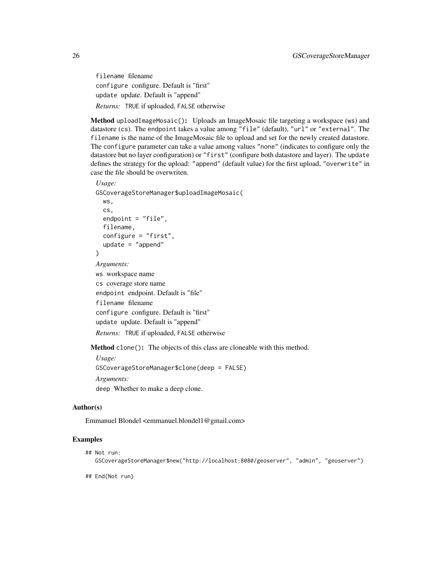filename filename configure configure. Default is "first" update update. Default is "append" *Returns:* TRUE if uploaded, FALSE otherwise

<span id="page-25-0"></span>Method uploadImageMosaic(): Uploads an ImageMosaic file targeting a workspace (ws) and datastore (cs). The endpoint takes a value among "file" (default), "url" or "external". The filename is the name of the ImageMosaic file to upload and set for the newly created datastore. The configure parameter can take a value among values "none" (indicates to configure only the datastore but no layer configuration) or "first" (configure both datastore and layer). The update defines the strategy for the upload: "append" (default value) for the first upload, "overwrite" in case the file should be overwriten.

# *Usage:*

GSCoverageStoreManager\$uploadImageMosaic(

```
ws,
cs,
endpoint = "file",
filename,
configure = "first",
update = "append"
```
*Arguments:*

)

ws workspace name cs coverage store name endpoint endpoint. Default is "file" filename filename configure configure. Default is "first" update update. Default is "append" *Returns:* TRUE if uploaded, FALSE otherwise

Method clone(): The objects of this class are cloneable with this method.

*Usage:* GSCoverageStoreManager\$clone(deep = FALSE) *Arguments:* deep Whether to make a deep clone.

#### Author(s)

Emmanuel Blondel <emmanuel.blondel1@gmail.com>

#### Examples

```
## Not run:
  GSCoverageStoreManager$new("http://localhost:8080/geoserver", "admin", "geoserver")
```
## End(Not run)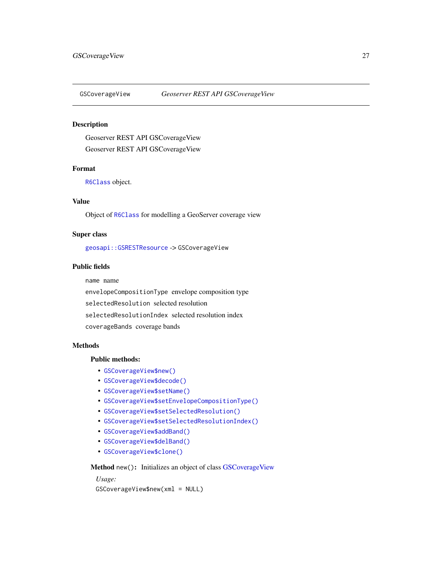<span id="page-26-1"></span><span id="page-26-0"></span>

# Description

Geoserver REST API GSCoverageView Geoserver REST API GSCoverageView

# Format

[R6Class](#page-0-0) object.

# Value

Object of [R6Class](#page-0-0) for modelling a GeoServer coverage view

# Super class

[geosapi::GSRESTResource](#page-0-0) -> GSCoverageView

# Public fields

name name

envelopeCompositionType envelope composition type

selectedResolution selected resolution

selectedResolutionIndex selected resolution index

coverageBands coverage bands

# Methods

#### Public methods:

- [GSCoverageView\\$new\(\)](#page-3-0)
- [GSCoverageView\\$decode\(\)](#page-3-1)
- [GSCoverageView\\$setName\(\)](#page-17-0)
- [GSCoverageView\\$setEnvelopeCompositionType\(\)](#page-27-0)
- [GSCoverageView\\$setSelectedResolution\(\)](#page-27-1)
- [GSCoverageView\\$setSelectedResolutionIndex\(\)](#page-27-2)
- [GSCoverageView\\$addBand\(\)](#page-27-3)
- [GSCoverageView\\$delBand\(\)](#page-27-4)
- [GSCoverageView\\$clone\(\)](#page-4-1)

#### Method new(): Initializes an object of class [GSCoverageView](#page-26-1)

#### *Usage:*

GSCoverageView\$new(xml = NULL)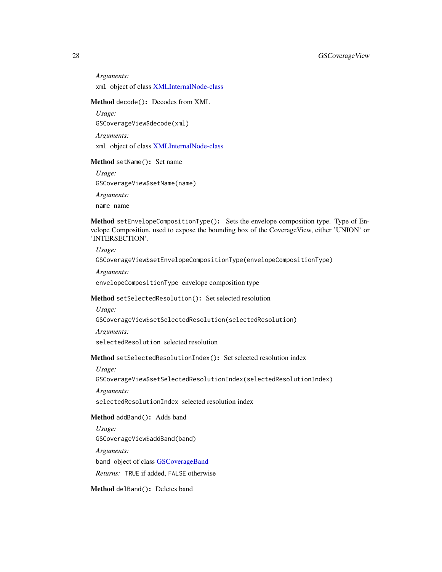*Arguments:* xml object of class [XMLInternalNode-class](#page-0-0)

#### Method decode(): Decodes from XML

*Usage:* GSCoverageView\$decode(xml) *Arguments:* xml object of class [XMLInternalNode-class](#page-0-0)

#### Method setName(): Set name

*Usage:* GSCoverageView\$setName(name) *Arguments:*

<span id="page-27-0"></span>Method setEnvelopeCompositionType(): Sets the envelope composition type. Type of Envelope Composition, used to expose the bounding box of the CoverageView, either 'UNION' or 'INTERSECTION'.

*Usage:*

GSCoverageView\$setEnvelopeCompositionType(envelopeCompositionType)

*Arguments:*

name name

envelopeCompositionType envelope composition type

# <span id="page-27-1"></span>Method setSelectedResolution(): Set selected resolution

*Usage:*

GSCoverageView\$setSelectedResolution(selectedResolution)

*Arguments:*

selectedResolution selected resolution

<span id="page-27-2"></span>Method setSelectedResolutionIndex(): Set selected resolution index

*Usage:*

GSCoverageView\$setSelectedResolutionIndex(selectedResolutionIndex)

*Arguments:*

selectedResolutionIndex selected resolution index

<span id="page-27-3"></span>Method addBand(): Adds band

*Usage:* GSCoverageView\$addBand(band) *Arguments:* band object of class [GSCoverageBand](#page-16-1) *Returns:* TRUE if added, FALSE otherwise

<span id="page-27-4"></span>Method delBand(): Deletes band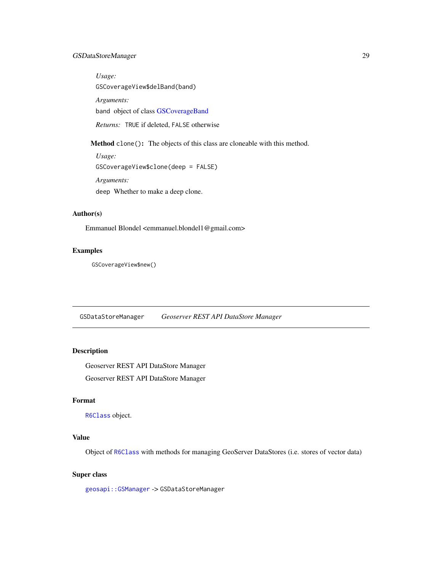# <span id="page-28-0"></span>GSDataStoreManager 29

*Usage:* GSCoverageView\$delBand(band) *Arguments:* band object of class [GSCoverageBand](#page-16-1) *Returns:* TRUE if deleted, FALSE otherwise

Method clone(): The objects of this class are cloneable with this method.

```
Usage:
GSCoverageView$clone(deep = FALSE)
Arguments:
deep Whether to make a deep clone.
```
# Author(s)

Emmanuel Blondel <emmanuel.blondel1@gmail.com>

# Examples

GSCoverageView\$new()

GSDataStoreManager *Geoserver REST API DataStore Manager*

# Description

Geoserver REST API DataStore Manager

Geoserver REST API DataStore Manager

# Format

[R6Class](#page-0-0) object.

# Value

Object of [R6Class](#page-0-0) with methods for managing GeoServer DataStores (i.e. stores of vector data)

# Super class

[geosapi::GSManager](#page-0-0) -> GSDataStoreManager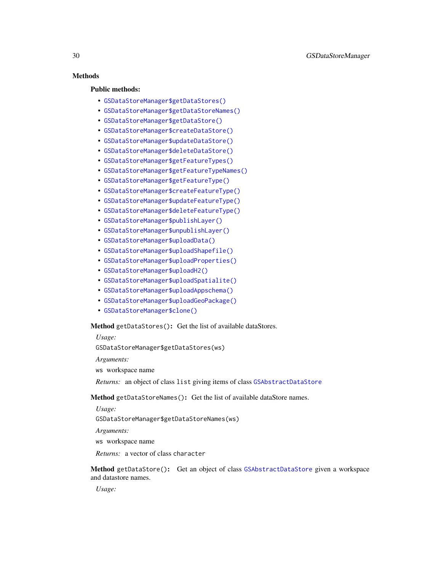# **Methods**

# Public methods:

- [GSDataStoreManager\\$getDataStores\(\)](#page-29-0)
- [GSDataStoreManager\\$getDataStoreNames\(\)](#page-29-1)
- [GSDataStoreManager\\$getDataStore\(\)](#page-29-2)
- [GSDataStoreManager\\$createDataStore\(\)](#page-30-0)
- [GSDataStoreManager\\$updateDataStore\(\)](#page-30-1)
- [GSDataStoreManager\\$deleteDataStore\(\)](#page-30-2)
- [GSDataStoreManager\\$getFeatureTypes\(\)](#page-30-3)
- [GSDataStoreManager\\$getFeatureTypeNames\(\)](#page-31-0)
- [GSDataStoreManager\\$getFeatureType\(\)](#page-31-1)
- [GSDataStoreManager\\$createFeatureType\(\)](#page-31-2)
- [GSDataStoreManager\\$updateFeatureType\(\)](#page-31-3)
- [GSDataStoreManager\\$deleteFeatureType\(\)](#page-31-4)
- [GSDataStoreManager\\$publishLayer\(\)](#page-32-0)
- [GSDataStoreManager\\$unpublishLayer\(\)](#page-32-1)
- [GSDataStoreManager\\$uploadData\(\)](#page-32-2)
- [GSDataStoreManager\\$uploadShapefile\(\)](#page-33-0)
- [GSDataStoreManager\\$uploadProperties\(\)](#page-34-0)
- [GSDataStoreManager\\$uploadH2\(\)](#page-34-1)
- [GSDataStoreManager\\$uploadSpatialite\(\)](#page-35-0)
- [GSDataStoreManager\\$uploadAppschema\(\)](#page-35-1)
- [GSDataStoreManager\\$uploadGeoPackage\(\)](#page-36-0)
- [GSDataStoreManager\\$clone\(\)](#page-4-1)

<span id="page-29-0"></span>Method getDataStores(): Get the list of available dataStores.

*Usage:*

GSDataStoreManager\$getDataStores(ws)

*Arguments:*

ws workspace name

*Returns:* an object of class list giving items of class [GSAbstractDataStore](#page-4-2)

<span id="page-29-1"></span>Method getDataStoreNames(): Get the list of available dataStore names.

*Usage:*

GSDataStoreManager\$getDataStoreNames(ws)

*Arguments:*

ws workspace name

*Returns:* a vector of class character

<span id="page-29-2"></span>Method getDataStore(): Get an object of class [GSAbstractDataStore](#page-4-2) given a workspace and datastore names.

*Usage:*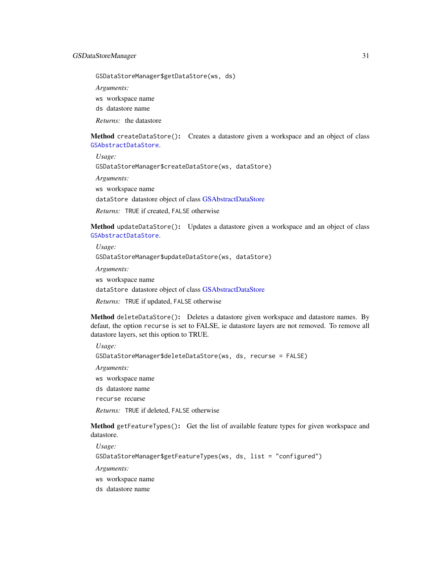GSDataStoreManager\$getDataStore(ws, ds)

*Arguments:*

ws workspace name

ds datastore name

*Returns:* the datastore

<span id="page-30-0"></span>Method createDataStore(): Creates a datastore given a workspace and an object of class [GSAbstractDataStore](#page-4-2).

*Usage:*

GSDataStoreManager\$createDataStore(ws, dataStore)

*Arguments:*

ws workspace name

dataStore datastore object of class [GSAbstractDataStore](#page-4-2)

*Returns:* TRUE if created, FALSE otherwise

<span id="page-30-1"></span>Method updateDataStore(): Updates a datastore given a workspace and an object of class [GSAbstractDataStore](#page-4-2).

*Usage:* GSDataStoreManager\$updateDataStore(ws, dataStore) *Arguments:* ws workspace name dataStore datastore object of class [GSAbstractDataStore](#page-4-2)

*Returns:* TRUE if updated, FALSE otherwise

<span id="page-30-2"></span>Method deleteDataStore(): Deletes a datastore given workspace and datastore names. By defaut, the option recurse is set to FALSE, ie datastore layers are not removed. To remove all datastore layers, set this option to TRUE.

*Usage:* GSDataStoreManager\$deleteDataStore(ws, ds, recurse = FALSE) *Arguments:*

ws workspace name

ds datastore name

recurse recurse

*Returns:* TRUE if deleted, FALSE otherwise

<span id="page-30-3"></span>Method getFeatureTypes(): Get the list of available feature types for given workspace and datastore.

*Usage:*

GSDataStoreManager\$getFeatureTypes(ws, ds, list = "configured")

*Arguments:*

ws workspace name

ds datastore name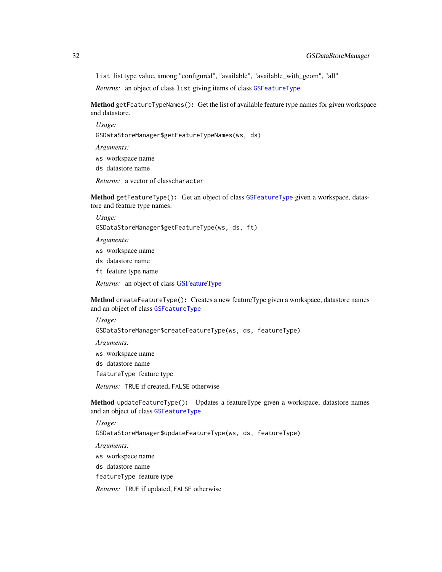list list type value, among "configured", "available", "available\_with\_geom", "all"

*Returns:* an object of class list giving items of class [GSFeatureType](#page-41-1)

<span id="page-31-0"></span>Method getFeatureTypeNames(): Get the list of available feature type names for given workspace and datastore.

*Usage:*

GSDataStoreManager\$getFeatureTypeNames(ws, ds)

*Arguments:*

ws workspace name

ds datastore name

*Returns:* a vector of classcharacter

<span id="page-31-1"></span>Method getFeatureType(): Get an object of class [GSFeatureType](#page-41-1) given a workspace, datastore and feature type names.

*Usage:* GSDataStoreManager\$getFeatureType(ws, ds, ft)

*Arguments:*

ws workspace name

ds datastore name

ft feature type name

*Returns:* an object of class [GSFeatureType](#page-41-1)

<span id="page-31-2"></span>Method createFeatureType(): Creates a new featureType given a workspace, datastore names and an object of class [GSFeatureType](#page-41-1)

*Usage:*

GSDataStoreManager\$createFeatureType(ws, ds, featureType)

*Arguments:* ws workspace name ds datastore name featureType feature type *Returns:* TRUE if created, FALSE otherwise

<span id="page-31-3"></span>Method updateFeatureType(): Updates a featureType given a workspace, datastore names and an object of class [GSFeatureType](#page-41-1)

*Usage:*

GSDataStoreManager\$updateFeatureType(ws, ds, featureType)

*Arguments:*

ws workspace name

ds datastore name

featureType feature type

<span id="page-31-4"></span>*Returns:* TRUE if updated, FALSE otherwise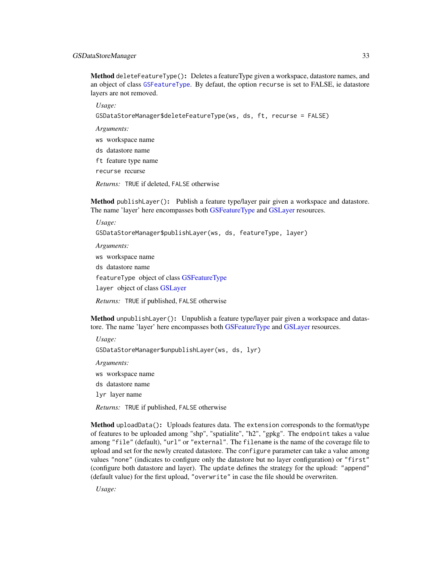#### GSDataStoreManager 33

Method deleteFeatureType(): Deletes a featureType given a workspace, datastore names, and an object of class [GSFeatureType](#page-41-1). By defaut, the option recurse is set to FALSE, ie datastore layers are not removed.

*Usage:*

GSDataStoreManager\$deleteFeatureType(ws, ds, ft, recurse = FALSE)

*Arguments:*

ws workspace name

ds datastore name

ft feature type name

recurse recurse

*Returns:* TRUE if deleted, FALSE otherwise

<span id="page-32-0"></span>Method publishLayer(): Publish a feature type/layer pair given a workspace and datastore. The name 'layer' here encompasses both [GSFeatureType](#page-41-1) and [GSLayer](#page-49-1) resources.

*Usage:* GSDataStoreManager\$publishLayer(ws, ds, featureType, layer) *Arguments:* ws workspace name ds datastore name featureType object of class [GSFeatureType](#page-41-1) layer object of class [GSLayer](#page-49-1)

*Returns:* TRUE if published, FALSE otherwise

<span id="page-32-1"></span>Method unpublishLayer(): Unpublish a feature type/layer pair given a workspace and datastore. The name 'layer' here encompasses both [GSFeatureType](#page-41-1) and [GSLayer](#page-49-1) resources.

*Usage:*

GSDataStoreManager\$unpublishLayer(ws, ds, lyr)

*Arguments:*

ws workspace name

ds datastore name

lyr layer name

*Returns:* TRUE if published, FALSE otherwise

<span id="page-32-2"></span>Method uploadData(): Uploads features data. The extension corresponds to the format/type of features to be uploaded among "shp", "spatialite", "h2", "gpkg". The endpoint takes a value among "file" (default), "url" or "external". The filename is the name of the coverage file to upload and set for the newly created datastore. The configure parameter can take a value among values "none" (indicates to configure only the datastore but no layer configuration) or "first" (configure both datastore and layer). The update defines the strategy for the upload: "append" (default value) for the first upload, "overwrite" in case the file should be overwriten.

*Usage:*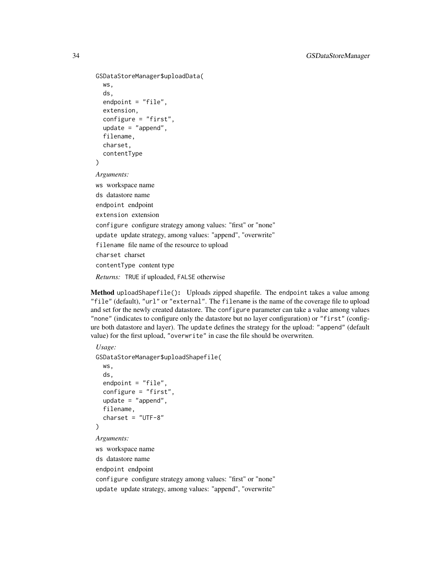```
GSDataStoreManager$uploadData(
  ws,
  ds,
  endpoint = "file",
  extension,
  configure = "first",
  update = "append",
  filename,
  charset,
  contentType
)
Arguments:
ws workspace name
ds datastore name
endpoint endpoint
extension extension
configure configure strategy among values: "first" or "none"
update update strategy, among values: "append", "overwrite"
filename file name of the resource to upload
charset charset
contentType content type
```
*Returns:* TRUE if uploaded, FALSE otherwise

<span id="page-33-0"></span>Method uploadShapefile(): Uploads zipped shapefile. The endpoint takes a value among "file" (default), "url" or "external". The filename is the name of the coverage file to upload and set for the newly created datastore. The configure parameter can take a value among values "none" (indicates to configure only the datastore but no layer configuration) or "first" (configure both datastore and layer). The update defines the strategy for the upload: "append" (default value) for the first upload, "overwrite" in case the file should be overwriten.

```
Usage:
GSDataStoreManager$uploadShapefile(
  ws,
  ds,
  endpoint = "file",
  configure = "first",
  update = "append",
  filename,
  charge = "UTF-8"\lambdaArguments:
ws workspace name
ds datastore name
endpoint endpoint
configure configure strategy among values: "first" or "none"
update update strategy, among values: "append", "overwrite"
```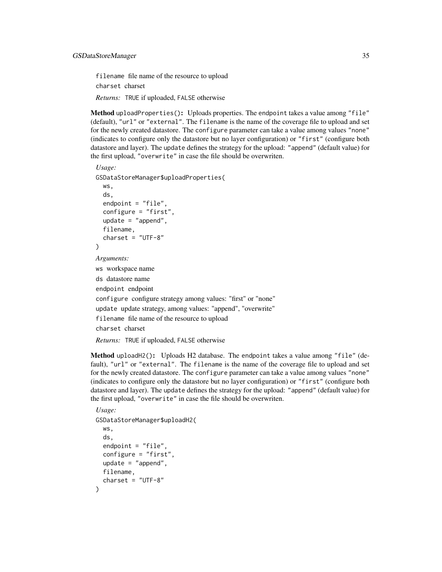filename file name of the resource to upload charset charset *Returns:* TRUE if uploaded, FALSE otherwise

<span id="page-34-0"></span>Method uploadProperties(): Uploads properties. The endpoint takes a value among "file" (default), "url" or "external". The filename is the name of the coverage file to upload and set for the newly created datastore. The configure parameter can take a value among values "none" (indicates to configure only the datastore but no layer configuration) or "first" (configure both datastore and layer). The update defines the strategy for the upload: "append" (default value) for the first upload, "overwrite" in case the file should be overwriten.

```
Usage:
GSDataStoreManager$uploadProperties(
  ws,
  ds,
  endpoint = "file",
  configure = "first",
  update = "append",
  filename,
  charge = "UTF-8"\lambdaArguments:
ws workspace name
ds datastore name
endpoint endpoint
configure configure strategy among values: "first" or "none"
update update strategy, among values: "append", "overwrite"
filename file name of the resource to upload
charset charset
Returns: TRUE if uploaded, FALSE otherwise
```
<span id="page-34-1"></span>Method uploadH2(): Uploads H2 database. The endpoint takes a value among "file" (default), "url" or "external". The filename is the name of the coverage file to upload and set for the newly created datastore. The configure parameter can take a value among values "none" (indicates to configure only the datastore but no layer configuration) or "first" (configure both datastore and layer). The update defines the strategy for the upload: "append" (default value) for the first upload, "overwrite" in case the file should be overwriten.

```
Usage:
GSDataStoreManager$uploadH2(
  ws,
  ds,
  endpoint = "file",
  configure = "first",
  update = "append",
  filename,
  cluster = "UTF-8")
```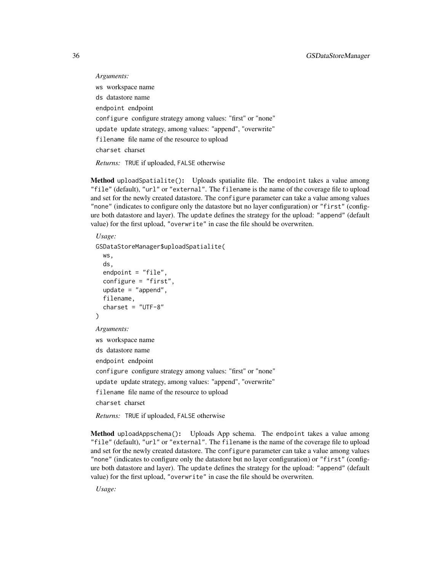*Arguments:* ws workspace name ds datastore name endpoint endpoint configure configure strategy among values: "first" or "none" update update strategy, among values: "append", "overwrite" filename file name of the resource to upload charset charset *Returns:* TRUE if uploaded, FALSE otherwise

<span id="page-35-0"></span>Method uploadSpatialite(): Uploads spatialite file. The endpoint takes a value among "file" (default), "url" or "external". The filename is the name of the coverage file to upload and set for the newly created datastore. The configure parameter can take a value among values "none" (indicates to configure only the datastore but no layer configuration) or "first" (configure both datastore and layer). The update defines the strategy for the upload: "append" (default value) for the first upload, "overwrite" in case the file should be overwriten.

```
Usage:
GSDataStoreManager$uploadSpatialite(
  ws,
  ds,
  endpoint = "file",configure = "first",
  update = "append",
  filename,
  charge = "UTF-8")
Arguments:
ws workspace name
ds datastore name
endpoint endpoint
configure configure strategy among values: "first" or "none"
update update strategy, among values: "append", "overwrite"
filename file name of the resource to upload
charset charset
```
*Returns:* TRUE if uploaded, FALSE otherwise

<span id="page-35-1"></span>Method uploadAppschema(): Uploads App schema. The endpoint takes a value among "file" (default), "url" or "external". The filename is the name of the coverage file to upload and set for the newly created datastore. The configure parameter can take a value among values "none" (indicates to configure only the datastore but no layer configuration) or "first" (configure both datastore and layer). The update defines the strategy for the upload: "append" (default value) for the first upload, "overwrite" in case the file should be overwriten.

*Usage:*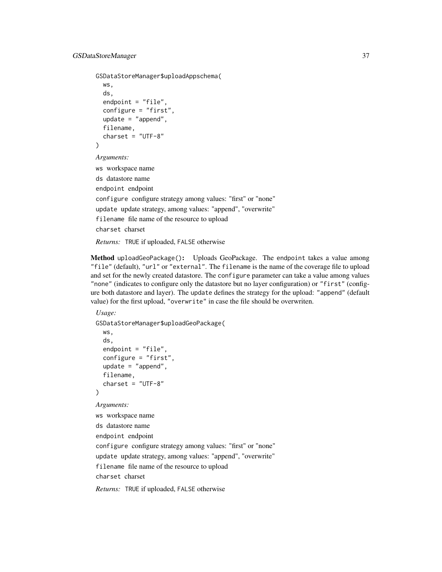```
GSDataStoreManager$uploadAppschema(
  ws,
  ds,
  endpoint = "file",
  configure = "first",
  update = "append",
  filename,
  charge = "UTF-8")
Arguments:
ws workspace name
ds datastore name
endpoint endpoint
```
configure configure strategy among values: "first" or "none" update update strategy, among values: "append", "overwrite" filename file name of the resource to upload charset charset

*Returns:* TRUE if uploaded, FALSE otherwise

Method uploadGeoPackage(): Uploads GeoPackage. The endpoint takes a value among "file" (default), "url" or "external". The filename is the name of the coverage file to upload and set for the newly created datastore. The configure parameter can take a value among values "none" (indicates to configure only the datastore but no layer configuration) or "first" (configure both datastore and layer). The update defines the strategy for the upload: "append" (default value) for the first upload, "overwrite" in case the file should be overwriten.

#### *Usage:*

```
GSDataStoreManager$uploadGeoPackage(
  ws,
  ds,
  endpoint = "file",
  configure = "first",
  update = "append",
  filename,
  charge = "UTF-8"\lambdaArguments:
```
ws workspace name ds datastore name endpoint endpoint configure configure strategy among values: "first" or "none" update update strategy, among values: "append", "overwrite" filename file name of the resource to upload charset charset

*Returns:* TRUE if uploaded, FALSE otherwise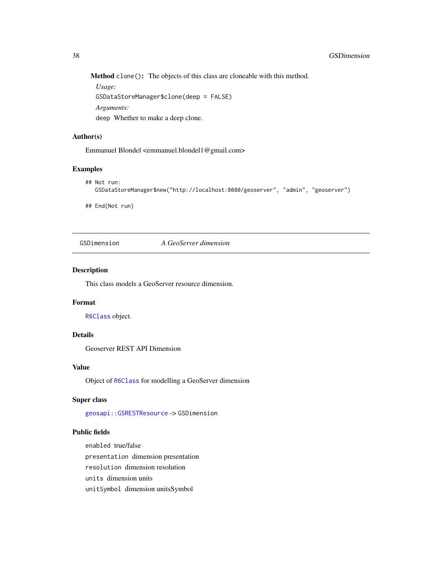Method clone(): The objects of this class are cloneable with this method.

*Usage:* GSDataStoreManager\$clone(deep = FALSE) *Arguments:* deep Whether to make a deep clone.

#### Author(s)

Emmanuel Blondel <emmanuel.blondel1@gmail.com>

#### Examples

```
## Not run:
  GSDataStoreManager$new("http://localhost:8080/geoserver", "admin", "geoserver")
```
## End(Not run)

<span id="page-37-0"></span>GSDimension *A GeoServer dimension*

### Description

This class models a GeoServer resource dimension.

## Format

[R6Class](#page-0-0) object.

### Details

Geoserver REST API Dimension

### Value

Object of [R6Class](#page-0-0) for modelling a GeoServer dimension

# Super class

[geosapi::GSRESTResource](#page-0-0) -> GSDimension

#### Public fields

enabled true/false presentation dimension presentation resolution dimension resolution units dimension units unitSymbol dimension unitsSymbol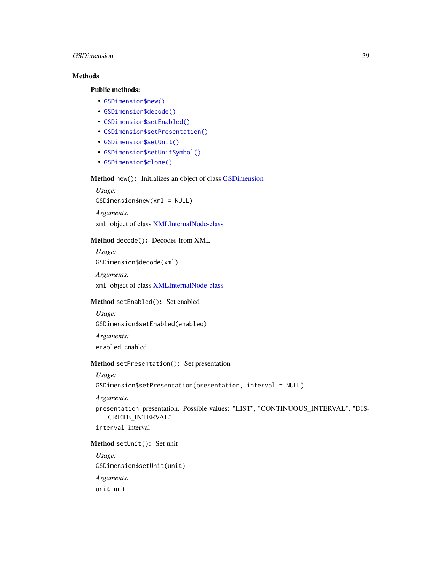#### GSDimension 39

# Methods

#### Public methods:

- [GSDimension\\$new\(\)](#page-3-0)
- [GSDimension\\$decode\(\)](#page-3-1)
- [GSDimension\\$setEnabled\(\)](#page-12-0)
- [GSDimension\\$setPresentation\(\)](#page-38-0)
- [GSDimension\\$setUnit\(\)](#page-38-1)
- [GSDimension\\$setUnitSymbol\(\)](#page-38-2)
- [GSDimension\\$clone\(\)](#page-4-0)

### Method new(): Initializes an object of class [GSDimension](#page-37-0)

*Usage:* GSDimension\$new(xml = NULL) *Arguments:*

xml object of class [XMLInternalNode-class](#page-0-0)

#### Method decode(): Decodes from XML

*Usage:* GSDimension\$decode(xml)

*Arguments:* xml object of class [XMLInternalNode-class](#page-0-0)

## Method setEnabled(): Set enabled

```
Usage:
```
GSDimension\$setEnabled(enabled)

*Arguments:* enabled enabled

### <span id="page-38-0"></span>Method setPresentation(): Set presentation

*Usage:*

```
GSDimension$setPresentation(presentation, interval = NULL)
```
*Arguments:*

presentation presentation. Possible values: "LIST", "CONTINUOUS\_INTERVAL", "DIS-CRETE\_INTERVAL"

interval interval

#### <span id="page-38-1"></span>Method setUnit(): Set unit

<span id="page-38-2"></span>*Usage:* GSDimension\$setUnit(unit) *Arguments:* unit unit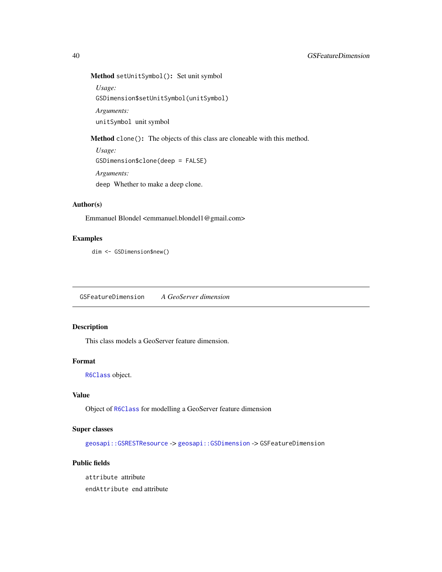# Method setUnitSymbol(): Set unit symbol

*Usage:* GSDimension\$setUnitSymbol(unitSymbol) *Arguments:*

unitSymbol unit symbol

Method clone(): The objects of this class are cloneable with this method.

*Usage:* GSDimension\$clone(deep = FALSE) *Arguments:* deep Whether to make a deep clone.

# Author(s)

Emmanuel Blondel <emmanuel.blondel1@gmail.com>

# Examples

dim <- GSDimension\$new()

<span id="page-39-0"></span>GSFeatureDimension *A GeoServer dimension*

# Description

This class models a GeoServer feature dimension.

# Format

[R6Class](#page-0-0) object.

# Value

Object of [R6Class](#page-0-0) for modelling a GeoServer feature dimension

# Super classes

[geosapi::GSRESTResource](#page-0-0) -> [geosapi::GSDimension](#page-0-0) -> GSFeatureDimension

# Public fields

attribute attribute

endAttribute end attribute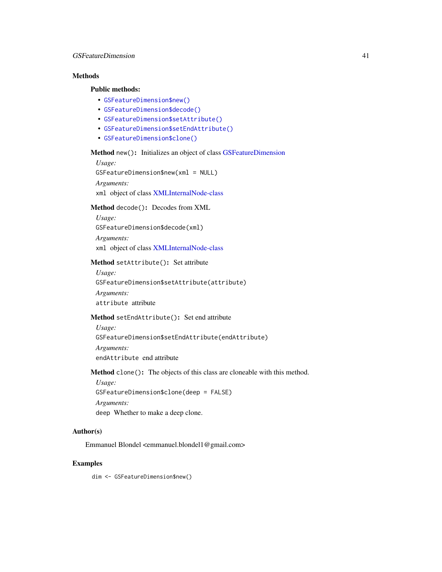# Methods

#### Public methods:

- [GSFeatureDimension\\$new\(\)](#page-3-0)
- [GSFeatureDimension\\$decode\(\)](#page-3-1)
- [GSFeatureDimension\\$setAttribute\(\)](#page-40-0)
- [GSFeatureDimension\\$setEndAttribute\(\)](#page-40-1)
- [GSFeatureDimension\\$clone\(\)](#page-4-0)

#### Method new(): Initializes an object of class [GSFeatureDimension](#page-39-0)

*Usage:*

GSFeatureDimension\$new(xml = NULL)

*Arguments:*

xml object of class [XMLInternalNode-class](#page-0-0)

### Method decode(): Decodes from XML

*Usage:* GSFeatureDimension\$decode(xml) *Arguments:* xml object of class [XMLInternalNode-class](#page-0-0)

#### <span id="page-40-0"></span>Method setAttribute(): Set attribute

*Usage:* GSFeatureDimension\$setAttribute(attribute) *Arguments:* attribute attribute

# <span id="page-40-1"></span>Method setEndAttribute(): Set end attribute

*Usage:* GSFeatureDimension\$setEndAttribute(endAttribute) *Arguments:* endAttribute end attribute

### Method clone(): The objects of this class are cloneable with this method.

*Usage:* GSFeatureDimension\$clone(deep = FALSE) *Arguments:* deep Whether to make a deep clone.

### Author(s)

Emmanuel Blondel <emmanuel.blondel1@gmail.com>

#### Examples

dim <- GSFeatureDimension\$new()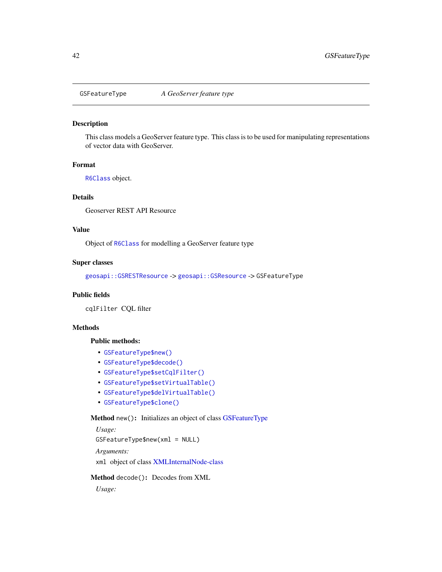<span id="page-41-0"></span>

## Description

This class models a GeoServer feature type. This class is to be used for manipulating representations of vector data with GeoServer.

#### Format

[R6Class](#page-0-0) object.

# Details

Geoserver REST API Resource

# Value

Object of [R6Class](#page-0-0) for modelling a GeoServer feature type

# Super classes

[geosapi::GSRESTResource](#page-0-0) -> [geosapi::GSResource](#page-0-0) -> GSFeatureType

# Public fields

cqlFilter CQL filter

### Methods

# Public methods:

- [GSFeatureType\\$new\(\)](#page-3-0)
- [GSFeatureType\\$decode\(\)](#page-3-1)
- [GSFeatureType\\$setCqlFilter\(\)](#page-42-0)
- [GSFeatureType\\$setVirtualTable\(\)](#page-42-1)
- [GSFeatureType\\$delVirtualTable\(\)](#page-42-2)
- [GSFeatureType\\$clone\(\)](#page-4-0)

# Method new(): Initializes an object of class [GSFeatureType](#page-41-0)

*Usage:* GSFeatureType\$new(xml = NULL) *Arguments:* xml object of class [XMLInternalNode-class](#page-0-0)

### Method decode(): Decodes from XML

*Usage:*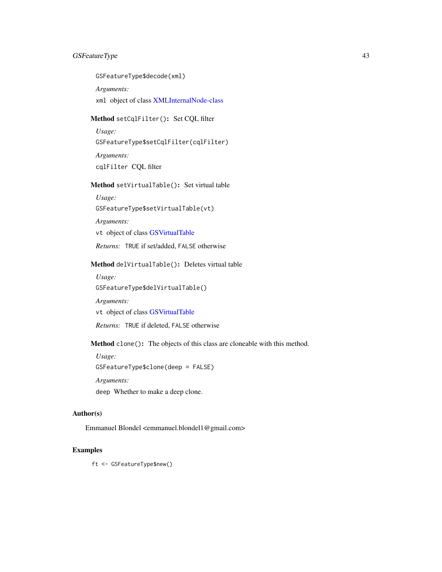# GSFeatureType 43

GSFeatureType\$decode(xml)

*Arguments:*

xml object of class [XMLInternalNode-class](#page-0-0)

# <span id="page-42-0"></span>Method setCqlFilter(): Set CQL filter

*Usage:* GSFeatureType\$setCqlFilter(cqlFilter) *Arguments:* cqlFilter CQL filter

## <span id="page-42-1"></span>Method setVirtualTable(): Set virtual table

*Usage:*

GSFeatureType\$setVirtualTable(vt)

*Arguments:*

vt object of class [GSVirtualTable](#page-107-0)

*Returns:* TRUE if set/added, FALSE otherwise

### <span id="page-42-2"></span>Method delVirtualTable(): Deletes virtual table

*Usage:* GSFeatureType\$delVirtualTable()

*Arguments:*

vt object of class [GSVirtualTable](#page-107-0)

*Returns:* TRUE if deleted, FALSE otherwise

Method clone(): The objects of this class are cloneable with this method.

*Usage:* GSFeatureType\$clone(deep = FALSE) *Arguments:* deep Whether to make a deep clone.

# Author(s)

Emmanuel Blondel <emmanuel.blondel1@gmail.com>

# Examples

ft <- GSFeatureType\$new()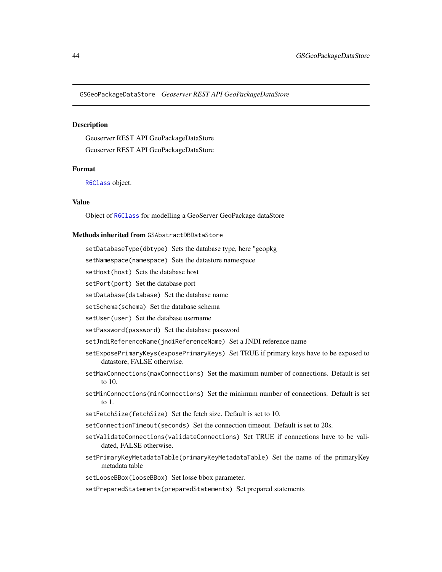GSGeoPackageDataStore *Geoserver REST API GeoPackageDataStore*

#### Description

Geoserver REST API GeoPackageDataStore Geoserver REST API GeoPackageDataStore

#### Format

[R6Class](#page-0-0) object.

# Value

Object of [R6Class](#page-0-0) for modelling a GeoServer GeoPackage dataStore

## Methods inherited from GSAbstractDBDataStore

- setDatabaseType(dbtype) Sets the database type, here "geopkg
- setNamespace(namespace) Sets the datastore namespace
- setHost(host) Sets the database host

setPort(port) Set the database port

setDatabase(database) Set the database name

setSchema(schema) Set the database schema

setUser(user) Set the database username

- setPassword(password) Set the database password
- setJndiReferenceName(jndiReferenceName) Set a JNDI reference name
- setExposePrimaryKeys(exposePrimaryKeys) Set TRUE if primary keys have to be exposed to datastore, FALSE otherwise.
- setMaxConnections(maxConnections) Set the maximum number of connections. Default is set to 10.
- setMinConnections(minConnections) Set the minimum number of connections. Default is set to 1.
- setFetchSize(fetchSize) Set the fetch size. Default is set to 10.
- setConnectionTimeout(seconds) Set the connection timeout. Default is set to 20s.
- setValidateConnections(validateConnections) Set TRUE if connections have to be validated, FALSE otherwise.
- setPrimaryKeyMetadataTable(primaryKeyMetadataTable) Set the name of the primaryKey metadata table
- setLooseBBox(looseBBox) Set losse bbox parameter.
- setPreparedStatements(preparedStatements) Set prepared statements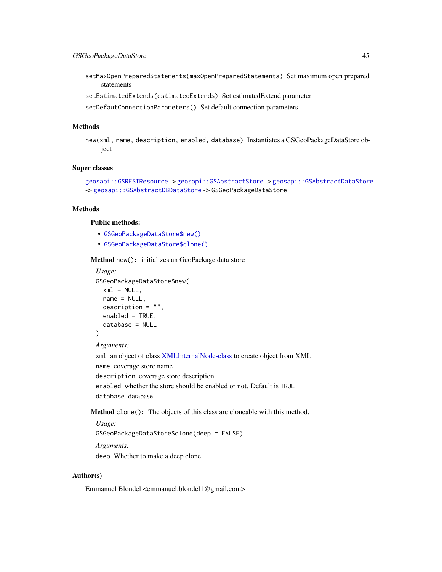- setMaxOpenPreparedStatements(maxOpenPreparedStatements) Set maximum open prepared statements
- setEstimatedExtends(estimatedExtends) Set estimatedExtend parameter
- setDefautConnectionParameters() Set default connection parameters

### **Methods**

new(xml, name, description, enabled, database) Instantiates a GSGeoPackageDataStore object

#### Super classes

```
geosapi::GSRESTResource -> geosapi::GSAbstractStore -> geosapi::GSAbstractDataStore
-> geosapi::GSAbstractDBDataStore -> GSGeoPackageDataStore
```
#### **Methods**

# Public methods:

- [GSGeoPackageDataStore\\$new\(\)](#page-3-0)
- [GSGeoPackageDataStore\\$clone\(\)](#page-4-0)

#### Method new(): initializes an GeoPackage data store

```
Usage:
GSGeoPackageDataStore$new(
 xml = NULL,name = NULL,description = "",
 enabled = TRUE,
  database = NULL
\lambda
```
*Arguments:*

xml an object of class [XMLInternalNode-class](#page-0-0) to create object from XML name coverage store name description coverage store description

enabled whether the store should be enabled or not. Default is TRUE database database

Method clone(): The objects of this class are cloneable with this method.

*Usage:*

GSGeoPackageDataStore\$clone(deep = FALSE)

*Arguments:*

deep Whether to make a deep clone.

#### Author(s)

Emmanuel Blondel <emmanuel.blondel1@gmail.com>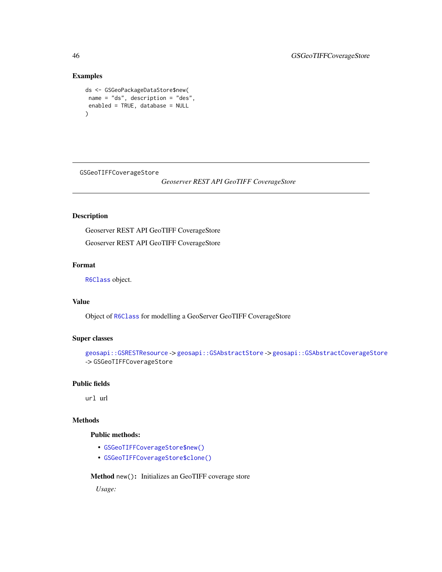# Examples

```
ds <- GSGeoPackageDataStore$new(
name = "ds", description = "des",
enabled = TRUE, database = NULL
)
```
GSGeoTIFFCoverageStore

*Geoserver REST API GeoTIFF CoverageStore*

# Description

Geoserver REST API GeoTIFF CoverageStore Geoserver REST API GeoTIFF CoverageStore

#### Format

[R6Class](#page-0-0) object.

# Value

Object of [R6Class](#page-0-0) for modelling a GeoServer GeoTIFF CoverageStore

## Super classes

```
geosapi::GSRESTResource -> geosapi::GSAbstractStore -> geosapi::GSAbstractCoverageStore
-> GSGeoTIFFCoverageStore
```
#### Public fields

url url

### Methods

### Public methods:

- [GSGeoTIFFCoverageStore\\$new\(\)](#page-3-0)
- [GSGeoTIFFCoverageStore\\$clone\(\)](#page-4-0)

# Method new(): Initializes an GeoTIFF coverage store

*Usage:*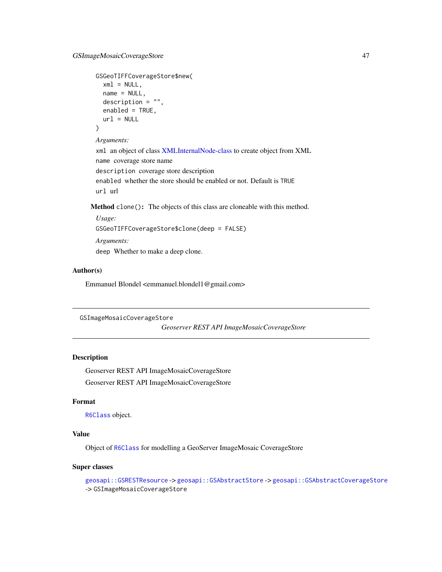```
GSGeoTIFFCoverageStore$new(
 xml = NULL,name = NULL,description = ",
 enabled = TRUE,
 url = NULL)
```
*Arguments:*

xml an object of class [XMLInternalNode-class](#page-0-0) to create object from XML name coverage store name description coverage store description enabled whether the store should be enabled or not. Default is TRUE url url

Method clone(): The objects of this class are cloneable with this method.

```
Usage:
GSGeoTIFFCoverageStore$clone(deep = FALSE)
Arguments:
deep Whether to make a deep clone.
```
#### Author(s)

Emmanuel Blondel <emmanuel.blondel1@gmail.com>

```
GSImageMosaicCoverageStore
```
*Geoserver REST API ImageMosaicCoverageStore*

# Description

Geoserver REST API ImageMosaicCoverageStore Geoserver REST API ImageMosaicCoverageStore

# Format

[R6Class](#page-0-0) object.

# Value

Object of [R6Class](#page-0-0) for modelling a GeoServer ImageMosaic CoverageStore

#### Super classes

```
geosapi::GSRESTResource -> geosapi::GSAbstractStore -> geosapi::GSAbstractCoverageStore
-> GSImageMosaicCoverageStore
```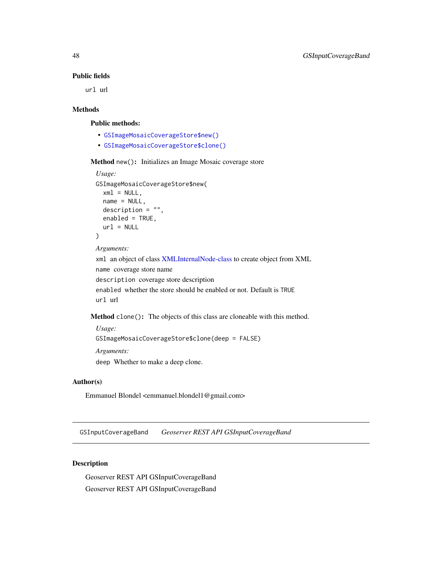# Public fields

url url

# Methods

# Public methods:

- [GSImageMosaicCoverageStore\\$new\(\)](#page-3-0)
- [GSImageMosaicCoverageStore\\$clone\(\)](#page-4-0)

#### Method new(): Initializes an Image Mosaic coverage store

```
Usage:
GSImageMosaicCoverageStore$new(
  xml = NULL,name = NULL,description = ",
  enabled = TRUE,
  url = NULL)
Arguments:
xml an object of class XMLInternalNode-class to create object from XML
name coverage store name
description coverage store description
enabled whether the store should be enabled or not. Default is TRUE
```
url url

Method clone(): The objects of this class are cloneable with this method.

*Usage:*

```
GSImageMosaicCoverageStore$clone(deep = FALSE)
```
*Arguments:*

deep Whether to make a deep clone.

### Author(s)

Emmanuel Blondel <emmanuel.blondel1@gmail.com>

<span id="page-47-0"></span>GSInputCoverageBand *Geoserver REST API GSInputCoverageBand*

#### Description

Geoserver REST API GSInputCoverageBand Geoserver REST API GSInputCoverageBand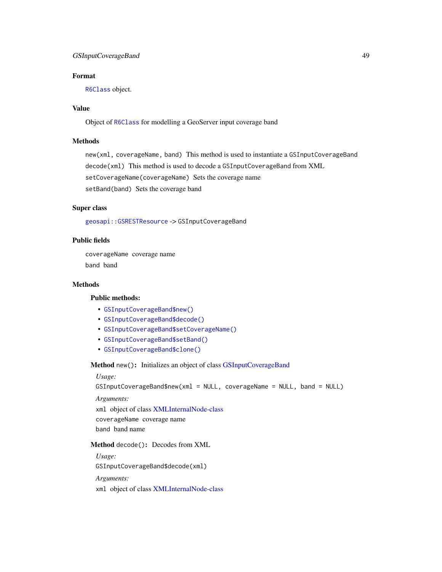# GSInputCoverageBand 49

# Format

[R6Class](#page-0-0) object.

# Value

Object of [R6Class](#page-0-0) for modelling a GeoServer input coverage band

#### Methods

new(xml, coverageName, band) This method is used to instantiate a GSInputCoverageBand decode(xml) This method is used to decode a GSInputCoverageBand from XML setCoverageName(coverageName) Sets the coverage name setBand(band) Sets the coverage band

# Super class

[geosapi::GSRESTResource](#page-0-0) -> GSInputCoverageBand

#### Public fields

coverageName coverage name band band

#### **Methods**

# Public methods:

- [GSInputCoverageBand\\$new\(\)](#page-3-0)
- [GSInputCoverageBand\\$decode\(\)](#page-3-1)
- [GSInputCoverageBand\\$setCoverageName\(\)](#page-48-0)
- [GSInputCoverageBand\\$setBand\(\)](#page-49-0)
- [GSInputCoverageBand\\$clone\(\)](#page-4-0)

# Method new(): Initializes an object of class [GSInputCoverageBand](#page-47-0)

#### *Usage:*

GSInputCoverageBand\$new(xml = NULL, coverageName = NULL, band = NULL)

*Arguments:*

xml object of class [XMLInternalNode-class](#page-0-0)

coverageName coverage name

band band name

Method decode(): Decodes from XML

*Usage:*

GSInputCoverageBand\$decode(xml)

*Arguments:*

<span id="page-48-0"></span>xml object of class [XMLInternalNode-class](#page-0-0)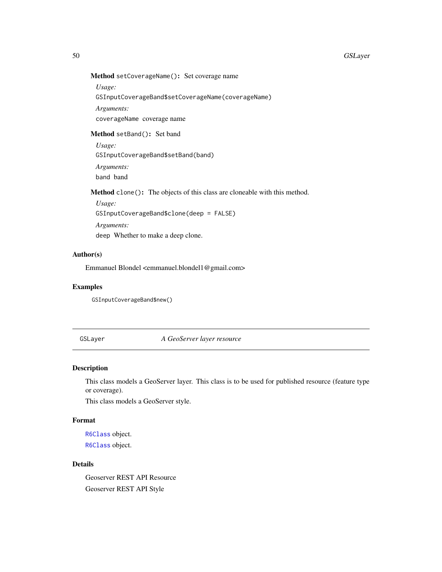# Method setCoverageName(): Set coverage name

*Usage:*

GSInputCoverageBand\$setCoverageName(coverageName)

*Arguments:*

coverageName coverage name

# <span id="page-49-0"></span>Method setBand(): Set band

*Usage:* GSInputCoverageBand\$setBand(band) *Arguments:* band band

Method clone(): The objects of this class are cloneable with this method.

*Usage:* GSInputCoverageBand\$clone(deep = FALSE) *Arguments:* deep Whether to make a deep clone.

# Author(s)

Emmanuel Blondel <emmanuel.blondel1@gmail.com>

### Examples

GSInputCoverageBand\$new()

#### <span id="page-49-1"></span>GSLayer *A GeoServer layer resource*

### <span id="page-49-2"></span>Description

This class models a GeoServer layer. This class is to be used for published resource (feature type or coverage).

This class models a GeoServer style.

### Format

[R6Class](#page-0-0) object. [R6Class](#page-0-0) object.

# Details

Geoserver REST API Resource Geoserver REST API Style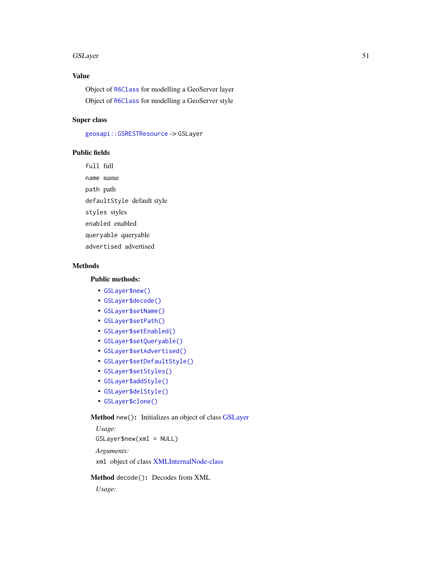# Value

Object of [R6Class](#page-0-0) for modelling a GeoServer layer Object of [R6Class](#page-0-0) for modelling a GeoServer style

# Super class

[geosapi::GSRESTResource](#page-0-0) -> GSLayer

#### Public fields

full full name name path path defaultStyle default style styles styles enabled enabled queryable queryable advertised advertised

### Methods

# Public methods:

- [GSLayer\\$new\(\)](#page-3-0)
- [GSLayer\\$decode\(\)](#page-3-1)
- [GSLayer\\$setName\(\)](#page-17-0)
- [GSLayer\\$setPath\(\)](#page-51-0)
- [GSLayer\\$setEnabled\(\)](#page-12-0)
- [GSLayer\\$setQueryable\(\)](#page-51-1)
- [GSLayer\\$setAdvertised\(\)](#page-51-2)
- [GSLayer\\$setDefaultStyle\(\)](#page-51-3)
- [GSLayer\\$setStyles\(\)](#page-51-4)
- [GSLayer\\$addStyle\(\)](#page-52-0)
- [GSLayer\\$delStyle\(\)](#page-52-1)
- [GSLayer\\$clone\(\)](#page-4-0)

# Method new(): Initializes an object of class [GSLayer](#page-49-1)

*Usage:* GSLayer\$new(xml = NULL) *Arguments:*

xml object of class [XMLInternalNode-class](#page-0-0)

### Method decode(): Decodes from XML

*Usage:*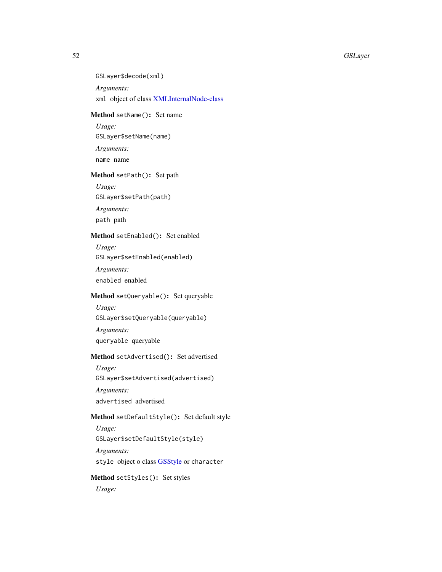GSLayer\$decode(xml) *Arguments:* xml object of class [XMLInternalNode-class](#page-0-0)

# Method setName(): Set name

*Usage:* GSLayer\$setName(name) *Arguments:* name name

# <span id="page-51-0"></span>Method setPath(): Set path

*Usage:*

GSLayer\$setPath(path)

*Arguments:*

path path

# Method setEnabled(): Set enabled

*Usage:* GSLayer\$setEnabled(enabled)

*Arguments:*

enabled enabled

# <span id="page-51-1"></span>Method setQueryable(): Set queryable

*Usage:* GSLayer\$setQueryable(queryable) *Arguments:* queryable queryable

# <span id="page-51-2"></span>Method setAdvertised(): Set advertised

*Usage:* GSLayer\$setAdvertised(advertised) *Arguments:*

advertised advertised

# <span id="page-51-3"></span>Method setDefaultStyle(): Set default style

*Usage:* GSLayer\$setDefaultStyle(style)

*Arguments:*

style object o class [GSStyle](#page-49-2) or character

# <span id="page-51-4"></span>Method setStyles(): Set styles

*Usage:*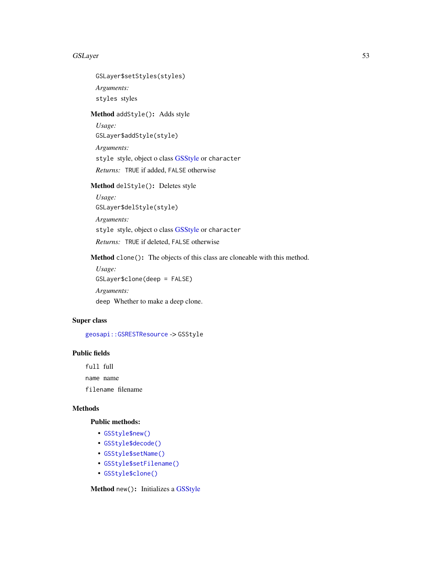GSLayer\$setStyles(styles) *Arguments:* styles styles

<span id="page-52-0"></span>Method addStyle(): Adds style

*Usage:* GSLayer\$addStyle(style) *Arguments:* style style, object o class [GSStyle](#page-49-2) or character *Returns:* TRUE if added, FALSE otherwise

<span id="page-52-1"></span>Method delStyle(): Deletes style

*Usage:* GSLayer\$delStyle(style) *Arguments:* style style, object o class [GSStyle](#page-49-2) or character *Returns:* TRUE if deleted, FALSE otherwise

Method clone(): The objects of this class are cloneable with this method.

*Usage:* GSLayer\$clone(deep = FALSE) *Arguments:* deep Whether to make a deep clone.

# Super class

[geosapi::GSRESTResource](#page-0-0) -> GSStyle

#### Public fields

full full name name

filename filename

#### Methods

#### Public methods:

- [GSStyle\\$new\(\)](#page-3-0)
- [GSStyle\\$decode\(\)](#page-3-1)
- [GSStyle\\$setName\(\)](#page-17-0)
- [GSStyle\\$setFilename\(\)](#page-53-0)
- [GSStyle\\$clone\(\)](#page-4-0)

Method new(): Initializes a [GSStyle](#page-49-2)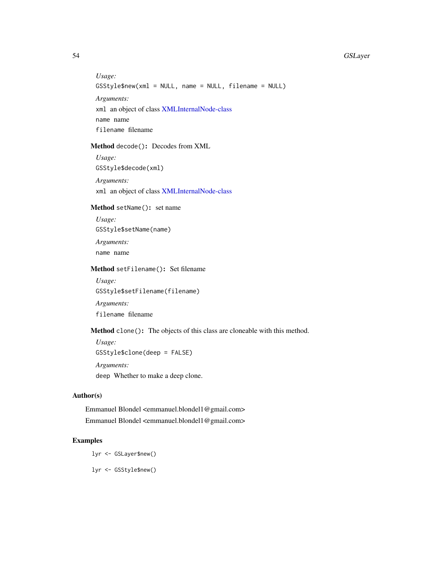*Usage:* GSStyle\$new(xml = NULL, name = NULL, filename = NULL) *Arguments:* xml an object of class [XMLInternalNode-class](#page-0-0) name name filename filename

#### Method decode(): Decodes from XML

*Usage:* GSStyle\$decode(xml)

*Arguments:* xml an object of class [XMLInternalNode-class](#page-0-0)

#### Method setName(): set name

*Usage:* GSStyle\$setName(name) *Arguments:* name name

#### <span id="page-53-0"></span>Method setFilename(): Set filename

*Usage:* GSStyle\$setFilename(filename)

*Arguments:*

filename filename

# Method clone(): The objects of this class are cloneable with this method.

*Usage:* GSStyle\$clone(deep = FALSE) *Arguments:*

deep Whether to make a deep clone.

# Author(s)

Emmanuel Blondel <emmanuel.blondel1@gmail.com> Emmanuel Blondel <emmanuel.blondel1@gmail.com>

# Examples

lyr <- GSLayer\$new() lyr <- GSStyle\$new()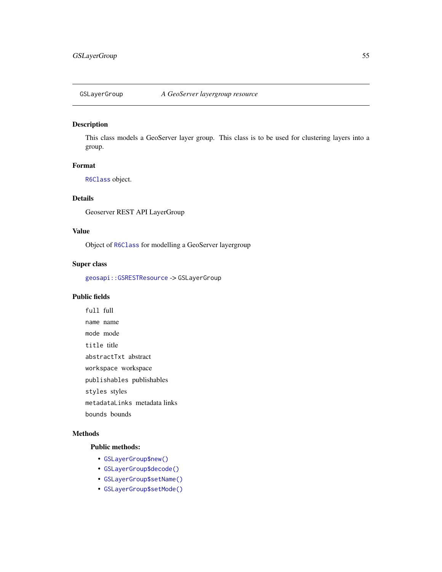<span id="page-54-0"></span>

# Description

This class models a GeoServer layer group. This class is to be used for clustering layers into a group.

# Format

[R6Class](#page-0-0) object.

# Details

Geoserver REST API LayerGroup

## Value

Object of [R6Class](#page-0-0) for modelling a GeoServer layergroup

### Super class

[geosapi::GSRESTResource](#page-0-0) -> GSLayerGroup

### Public fields

full full name name mode mode title title abstractTxt abstract workspace workspace publishables publishables styles styles metadataLinks metadata links bounds bounds

# Methods

# Public methods:

- [GSLayerGroup\\$new\(\)](#page-3-0)
- [GSLayerGroup\\$decode\(\)](#page-3-1)
- [GSLayerGroup\\$setName\(\)](#page-17-0)
- [GSLayerGroup\\$setMode\(\)](#page-55-0)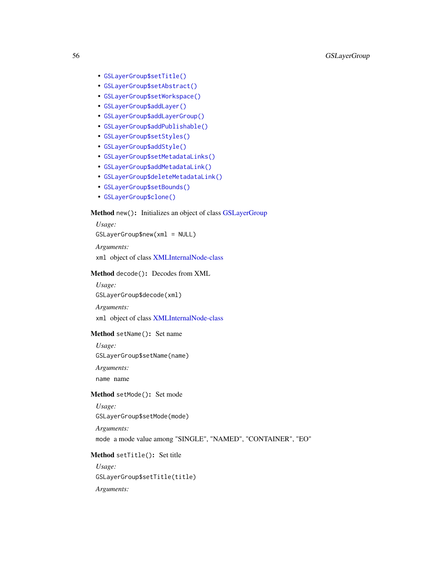- [GSLayerGroup\\$setTitle\(\)](#page-55-1)
- [GSLayerGroup\\$setAbstract\(\)](#page-56-0)
- [GSLayerGroup\\$setWorkspace\(\)](#page-56-1)
- [GSLayerGroup\\$addLayer\(\)](#page-56-2)
- [GSLayerGroup\\$addLayerGroup\(\)](#page-56-3)
- [GSLayerGroup\\$addPublishable\(\)](#page-56-4)
- [GSLayerGroup\\$setStyles\(\)](#page-51-4)
- [GSLayerGroup\\$addStyle\(\)](#page-52-0)
- [GSLayerGroup\\$setMetadataLinks\(\)](#page-57-0)
- [GSLayerGroup\\$addMetadataLink\(\)](#page-57-1)
- [GSLayerGroup\\$deleteMetadataLink\(\)](#page-57-2)
- [GSLayerGroup\\$setBounds\(\)](#page-57-3)
- [GSLayerGroup\\$clone\(\)](#page-4-0)

# Method new(): Initializes an object of class [GSLayerGroup](#page-54-0)

*Usage:* GSLayerGroup\$new(xml = NULL) *Arguments:*

xml object of class [XMLInternalNode-class](#page-0-0)

### Method decode(): Decodes from XML

*Usage:* GSLayerGroup\$decode(xml)

*Arguments:*

xml object of class [XMLInternalNode-class](#page-0-0)

# Method setName(): Set name

*Usage:* GSLayerGroup\$setName(name) *Arguments:* name name

#### <span id="page-55-0"></span>Method setMode(): Set mode

*Usage:* GSLayerGroup\$setMode(mode)

*Arguments:*

mode a mode value among "SINGLE", "NAMED", "CONTAINER", "EO"

# <span id="page-55-1"></span>Method setTitle(): Set title

*Usage:* GSLayerGroup\$setTitle(title) *Arguments:*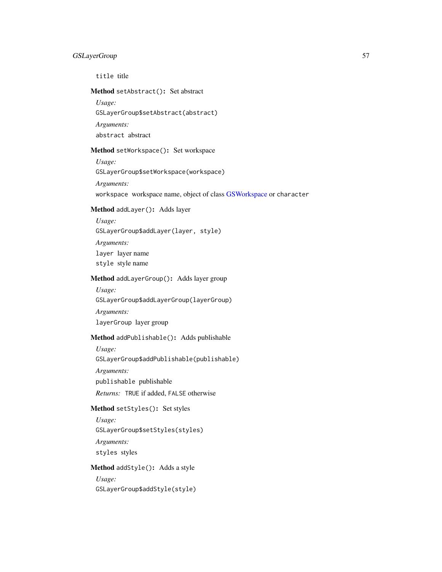# GSLayerGroup 57

title title

<span id="page-56-0"></span>Method setAbstract(): Set abstract

*Usage:*

GSLayerGroup\$setAbstract(abstract)

*Arguments:*

abstract abstract

## <span id="page-56-1"></span>Method setWorkspace(): Set workspace

*Usage:*

GSLayerGroup\$setWorkspace(workspace)

*Arguments:*

workspace workspace name, object of class [GSWorkspace](#page-113-0) or character

#### <span id="page-56-2"></span>Method addLayer(): Adds layer

*Usage:*

GSLayerGroup\$addLayer(layer, style)

*Arguments:* layer layer name

style style name

# <span id="page-56-3"></span>Method addLayerGroup(): Adds layer group

*Usage:*

GSLayerGroup\$addLayerGroup(layerGroup)

*Arguments:* layerGroup layer group

#### <span id="page-56-4"></span>Method addPublishable(): Adds publishable

*Usage:*

GSLayerGroup\$addPublishable(publishable)

*Arguments:*

publishable publishable

*Returns:* TRUE if added, FALSE otherwise

# Method setStyles(): Set styles

*Usage:* GSLayerGroup\$setStyles(styles) *Arguments:* styles styles

Method addStyle(): Adds a style

*Usage:* GSLayerGroup\$addStyle(style)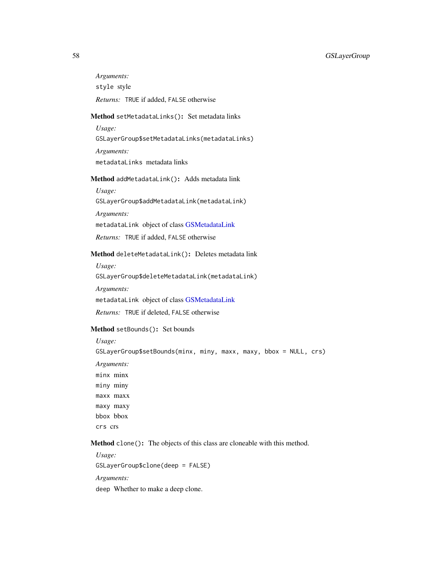# 58 GSLayerGroup

*Arguments:* style style *Returns:* TRUE if added, FALSE otherwise

#### <span id="page-57-0"></span>Method setMetadataLinks(): Set metadata links

*Usage:* GSLayerGroup\$setMetadataLinks(metadataLinks) *Arguments:*

metadataLinks metadata links

#### <span id="page-57-1"></span>Method addMetadataLink(): Adds metadata link

*Usage:*

GSLayerGroup\$addMetadataLink(metadataLink)

*Arguments:*

metadataLink object of class [GSMetadataLink](#page-65-0)

*Returns:* TRUE if added, FALSE otherwise

# <span id="page-57-2"></span>Method deleteMetadataLink(): Deletes metadata link

*Usage:*

GSLayerGroup\$deleteMetadataLink(metadataLink)

*Arguments:*

metadataLink object of class [GSMetadataLink](#page-65-0)

*Returns:* TRUE if deleted, FALSE otherwise

## <span id="page-57-3"></span>Method setBounds(): Set bounds

*Usage:*

GSLayerGroup\$setBounds(minx, miny, maxx, maxy, bbox = NULL, crs) *Arguments:* minx minx miny miny maxx maxx maxy maxy bbox bbox crs crs

### Method clone(): The objects of this class are cloneable with this method.

*Usage:* GSLayerGroup\$clone(deep = FALSE) *Arguments:* deep Whether to make a deep clone.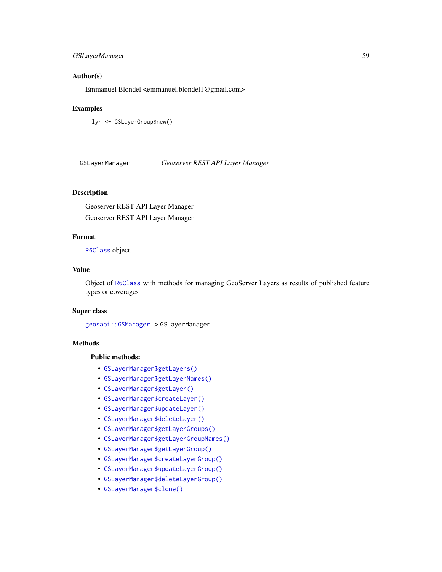# GSLayerManager 59

# Author(s)

Emmanuel Blondel <emmanuel.blondel1@gmail.com>

#### Examples

lyr <- GSLayerGroup\$new()

GSLayerManager *Geoserver REST API Layer Manager*

#### Description

Geoserver REST API Layer Manager Geoserver REST API Layer Manager

# Format

[R6Class](#page-0-0) object.

### Value

Object of [R6Class](#page-0-0) with methods for managing GeoServer Layers as results of published feature types or coverages

## Super class

[geosapi::GSManager](#page-0-0) -> GSLayerManager

# **Methods**

#### Public methods:

- [GSLayerManager\\$getLayers\(\)](#page-58-0)
- [GSLayerManager\\$getLayerNames\(\)](#page-59-0)
- [GSLayerManager\\$getLayer\(\)](#page-59-1)
- [GSLayerManager\\$createLayer\(\)](#page-59-2)
- [GSLayerManager\\$updateLayer\(\)](#page-59-3)
- [GSLayerManager\\$deleteLayer\(\)](#page-59-4)
- [GSLayerManager\\$getLayerGroups\(\)](#page-59-5)
- [GSLayerManager\\$getLayerGroupNames\(\)](#page-60-0)
- [GSLayerManager\\$getLayerGroup\(\)](#page-60-1)
- [GSLayerManager\\$createLayerGroup\(\)](#page-60-2)
- [GSLayerManager\\$updateLayerGroup\(\)](#page-60-3)
- [GSLayerManager\\$deleteLayerGroup\(\)](#page-60-4)
- <span id="page-58-0"></span>• [GSLayerManager\\$clone\(\)](#page-4-0)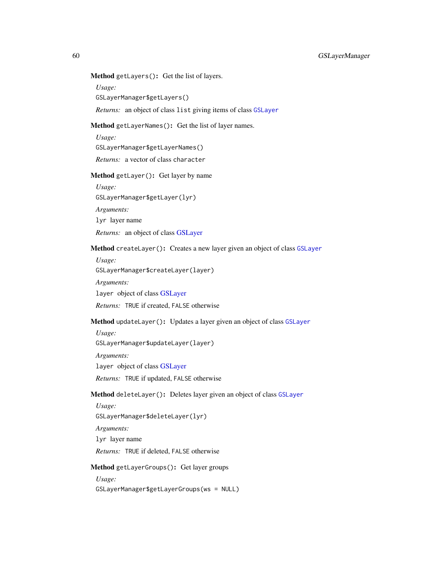# Method getLayers(): Get the list of layers.

*Usage:*

GSLayerManager\$getLayers()

*Returns:* an object of class list giving items of class [GSLayer](#page-49-1)

#### <span id="page-59-0"></span>Method getLayerNames(): Get the list of layer names.

*Usage:*

GSLayerManager\$getLayerNames()

*Returns:* a vector of class character

# <span id="page-59-1"></span>Method getLayer(): Get layer by name

*Usage:* GSLayerManager\$getLayer(lyr)

*Arguments:*

lyr layer name

*Returns:* an object of class [GSLayer](#page-49-1)

# <span id="page-59-2"></span>Method createLayer(): Creates a new layer given an object of class [GSLayer](#page-49-1)

*Usage:* GSLayerManager\$createLayer(layer)

*Arguments:* layer object of class [GSLayer](#page-49-1) *Returns:* TRUE if created, FALSE otherwise

# <span id="page-59-3"></span>Method updateLayer(): Updates a layer given an object of class [GSLayer](#page-49-1)

*Usage:* GSLayerManager\$updateLayer(layer) *Arguments:* layer object of class [GSLayer](#page-49-1) *Returns:* TRUE if updated, FALSE otherwise

### <span id="page-59-4"></span>Method deleteLayer(): Deletes layer given an object of class [GSLayer](#page-49-1)

*Usage:* GSLayerManager\$deleteLayer(lyr)

*Arguments:*

lyr layer name

*Returns:* TRUE if deleted, FALSE otherwise

### <span id="page-59-5"></span>Method getLayerGroups(): Get layer groups

*Usage:*

GSLayerManager\$getLayerGroups(ws = NULL)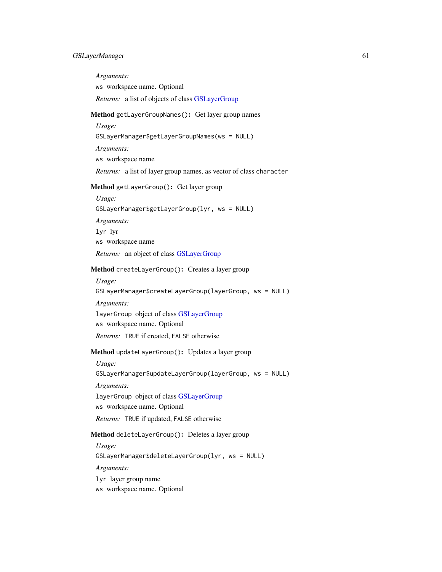### GSLayerManager 61

<span id="page-60-2"></span><span id="page-60-1"></span><span id="page-60-0"></span>*Arguments:* ws workspace name. Optional *Returns:* a list of objects of class [GSLayerGroup](#page-54-0) Method getLayerGroupNames(): Get layer group names *Usage:* GSLayerManager\$getLayerGroupNames(ws = NULL) *Arguments:* ws workspace name *Returns:* a list of layer group names, as vector of class character Method getLayerGroup(): Get layer group *Usage:* GSLayerManager\$getLayerGroup(lyr, ws = NULL) *Arguments:* lyr lyr ws workspace name *Returns:* an object of class [GSLayerGroup](#page-54-0) Method createLayerGroup(): Creates a layer group *Usage:* GSLayerManager\$createLayerGroup(layerGroup, ws = NULL) *Arguments:* layerGroup object of class [GSLayerGroup](#page-54-0) ws workspace name. Optional *Returns:* TRUE if created, FALSE otherwise Method updateLayerGroup(): Updates a layer group *Usage:* GSLayerManager\$updateLayerGroup(layerGroup, ws = NULL) *Arguments:* layerGroup object of class [GSLayerGroup](#page-54-0) ws workspace name. Optional *Returns:* TRUE if updated, FALSE otherwise Method deleteLayerGroup(): Deletes a layer group *Usage:* GSLayerManager\$deleteLayerGroup(lyr, ws = NULL) *Arguments:* lyr layer group name

<span id="page-60-4"></span><span id="page-60-3"></span>ws workspace name. Optional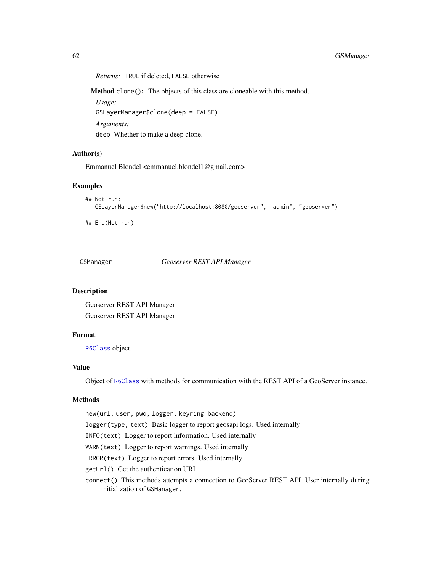*Returns:* TRUE if deleted, FALSE otherwise

Method clone(): The objects of this class are cloneable with this method.

*Usage:*

GSLayerManager\$clone(deep = FALSE)

*Arguments:*

deep Whether to make a deep clone.

#### Author(s)

Emmanuel Blondel <emmanuel.blondel1@gmail.com>

#### Examples

```
## Not run:
  GSLayerManager$new("http://localhost:8080/geoserver", "admin", "geoserver")
```
## End(Not run)

GSManager *Geoserver REST API Manager*

#### Description

Geoserver REST API Manager Geoserver REST API Manager

#### Format

[R6Class](#page-0-0) object.

### Value

Object of [R6Class](#page-0-0) with methods for communication with the REST API of a GeoServer instance.

#### Methods

new(url, user, pwd, logger, keyring\_backend)

logger(type, text) Basic logger to report geosapi logs. Used internally

INFO(text) Logger to report information. Used internally

WARN(text) Logger to report warnings. Used internally

ERROR(text) Logger to report errors. Used internally

getUrl() Get the authentication URL

connect() This methods attempts a connection to GeoServer REST API. User internally during initialization of GSManager.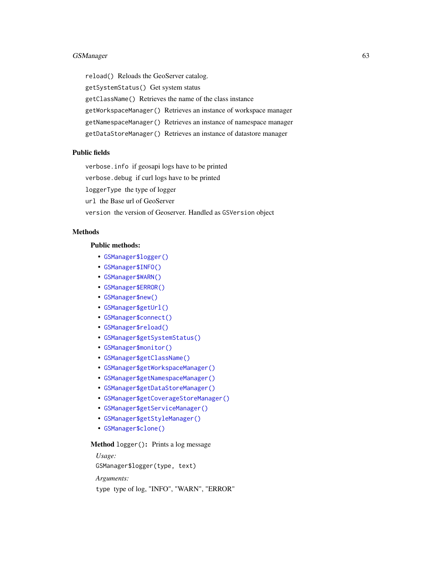# GSManager 63

reload() Reloads the GeoServer catalog. getSystemStatus() Get system status getClassName() Retrieves the name of the class instance getWorkspaceManager() Retrieves an instance of workspace manager getNamespaceManager() Retrieves an instance of namespace manager getDataStoreManager() Retrieves an instance of datastore manager

### Public fields

verbose.info if geosapi logs have to be printed

verbose.debug if curl logs have to be printed

loggerType the type of logger

url the Base url of GeoServer

version the version of Geoserver. Handled as GSVersion object

# Methods

#### Public methods:

- [GSManager\\$logger\(\)](#page-62-0)
- [GSManager\\$INFO\(\)](#page-63-0)
- [GSManager\\$WARN\(\)](#page-63-1)
- [GSManager\\$ERROR\(\)](#page-63-2)
- [GSManager\\$new\(\)](#page-3-0)
- [GSManager\\$getUrl\(\)](#page-63-3)
- [GSManager\\$connect\(\)](#page-63-4)
- [GSManager\\$reload\(\)](#page-64-0)
- [GSManager\\$getSystemStatus\(\)](#page-64-1)
- [GSManager\\$monitor\(\)](#page-64-2)
- [GSManager\\$getClassName\(\)](#page-64-3)
- [GSManager\\$getWorkspaceManager\(\)](#page-64-4)
- [GSManager\\$getNamespaceManager\(\)](#page-64-5)
- [GSManager\\$getDataStoreManager\(\)](#page-64-6)
- [GSManager\\$getCoverageStoreManager\(\)](#page-64-7)
- [GSManager\\$getServiceManager\(\)](#page-65-1)
- [GSManager\\$getStyleManager\(\)](#page-65-2)
- [GSManager\\$clone\(\)](#page-4-0)

# <span id="page-62-0"></span>Method logger(): Prints a log message

*Usage:* GSManager\$logger(type, text) *Arguments:* type type of log, "INFO", "WARN", "ERROR"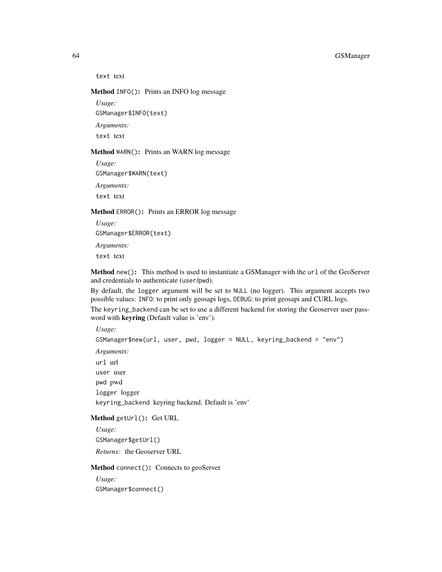### 64 GSManager

text text

### <span id="page-63-0"></span>Method INFO(): Prints an INFO log message

*Usage:*

GSManager\$INFO(text)

*Arguments:*

text text

# <span id="page-63-1"></span>Method WARN(): Prints an WARN log message

*Usage:* GSManager\$WARN(text) *Arguments:*

text text

#### <span id="page-63-2"></span>Method ERROR(): Prints an ERROR log message

*Usage:* GSManager\$ERROR(text) *Arguments:* text text

Method new(): This method is used to instantiate a GSManager with the url of the GeoServer and credentials to authenticate (user/pwd).

By default, the logger argument will be set to NULL (no logger). This argument accepts two possible values: INFO: to print only geosapi logs, DEBUG: to print geosapi and CURL logs. The keyring\_backend can be set to use a different backend for storing the Geoserver user password with keyring (Default value is 'env').

*Usage:* GSManager\$new(url, user, pwd, logger = NULL, keyring\_backend = "env") *Arguments:* url url user user pwd pwd logger logger keyring\_backend keyring backend. Default is 'env'

## <span id="page-63-3"></span>Method getUrl(): Get URL

*Usage:* GSManager\$getUrl() *Returns:* the Geoserver URL

<span id="page-63-4"></span>Method connect(): Connects to geoServer

*Usage:* GSManager\$connect()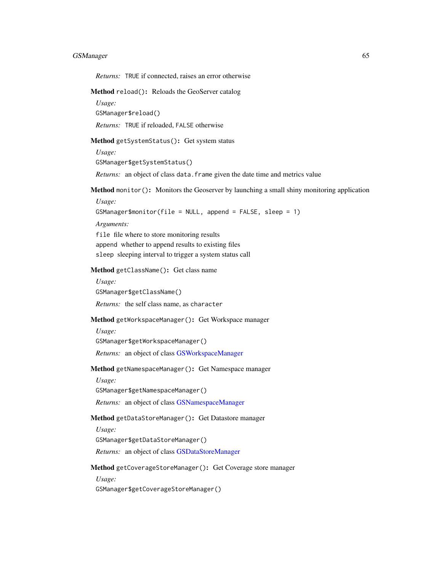# GSManager 65

*Returns:* TRUE if connected, raises an error otherwise

<span id="page-64-0"></span>Method reload(): Reloads the GeoServer catalog

*Usage:*

GSManager\$reload()

*Returns:* TRUE if reloaded, FALSE otherwise

<span id="page-64-1"></span>Method getSystemStatus(): Get system status

*Usage:* GSManager\$getSystemStatus()

*Returns:* an object of class data. frame given the date time and metrics value

<span id="page-64-2"></span>Method monitor(): Monitors the Geoserver by launching a small shiny monitoring application

*Usage:* GSManager\$monitor(file = NULL, append = FALSE, sleep = 1)

*Arguments:*

file file where to store monitoring results append whether to append results to existing files sleep sleeping interval to trigger a system status call

<span id="page-64-3"></span>Method getClassName(): Get class name

*Usage:*

GSManager\$getClassName()

*Returns:* the self class name, as character

#### <span id="page-64-4"></span>Method getWorkspaceManager(): Get Workspace manager

*Usage:*

GSManager\$getWorkspaceManager()

*Returns:* an object of class [GSWorkspaceManager](#page-114-0)

<span id="page-64-5"></span>Method getNamespaceManager(): Get Namespace manager

*Usage:*

GSManager\$getNamespaceManager()

*Returns:* an object of class [GSNamespaceManager](#page-69-0)

# <span id="page-64-6"></span>Method getDataStoreManager(): Get Datastore manager

*Usage:*

GSManager\$getDataStoreManager()

*Returns:* an object of class [GSDataStoreManager](#page-28-0)

<span id="page-64-7"></span>Method getCoverageStoreManager(): Get Coverage store manager

*Usage:*

GSManager\$getCoverageStoreManager()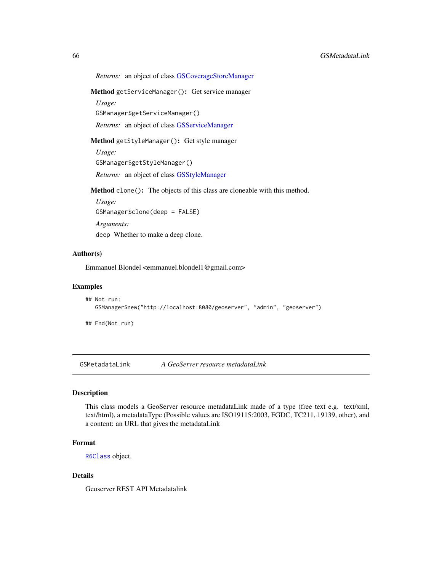### 66 GSMetadataLink

*Returns:* an object of class [GSCoverageStoreManager](#page-19-0)

<span id="page-65-1"></span>Method getServiceManager(): Get service manager

*Usage:*

GSManager\$getServiceManager()

*Returns:* an object of class [GSServiceManager](#page-85-0)

<span id="page-65-2"></span>Method getStyleManager(): Get style manager

*Usage:* GSManager\$getStyleManager() *Returns:* an object of class [GSStyleManager](#page-100-0)

Method clone(): The objects of this class are cloneable with this method.

*Usage:* GSManager\$clone(deep = FALSE) *Arguments:* deep Whether to make a deep clone.

Author(s)

Emmanuel Blondel <emmanuel.blondel1@gmail.com>

### Examples

```
## Not run:
  GSManager$new("http://localhost:8080/geoserver", "admin", "geoserver")
```
## End(Not run)

<span id="page-65-0"></span>GSMetadataLink *A GeoServer resource metadataLink*

# Description

This class models a GeoServer resource metadataLink made of a type (free text e.g. text/xml, text/html), a metadataType (Possible values are ISO19115:2003, FGDC, TC211, 19139, other), and a content: an URL that gives the metadataLink

### Format

[R6Class](#page-0-0) object.

# Details

Geoserver REST API Metadatalink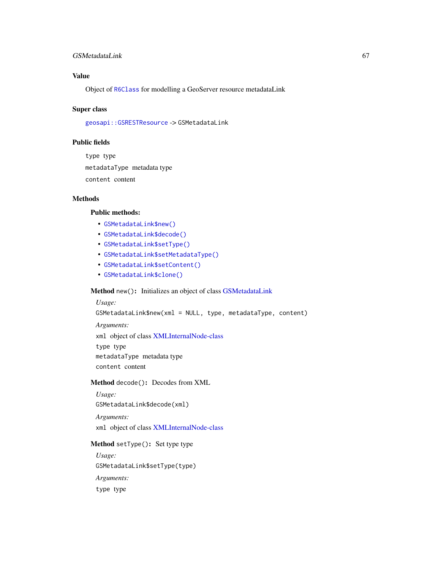### GSMetadataLink 67

# Value

Object of [R6Class](#page-0-0) for modelling a GeoServer resource metadataLink

#### Super class

[geosapi::GSRESTResource](#page-0-0) -> GSMetadataLink

# Public fields

type type metadataType metadata type content content

### Methods

# Public methods:

- [GSMetadataLink\\$new\(\)](#page-3-0)
- [GSMetadataLink\\$decode\(\)](#page-3-1)
- [GSMetadataLink\\$setType\(\)](#page-12-1)
- [GSMetadataLink\\$setMetadataType\(\)](#page-66-0)
- [GSMetadataLink\\$setContent\(\)](#page-67-0)
- [GSMetadataLink\\$clone\(\)](#page-4-0)

### Method new(): Initializes an object of class [GSMetadataLink](#page-65-0)

*Usage:* GSMetadataLink\$new(xml = NULL, type, metadataType, content) *Arguments:* xml object of class [XMLInternalNode-class](#page-0-0) type type metadataType metadata type content content

#### Method decode(): Decodes from XML

*Usage:* GSMetadataLink\$decode(xml)

*Arguments:*

xml object of class [XMLInternalNode-class](#page-0-0)

### Method setType(): Set type type

<span id="page-66-0"></span>*Usage:* GSMetadataLink\$setType(type) *Arguments:* type type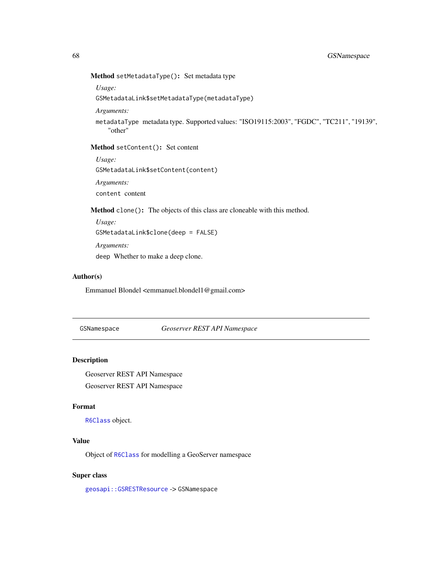Method setMetadataType(): Set metadata type

*Usage:*

GSMetadataLink\$setMetadataType(metadataType)

*Arguments:*

metadataType metadata type. Supported values: "ISO19115:2003", "FGDC", "TC211", "19139", "other"

### <span id="page-67-0"></span>Method setContent(): Set content

*Usage:* GSMetadataLink\$setContent(content) *Arguments:*

content content

Method clone(): The objects of this class are cloneable with this method.

*Usage:* GSMetadataLink\$clone(deep = FALSE) *Arguments:* deep Whether to make a deep clone.

#### Author(s)

Emmanuel Blondel <emmanuel.blondel1@gmail.com>

<span id="page-67-1"></span>GSNamespace *Geoserver REST API Namespace*

#### Description

Geoserver REST API Namespace

Geoserver REST API Namespace

#### Format

[R6Class](#page-0-0) object.

# Value

Object of [R6Class](#page-0-0) for modelling a GeoServer namespace

#### Super class

[geosapi::GSRESTResource](#page-0-0) -> GSNamespace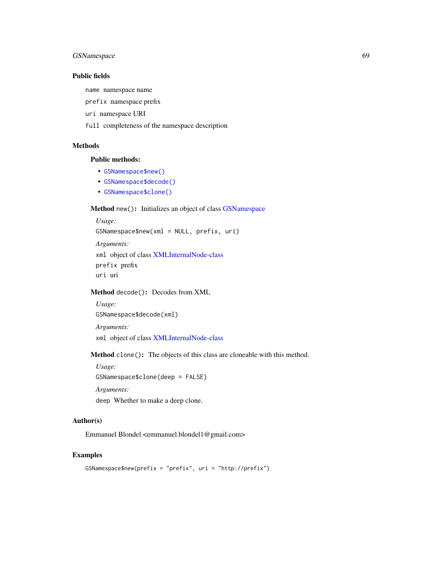# GSNamespace 69

# Public fields

name namespace name

prefix namespace prefix

uri namespace URI

full completeness of the namespace description

# Methods

# Public methods:

- [GSNamespace\\$new\(\)](#page-3-0)
- [GSNamespace\\$decode\(\)](#page-3-1)
- [GSNamespace\\$clone\(\)](#page-4-0)

# Method new(): Initializes an object of class [GSNamespace](#page-67-1)

```
Usage:
GSNamespace$new(xml = NULL, prefix, uri)
Arguments:
xml object of class XMLInternalNode-class
prefix prefix
uri uri
```
### Method decode(): Decodes from XML

```
Usage:
GSNamespace$decode(xml)
Arguments:
```
xml object of class [XMLInternalNode-class](#page-0-0)

Method clone(): The objects of this class are cloneable with this method.

*Usage:* GSNamespace\$clone(deep = FALSE)

*Arguments:*

deep Whether to make a deep clone.

# Author(s)

Emmanuel Blondel <emmanuel.blondel1@gmail.com>

#### Examples

```
GSNamespace$new(prefix = "prefix", uri = "http://prefix")
```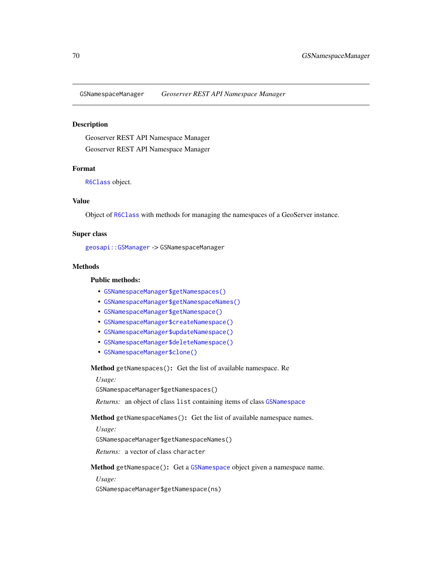<span id="page-69-0"></span>GSNamespaceManager *Geoserver REST API Namespace Manager*

#### Description

Geoserver REST API Namespace Manager Geoserver REST API Namespace Manager

#### Format

[R6Class](#page-0-0) object.

#### Value

Object of [R6Class](#page-0-0) with methods for managing the namespaces of a GeoServer instance.

# Super class

[geosapi::GSManager](#page-0-0) -> GSNamespaceManager

# Methods

#### Public methods:

- [GSNamespaceManager\\$getNamespaces\(\)](#page-69-1)
- [GSNamespaceManager\\$getNamespaceNames\(\)](#page-69-2)
- [GSNamespaceManager\\$getNamespace\(\)](#page-69-3)
- [GSNamespaceManager\\$createNamespace\(\)](#page-70-0)
- [GSNamespaceManager\\$updateNamespace\(\)](#page-70-1)
- [GSNamespaceManager\\$deleteNamespace\(\)](#page-70-2)
- [GSNamespaceManager\\$clone\(\)](#page-4-0)

<span id="page-69-1"></span>Method getNamespaces(): Get the list of available namespace. Re

*Usage:*

GSNamespaceManager\$getNamespaces()

*Returns:* an object of class list containing items of class [GSNamespace](#page-67-1)

<span id="page-69-2"></span>Method getNamespaceNames(): Get the list of available namespace names.

*Usage:*

GSNamespaceManager\$getNamespaceNames()

*Returns:* a vector of class character

<span id="page-69-3"></span>Method getNamespace(): Get a [GSNamespace](#page-67-1) object given a namespace name.

*Usage:*

GSNamespaceManager\$getNamespace(ns)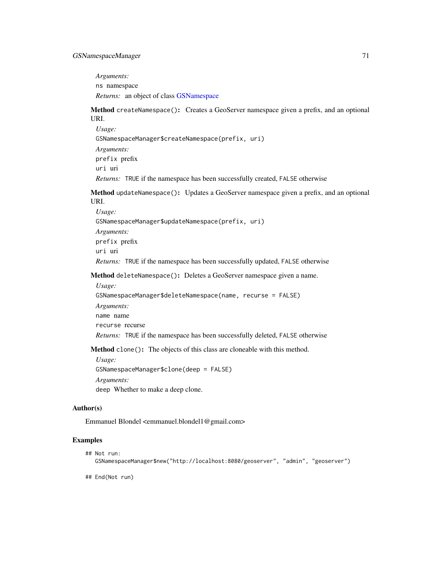*Arguments:* ns namespace *Returns:* an object of class [GSNamespace](#page-67-1)

<span id="page-70-0"></span>Method createNamespace(): Creates a GeoServer namespace given a prefix, and an optional URI.

*Usage:* GSNamespaceManager\$createNamespace(prefix, uri) *Arguments:* prefix prefix uri uri *Returns:* TRUE if the namespace has been successfully created, FALSE otherwise

<span id="page-70-1"></span>Method updateNamespace(): Updates a GeoServer namespace given a prefix, and an optional URI.

*Usage:* GSNamespaceManager\$updateNamespace(prefix, uri) *Arguments:* prefix prefix uri uri *Returns:* TRUE if the namespace has been successfully updated, FALSE otherwise

<span id="page-70-2"></span>Method deleteNamespace(): Deletes a GeoServer namespace given a name.

*Usage:* GSNamespaceManager\$deleteNamespace(name, recurse = FALSE) *Arguments:* name name recurse recurse *Returns:* TRUE if the namespace has been successfully deleted, FALSE otherwise

Method clone(): The objects of this class are cloneable with this method.

*Usage:* GSNamespaceManager\$clone(deep = FALSE) *Arguments:* deep Whether to make a deep clone.

#### Author(s)

Emmanuel Blondel <emmanuel.blondel1@gmail.com>

# Examples

```
## Not run:
  GSNamespaceManager$new("http://localhost:8080/geoserver", "admin", "geoserver")
```
## End(Not run)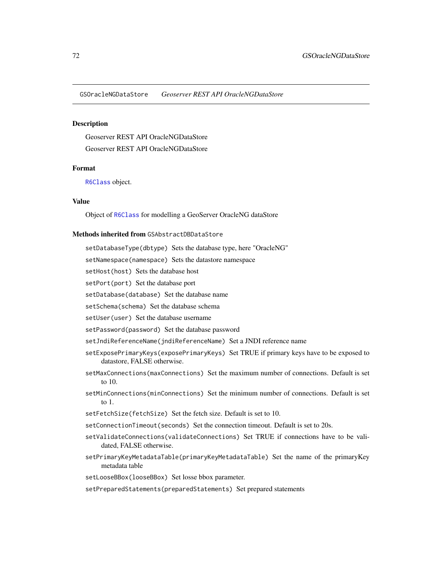GSOracleNGDataStore *Geoserver REST API OracleNGDataStore*

#### Description

Geoserver REST API OracleNGDataStore Geoserver REST API OracleNGDataStore

### Format

[R6Class](#page-0-0) object.

#### Value

Object of [R6Class](#page-0-0) for modelling a GeoServer OracleNG dataStore

### Methods inherited from GSAbstractDBDataStore

setDatabaseType(dbtype) Sets the database type, here "OracleNG"

setNamespace(namespace) Sets the datastore namespace

setHost(host) Sets the database host

setPort(port) Set the database port

setDatabase(database) Set the database name

setSchema(schema) Set the database schema

setUser(user) Set the database username

setPassword(password) Set the database password

setJndiReferenceName(jndiReferenceName) Set a JNDI reference name

- setExposePrimaryKeys(exposePrimaryKeys) Set TRUE if primary keys have to be exposed to datastore, FALSE otherwise.
- setMaxConnections(maxConnections) Set the maximum number of connections. Default is set to 10.
- setMinConnections(minConnections) Set the minimum number of connections. Default is set to 1.
- setFetchSize(fetchSize) Set the fetch size. Default is set to 10.
- setConnectionTimeout(seconds) Set the connection timeout. Default is set to 20s.
- setValidateConnections(validateConnections) Set TRUE if connections have to be validated, FALSE otherwise.
- setPrimaryKeyMetadataTable(primaryKeyMetadataTable) Set the name of the primaryKey metadata table

setLooseBBox(looseBBox) Set losse bbox parameter.

setPreparedStatements(preparedStatements) Set prepared statements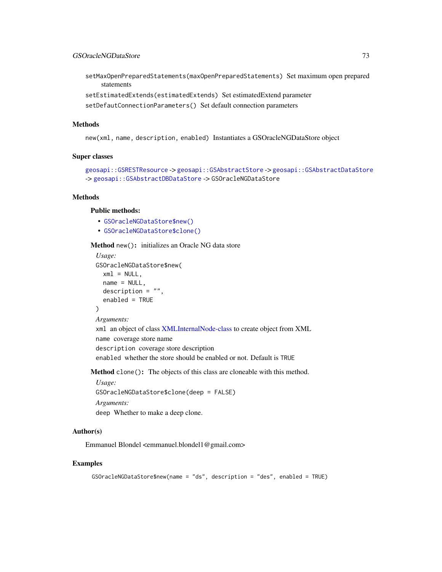setMaxOpenPreparedStatements(maxOpenPreparedStatements) Set maximum open prepared statements

setEstimatedExtends(estimatedExtends) Set estimatedExtend parameter

setDefautConnectionParameters() Set default connection parameters

# Methods

new(xml, name, description, enabled) Instantiates a GSOracleNGDataStore object

#### Super classes

```
geosapi::GSRESTResource -> geosapi::GSAbstractStore -> geosapi::GSAbstractDataStore
-> geosapi::GSAbstractDBDataStore -> GSOracleNGDataStore
```
#### Methods

# Public methods:

- [GSOracleNGDataStore\\$new\(\)](#page-3-0)
- [GSOracleNGDataStore\\$clone\(\)](#page-4-0)

Method new(): initializes an Oracle NG data store

```
Usage:
GSOracleNGDataStore$new(
  xml = NULL,name = NULL,
  description = ",
  enabled = TRUE
)
Arguments:
xml an object of class XMLInternalNode-class to create object from XML
name coverage store name
description coverage store description
enabled whether the store should be enabled or not. Default is TRUE
```
Method clone(): The objects of this class are cloneable with this method.

*Usage:* GSOracleNGDataStore\$clone(deep = FALSE) *Arguments:* deep Whether to make a deep clone.

# Author(s)

Emmanuel Blondel <emmanuel.blondel1@gmail.com>

## Examples

```
GSOracleNGDataStore$new(name = "ds", description = "des", enabled = TRUE)
```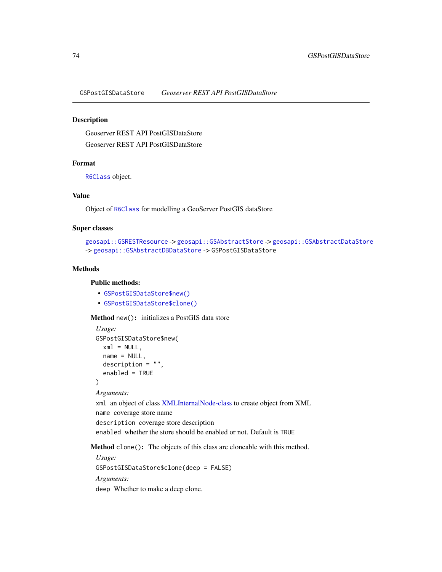GSPostGISDataStore *Geoserver REST API PostGISDataStore*

#### Description

Geoserver REST API PostGISDataStore Geoserver REST API PostGISDataStore

# Format

[R6Class](#page-0-0) object.

#### Value

Object of [R6Class](#page-0-0) for modelling a GeoServer PostGIS dataStore

#### Super classes

```
geosapi::GSRESTResource -> geosapi::GSAbstractStore -> geosapi::GSAbstractDataStore
-> geosapi::GSAbstractDBDataStore -> GSPostGISDataStore
```
## Methods

# Public methods:

- [GSPostGISDataStore\\$new\(\)](#page-3-0)
- [GSPostGISDataStore\\$clone\(\)](#page-4-0)

#### Method new(): initializes a PostGIS data store

```
Usage:
GSPostGISDataStore$new(
  xml = NULL,name = NULL,description = ",
  enabled = TRUE
)
Arguments:
```
xml an object of class [XMLInternalNode-class](#page-0-0) to create object from XML

name coverage store name

description coverage store description

enabled whether the store should be enabled or not. Default is TRUE

Method clone(): The objects of this class are cloneable with this method.

*Usage:* GSPostGISDataStore\$clone(deep = FALSE) *Arguments:* deep Whether to make a deep clone.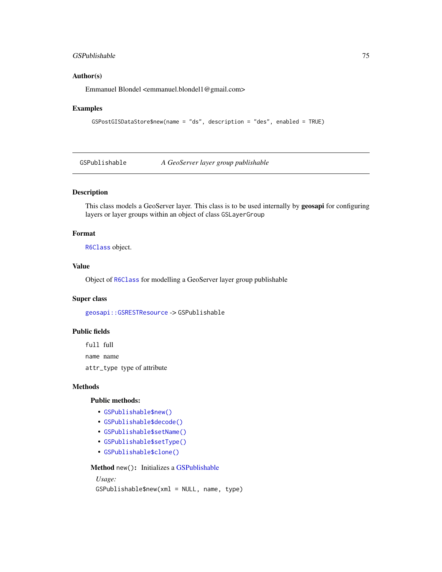## GSPublishable 75

#### Author(s)

Emmanuel Blondel <emmanuel.blondel1@gmail.com>

#### Examples

```
GSPostGISDataStore$new(name = "ds", description = "des", enabled = TRUE)
```
<span id="page-74-0"></span>GSPublishable *A GeoServer layer group publishable*

#### Description

This class models a GeoServer layer. This class is to be used internally by **geosapi** for configuring layers or layer groups within an object of class GSLayerGroup

## Format

[R6Class](#page-0-0) object.

# Value

Object of [R6Class](#page-0-0) for modelling a GeoServer layer group publishable

## Super class

[geosapi::GSRESTResource](#page-0-0) -> GSPublishable

## Public fields

full full name name

attr\_type type of attribute

#### Methods

#### Public methods:

- [GSPublishable\\$new\(\)](#page-3-0)
- [GSPublishable\\$decode\(\)](#page-3-1)
- [GSPublishable\\$setName\(\)](#page-17-0)
- [GSPublishable\\$setType\(\)](#page-12-0)
- [GSPublishable\\$clone\(\)](#page-4-0)

Method new(): Initializes a [GSPublishable](#page-74-0)

## *Usage:*

GSPublishable\$new(xml = NULL, name, type)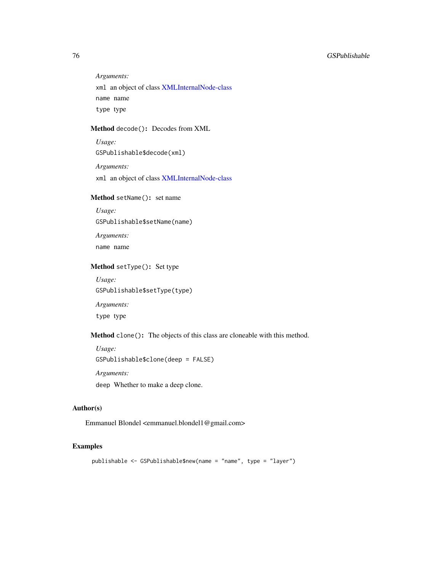## 76 GSPublishable

*Arguments:*

xml an object of class [XMLInternalNode-class](#page-0-0) name name type type

## Method decode(): Decodes from XML

*Usage:* GSPublishable\$decode(xml)

*Arguments:* xml an object of class [XMLInternalNode-class](#page-0-0)

## Method setName(): set name

*Usage:* GSPublishable\$setName(name) *Arguments:*

name name

# Method setType(): Set type

*Usage:* GSPublishable\$setType(type) *Arguments:* type type

Method clone(): The objects of this class are cloneable with this method.

*Usage:* GSPublishable\$clone(deep = FALSE) *Arguments:* deep Whether to make a deep clone.

## Author(s)

Emmanuel Blondel <emmanuel.blondel1@gmail.com>

# Examples

publishable <- GSPublishable\$new(name = "name", type = "layer")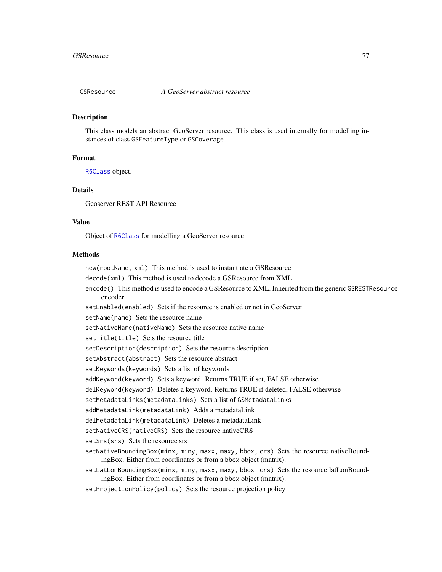<span id="page-76-0"></span>

#### **Description**

This class models an abstract GeoServer resource. This class is used internally for modelling instances of class GSFeatureType or GSCoverage

## Format

[R6Class](#page-0-0) object.

# Details

Geoserver REST API Resource

## Value

Object of [R6Class](#page-0-0) for modelling a GeoServer resource

#### Methods

new(rootName, xml) This method is used to instantiate a GSResource decode(xml) This method is used to decode a GSResource from XML encode() This method is used to encode a GSResource to XML. Inherited from the generic GSRESTResource encoder setEnabled(enabled) Sets if the resource is enabled or not in GeoServer setName(name) Sets the resource name setNativeName(nativeName) Sets the resource native name setTitle(title) Sets the resource title setDescription(description) Sets the resource description setAbstract(abstract) Sets the resource abstract setKeywords(keywords) Sets a list of keywords addKeyword(keyword) Sets a keyword. Returns TRUE if set, FALSE otherwise delKeyword(keyword) Deletes a keyword. Returns TRUE if deleted, FALSE otherwise setMetadataLinks(metadataLinks) Sets a list of GSMetadataLinks addMetadataLink(metadataLink) Adds a metadataLink delMetadataLink(metadataLink) Deletes a metadataLink setNativeCRS(nativeCRS) Sets the resource nativeCRS setSrs(srs) Sets the resource srs setNativeBoundingBox(minx, miny, maxx, maxy, bbox, crs) Sets the resource nativeBoundingBox. Either from coordinates or from a bbox object (matrix). setLatLonBoundingBox(minx, miny, maxx, maxy, bbox, crs) Sets the resource latLonBoundingBox. Either from coordinates or from a bbox object (matrix).

setProjectionPolicy(policy) Sets the resource projection policy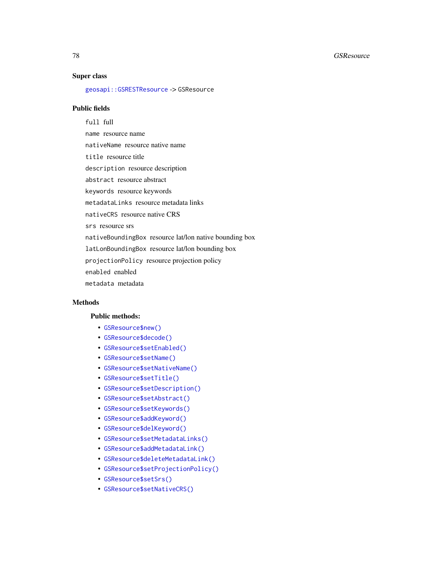#### 78 GSResource

#### Super class

[geosapi::GSRESTResource](#page-0-0) -> GSResource

## Public fields

full full name resource name nativeName resource native name title resource title description resource description abstract resource abstract keywords resource keywords metadataLinks resource metadata links nativeCRS resource native CRS srs resource srs nativeBoundingBox resource lat/lon native bounding box latLonBoundingBox resource lat/lon bounding box projectionPolicy resource projection policy enabled enabled metadata metadata

# Methods

#### Public methods:

- [GSResource\\$new\(\)](#page-3-0)
- [GSResource\\$decode\(\)](#page-3-1)
- [GSResource\\$setEnabled\(\)](#page-12-1)
- [GSResource\\$setName\(\)](#page-17-0)
- [GSResource\\$setNativeName\(\)](#page-78-0)
- [GSResource\\$setTitle\(\)](#page-55-0)
- [GSResource\\$setDescription\(\)](#page-12-2)
- [GSResource\\$setAbstract\(\)](#page-56-0)
- [GSResource\\$setKeywords\(\)](#page-79-0)
- [GSResource\\$addKeyword\(\)](#page-79-1)
- [GSResource\\$delKeyword\(\)](#page-79-2)
- [GSResource\\$setMetadataLinks\(\)](#page-57-0)
- [GSResource\\$addMetadataLink\(\)](#page-57-1)
- [GSResource\\$deleteMetadataLink\(\)](#page-57-2)
- [GSResource\\$setProjectionPolicy\(\)](#page-80-0)
- [GSResource\\$setSrs\(\)](#page-80-1)
- [GSResource\\$setNativeCRS\(\)](#page-80-2)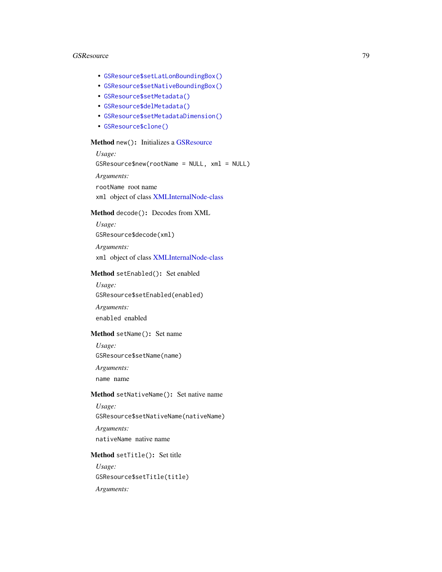#### GSResource 79

- [GSResource\\$setLatLonBoundingBox\(\)](#page-80-3)
- [GSResource\\$setNativeBoundingBox\(\)](#page-80-4)
- [GSResource\\$setMetadata\(\)](#page-81-0)
- [GSResource\\$delMetadata\(\)](#page-81-1)
- [GSResource\\$setMetadataDimension\(\)](#page-81-2)
- [GSResource\\$clone\(\)](#page-4-0)

## Method new(): Initializes a [GSResource](#page-76-0)

*Usage:* GSResource\$new(rootName = NULL, xml = NULL) *Arguments:* rootName root name xml object of class [XMLInternalNode-class](#page-0-0)

# Method decode(): Decodes from XML

*Usage:* GSResource\$decode(xml)

*Arguments:*

xml object of class [XMLInternalNode-class](#page-0-0)

## Method setEnabled(): Set enabled

*Usage:* GSResource\$setEnabled(enabled)

*Arguments:* enabled enabled

## Method setName(): Set name

*Usage:*

GSResource\$setName(name)

*Arguments:*

name name

#### <span id="page-78-0"></span>Method setNativeName(): Set native name

*Usage:* GSResource\$setNativeName(nativeName) *Arguments:* nativeName native name

#### Method setTitle(): Set title

*Usage:* GSResource\$setTitle(title) *Arguments:*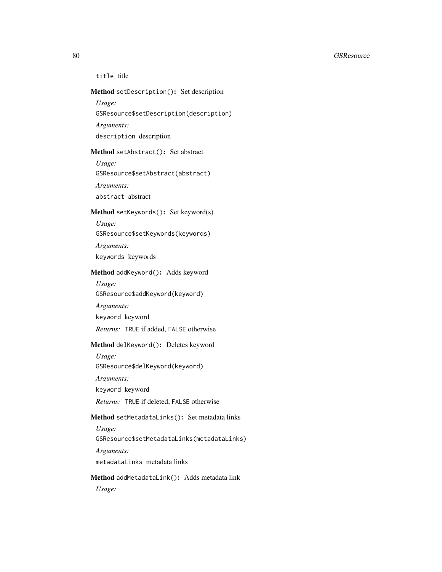#### 80 GSResource and the contract of the contract of the contract of the contract of the contract of the contract of the contract of the contract of the contract of the contract of the contract of the contract of the contract

title title

## Method setDescription(): Set description

*Usage:*

GSResource\$setDescription(description)

*Arguments:*

description description

# Method setAbstract(): Set abstract

*Usage:* GSResource\$setAbstract(abstract) *Arguments:*

abstract abstract

# <span id="page-79-0"></span>Method setKeywords(): Set keyword(s)

*Usage:*

GSResource\$setKeywords(keywords)

*Arguments:*

keywords keywords

#### <span id="page-79-1"></span>Method addKeyword(): Adds keyword

*Usage:*

GSResource\$addKeyword(keyword)

*Arguments:*

keyword keyword

*Returns:* TRUE if added, FALSE otherwise

## <span id="page-79-2"></span>Method delKeyword(): Deletes keyword

*Usage:* GSResource\$delKeyword(keyword) *Arguments:*

keyword keyword

*Returns:* TRUE if deleted, FALSE otherwise

# Method setMetadataLinks(): Set metadata links

*Usage:*

GSResource\$setMetadataLinks(metadataLinks)

*Arguments:*

metadataLinks metadata links

## Method addMetadataLink(): Adds metadata link

*Usage:*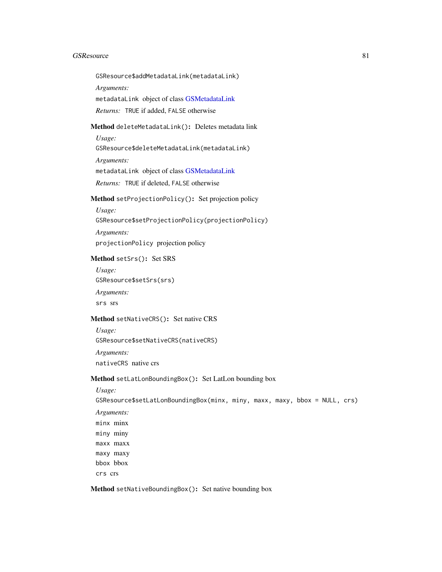#### GSResource 81

GSResource\$addMetadataLink(metadataLink)

*Arguments:*

metadataLink object of class [GSMetadataLink](#page-65-0)

*Returns:* TRUE if added, FALSE otherwise

Method deleteMetadataLink(): Deletes metadata link

*Usage:*

GSResource\$deleteMetadataLink(metadataLink)

*Arguments:*

metadataLink object of class [GSMetadataLink](#page-65-0)

*Returns:* TRUE if deleted, FALSE otherwise

# <span id="page-80-0"></span>Method setProjectionPolicy(): Set projection policy

*Usage:* GSResource\$setProjectionPolicy(projectionPolicy) *Arguments:* projectionPolicy projection policy

<span id="page-80-1"></span>Method setSrs(): Set SRS

*Usage:* GSResource\$setSrs(srs) *Arguments:* srs srs

## <span id="page-80-2"></span>Method setNativeCRS(): Set native CRS

*Usage:* GSResource\$setNativeCRS(nativeCRS)

*Arguments:* nativeCRS native crs

#### <span id="page-80-3"></span>Method setLatLonBoundingBox(): Set LatLon bounding box

*Usage:*

GSResource\$setLatLonBoundingBox(minx, miny, maxx, maxy, bbox = NULL, crs)

*Arguments:* minx minx miny miny maxx maxx maxy maxy bbox bbox crs crs

<span id="page-80-4"></span>Method setNativeBoundingBox(): Set native bounding box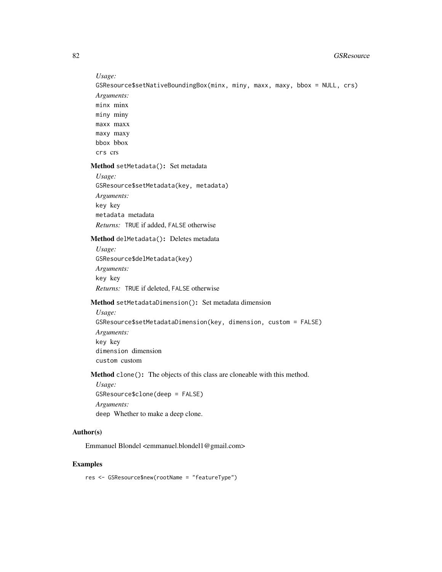*Usage:*

GSResource\$setNativeBoundingBox(minx, miny, maxx, maxy, bbox = NULL, crs) *Arguments:* minx minx miny miny maxx maxx maxy maxy bbox bbox crs crs

<span id="page-81-0"></span>Method setMetadata(): Set metadata

```
Usage:
GSResource$setMetadata(key, metadata)
Arguments:
key key
metadata metadata
Returns: TRUE if added, FALSE otherwise
```
<span id="page-81-1"></span>Method delMetadata(): Deletes metadata

*Usage:* GSResource\$delMetadata(key) *Arguments:* key key *Returns:* TRUE if deleted, FALSE otherwise

<span id="page-81-2"></span>Method setMetadataDimension(): Set metadata dimension

*Usage:* GSResource\$setMetadataDimension(key, dimension, custom = FALSE) *Arguments:* key key dimension dimension custom custom

Method clone(): The objects of this class are cloneable with this method.

*Usage:* GSResource\$clone(deep = FALSE) *Arguments:* deep Whether to make a deep clone.

# Author(s)

Emmanuel Blondel <emmanuel.blondel1@gmail.com>

# Examples

res <- GSResource\$new(rootName = "featureType")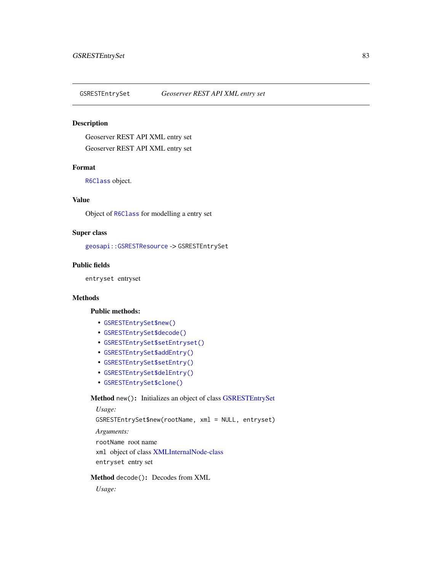<span id="page-82-0"></span>

# Description

Geoserver REST API XML entry set Geoserver REST API XML entry set

## Format

[R6Class](#page-0-0) object.

#### Value

Object of [R6Class](#page-0-0) for modelling a entry set

## Super class

[geosapi::GSRESTResource](#page-0-0) -> GSRESTEntrySet

## Public fields

entryset entryset

## Methods

#### Public methods:

- [GSRESTEntrySet\\$new\(\)](#page-3-0)
- [GSRESTEntrySet\\$decode\(\)](#page-3-1)
- [GSRESTEntrySet\\$setEntryset\(\)](#page-83-0)
- [GSRESTEntrySet\\$addEntry\(\)](#page-83-1)
- [GSRESTEntrySet\\$setEntry\(\)](#page-83-2)
- [GSRESTEntrySet\\$delEntry\(\)](#page-83-3)
- [GSRESTEntrySet\\$clone\(\)](#page-4-0)

## Method new(): Initializes an object of class [GSRESTEntrySet](#page-82-0)

*Usage:* GSRESTEntrySet\$new(rootName, xml = NULL, entryset) *Arguments:* rootName root name xml object of class [XMLInternalNode-class](#page-0-0) entryset entry set

#### Method decode(): Decodes from XML

*Usage:*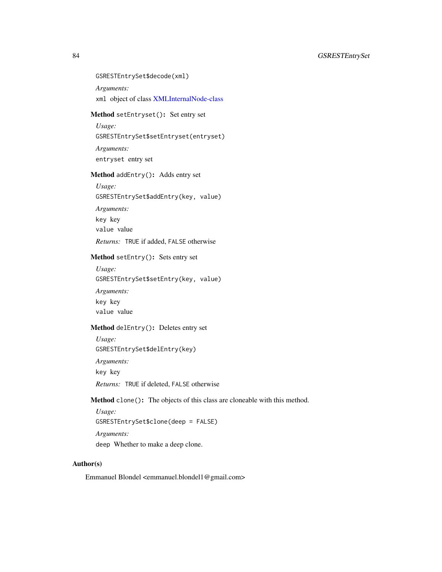GSRESTEntrySet\$decode(xml)

*Arguments:*

xml object of class [XMLInternalNode-class](#page-0-0)

# <span id="page-83-0"></span>Method setEntryset(): Set entry set

*Usage:*

GSRESTEntrySet\$setEntryset(entryset)

*Arguments:*

entryset entry set

# <span id="page-83-1"></span>Method addEntry(): Adds entry set

*Usage:*

GSRESTEntrySet\$addEntry(key, value)

*Arguments:*

key key

value value

*Returns:* TRUE if added, FALSE otherwise

## <span id="page-83-2"></span>Method setEntry(): Sets entry set

*Usage:* GSRESTEntrySet\$setEntry(key, value)

*Arguments:* key key value value

#### <span id="page-83-3"></span>Method delEntry(): Deletes entry set

*Usage:*

GSRESTEntrySet\$delEntry(key)

*Arguments:*

key key

*Returns:* TRUE if deleted, FALSE otherwise

Method clone(): The objects of this class are cloneable with this method.

*Usage:*

GSRESTEntrySet\$clone(deep = FALSE)

*Arguments:*

deep Whether to make a deep clone.

## Author(s)

Emmanuel Blondel <emmanuel.blondel1@gmail.com>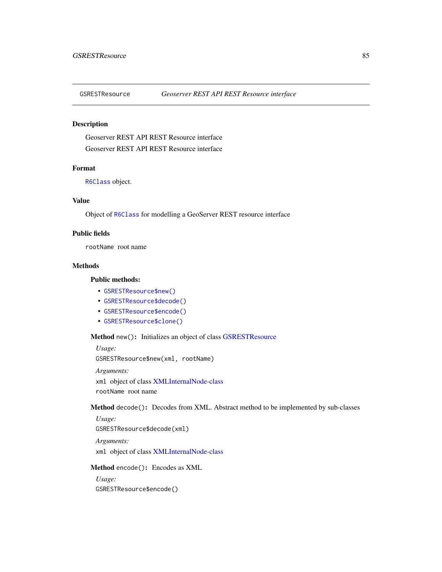<span id="page-84-1"></span>

# Description

Geoserver REST API REST Resource interface Geoserver REST API REST Resource interface

## Format

[R6Class](#page-0-0) object.

# Value

Object of [R6Class](#page-0-0) for modelling a GeoServer REST resource interface

## Public fields

rootName root name

## Methods

# Public methods:

- [GSRESTResource\\$new\(\)](#page-3-0)
- [GSRESTResource\\$decode\(\)](#page-3-1)
- [GSRESTResource\\$encode\(\)](#page-84-0)
- [GSRESTResource\\$clone\(\)](#page-4-0)

# Method new(): Initializes an object of class [GSRESTResource](#page-84-1)

*Usage:* GSRESTResource\$new(xml, rootName)

*Arguments:* xml object of class [XMLInternalNode-class](#page-0-0) rootName root name

Method decode(): Decodes from XML. Abstract method to be implemented by sub-classes

*Usage:*

GSRESTResource\$decode(xml)

*Arguments:*

xml object of class [XMLInternalNode-class](#page-0-0)

#### <span id="page-84-0"></span>Method encode(): Encodes as XML

*Usage:* GSRESTResource\$encode()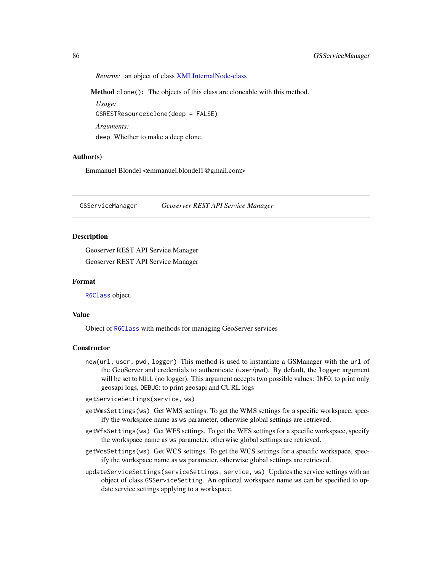*Returns:* an object of class [XMLInternalNode-class](#page-0-0)

Method clone(): The objects of this class are cloneable with this method.

*Usage:* GSRESTResource\$clone(deep = FALSE) *Arguments:* deep Whether to make a deep clone.

#### Author(s)

Emmanuel Blondel <emmanuel.blondel1@gmail.com>

GSServiceManager *Geoserver REST API Service Manager*

#### Description

Geoserver REST API Service Manager Geoserver REST API Service Manager

## Format

[R6Class](#page-0-0) object.

#### Value

Object of [R6Class](#page-0-0) with methods for managing GeoServer services

#### Constructor

new(url, user, pwd, logger) This method is used to instantiate a GSManager with the url of the GeoServer and credentials to authenticate (user/pwd). By default, the logger argument will be set to NULL (no logger). This argument accepts two possible values: INFO: to print only geosapi logs, DEBUG: to print geosapi and CURL logs

getServiceSettings(service, ws)

- getWmsSettings(ws) Get WMS settings. To get the WMS settings for a specific workspace, specify the workspace name as ws parameter, otherwise global settings are retrieved.
- getWfsSettings(ws) Get WFS settings. To get the WFS settings for a specific workspace, specify the workspace name as ws parameter, otherwise global settings are retrieved.
- getWcsSettings(ws) Get WCS settings. To get the WCS settings for a specific workspace, specify the workspace name as ws parameter, otherwise global settings are retrieved.
- updateServiceSettings(serviceSettings, service, ws) Updates the service settings with an object of class GSServiceSetting. An optional workspace name ws can be specified to update service settings applying to a workspace.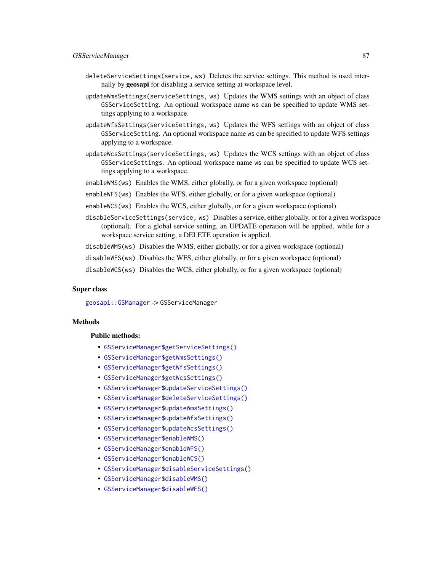#### GSServiceManager 87

- deleteServiceSettings(service, ws) Deletes the service settings. This method is used internally by geosapi for disabling a service setting at workspace level.
- updateWmsSettings(serviceSettings, ws) Updates the WMS settings with an object of class GSServiceSetting. An optional workspace name ws can be specified to update WMS settings applying to a workspace.
- updateWfsSettings(serviceSettings, ws) Updates the WFS settings with an object of class GSServiceSetting. An optional workspace name ws can be specified to update WFS settings applying to a workspace.
- updateWcsSettings(serviceSettings, ws) Updates the WCS settings with an object of class GSServiceSettings. An optional workspace name ws can be specified to update WCS settings applying to a workspace.
- enableWMS(ws) Enables the WMS, either globally, or for a given workspace (optional)
- enableWFS(ws) Enables the WFS, either globally, or for a given workspace (optional)
- enableWCS(ws) Enables the WCS, either globally, or for a given workspace (optional)
- disableServiceSettings(service, ws) Disables a service, either globally, or for a given workspace (optional). For a global service setting, an UPDATE operation will be applied, while for a workspace service setting, a DELETE operation is applied.
- disableWMS(ws) Disables the WMS, either globally, or for a given workspace (optional)
- disableWFS(ws) Disables the WFS, either globally, or for a given workspace (optional)
- disableWCS(ws) Disables the WCS, either globally, or for a given workspace (optional)

#### Super class

[geosapi::GSManager](#page-0-0) -> GSServiceManager

## Methods

#### Public methods:

- [GSServiceManager\\$getServiceSettings\(\)](#page-87-0)
- [GSServiceManager\\$getWmsSettings\(\)](#page-87-1)
- [GSServiceManager\\$getWfsSettings\(\)](#page-87-2)
- [GSServiceManager\\$getWcsSettings\(\)](#page-87-3)
- [GSServiceManager\\$updateServiceSettings\(\)](#page-87-4)
- [GSServiceManager\\$deleteServiceSettings\(\)](#page-88-0)
- [GSServiceManager\\$updateWmsSettings\(\)](#page-88-1)
- [GSServiceManager\\$updateWfsSettings\(\)](#page-88-2)
- [GSServiceManager\\$updateWcsSettings\(\)](#page-88-3)
- [GSServiceManager\\$enableWMS\(\)](#page-88-4)
- [GSServiceManager\\$enableWFS\(\)](#page-89-0)
- [GSServiceManager\\$enableWCS\(\)](#page-89-1)
- [GSServiceManager\\$disableServiceSettings\(\)](#page-89-2)
- [GSServiceManager\\$disableWMS\(\)](#page-89-3)
- [GSServiceManager\\$disableWFS\(\)](#page-89-4)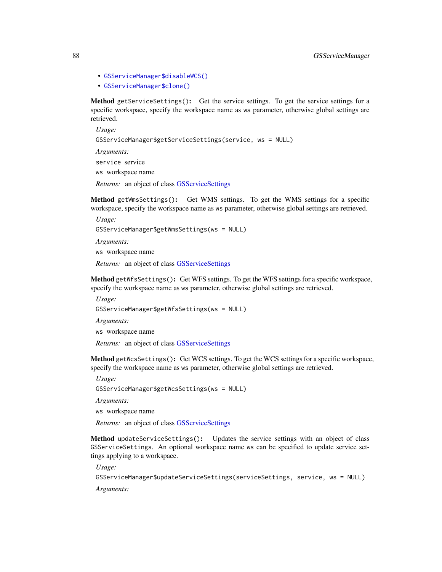- [GSServiceManager\\$disableWCS\(\)](#page-89-5)
- [GSServiceManager\\$clone\(\)](#page-4-0)

<span id="page-87-0"></span>Method getServiceSettings(): Get the service settings. To get the service settings for a specific workspace, specify the workspace name as ws parameter, otherwise global settings are retrieved.

*Usage:* GSServiceManager\$getServiceSettings(service, ws = NULL) *Arguments:* service service ws workspace name

*Returns:* an object of class [GSServiceSettings](#page-90-0)

<span id="page-87-1"></span>Method getWmsSettings(): Get WMS settings. To get the WMS settings for a specific workspace, specify the workspace name as ws parameter, otherwise global settings are retrieved.

*Usage:* GSServiceManager\$getWmsSettings(ws = NULL)

*Arguments:*

ws workspace name

*Returns:* an object of class [GSServiceSettings](#page-90-0)

<span id="page-87-2"></span>Method getWfsSettings(): Get WFS settings. To get the WFS settings for a specific workspace, specify the workspace name as ws parameter, otherwise global settings are retrieved.

*Usage:*

GSServiceManager\$getWfsSettings(ws = NULL)

*Arguments:*

ws workspace name

*Returns:* an object of class [GSServiceSettings](#page-90-0)

<span id="page-87-3"></span>Method getWcsSettings(): Get WCS settings. To get the WCS settings for a specific workspace, specify the workspace name as ws parameter, otherwise global settings are retrieved.

*Usage:*

GSServiceManager\$getWcsSettings(ws = NULL)

*Arguments:*

ws workspace name

*Returns:* an object of class [GSServiceSettings](#page-90-0)

<span id="page-87-4"></span>Method updateServiceSettings(): Updates the service settings with an object of class GSServiceSettings. An optional workspace name ws can be specified to update service settings applying to a workspace.

*Usage:*

GSServiceManager\$updateServiceSettings(serviceSettings, service, ws = NULL)

*Arguments:*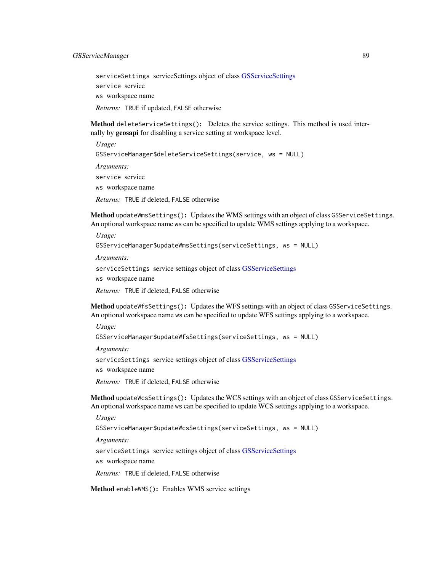serviceSettings serviceSettings object of class [GSServiceSettings](#page-90-0) service service ws workspace name *Returns:* TRUE if updated, FALSE otherwise

<span id="page-88-0"></span>Method deleteServiceSettings(): Deletes the service settings. This method is used internally by geosapi for disabling a service setting at workspace level.

*Usage:* GSServiceManager\$deleteServiceSettings(service, ws = NULL) *Arguments:* service service ws workspace name *Returns:* TRUE if deleted, FALSE otherwise

<span id="page-88-1"></span>Method updateWmsSettings(): Updates the WMS settings with an object of class GSServiceSettings. An optional workspace name ws can be specified to update WMS settings applying to a workspace.

```
Usage:
GSServiceManager$updateWmsSettings(serviceSettings, ws = NULL)
Arguments:
serviceSettings service settings object of class GSServiceSettings
ws workspace name
```
*Returns:* TRUE if deleted, FALSE otherwise

<span id="page-88-2"></span>Method updateWfsSettings(): Updates the WFS settings with an object of class GSServiceSettings. An optional workspace name ws can be specified to update WFS settings applying to a workspace.

*Usage:*

```
GSServiceManager$updateWfsSettings(serviceSettings, ws = NULL)
```
*Arguments:*

serviceSettings service settings object of class [GSServiceSettings](#page-90-0)

ws workspace name

*Returns:* TRUE if deleted, FALSE otherwise

<span id="page-88-3"></span>Method updateWcsSettings(): Updates the WCS settings with an object of class GSServiceSettings. An optional workspace name ws can be specified to update WCS settings applying to a workspace.

*Usage:*

```
GSServiceManager$updateWcsSettings(serviceSettings, ws = NULL)
```
*Arguments:*

serviceSettings service settings object of class [GSServiceSettings](#page-90-0) ws workspace name

*Returns:* TRUE if deleted, FALSE otherwise

<span id="page-88-4"></span>Method enableWMS(): Enables WMS service settings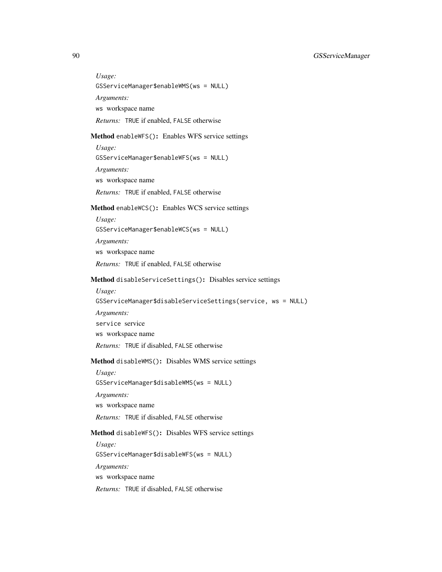*Usage:* GSServiceManager\$enableWMS(ws = NULL) *Arguments:* ws workspace name *Returns:* TRUE if enabled, FALSE otherwise

# <span id="page-89-0"></span>Method enableWFS(): Enables WFS service settings

*Usage:* GSServiceManager\$enableWFS(ws = NULL) *Arguments:* ws workspace name *Returns:* TRUE if enabled, FALSE otherwise

## <span id="page-89-1"></span>Method enableWCS(): Enables WCS service settings

*Usage:* GSServiceManager\$enableWCS(ws = NULL) *Arguments:* ws workspace name *Returns:* TRUE if enabled, FALSE otherwise

## <span id="page-89-2"></span>Method disableServiceSettings(): Disables service settings

*Usage:*

GSServiceManager\$disableServiceSettings(service, ws = NULL) *Arguments:*

service service

ws workspace name

*Returns:* TRUE if disabled, FALSE otherwise

# <span id="page-89-3"></span>Method disableWMS(): Disables WMS service settings

*Usage:* GSServiceManager\$disableWMS(ws = NULL)

*Arguments:*

ws workspace name

*Returns:* TRUE if disabled, FALSE otherwise

# <span id="page-89-4"></span>Method disableWFS(): Disables WFS service settings

<span id="page-89-5"></span>*Usage:* GSServiceManager\$disableWFS(ws = NULL) *Arguments:* ws workspace name *Returns:* TRUE if disabled, FALSE otherwise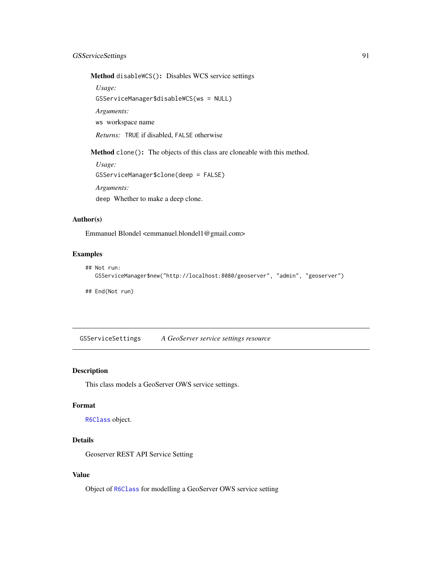# GSServiceSettings 91

Method disableWCS(): Disables WCS service settings

*Usage:*

GSServiceManager\$disableWCS(ws = NULL)

*Arguments:*

ws workspace name

*Returns:* TRUE if disabled, FALSE otherwise

Method clone(): The objects of this class are cloneable with this method.

*Usage:* GSServiceManager\$clone(deep = FALSE) *Arguments:* deep Whether to make a deep clone.

# Author(s)

Emmanuel Blondel <emmanuel.blondel1@gmail.com>

# Examples

```
## Not run:
  GSServiceManager$new("http://localhost:8080/geoserver", "admin", "geoserver")
```
## End(Not run)

<span id="page-90-0"></span>GSServiceSettings *A GeoServer service settings resource*

## Description

This class models a GeoServer OWS service settings.

#### Format

[R6Class](#page-0-0) object.

# Details

Geoserver REST API Service Setting

#### Value

Object of [R6Class](#page-0-0) for modelling a GeoServer OWS service setting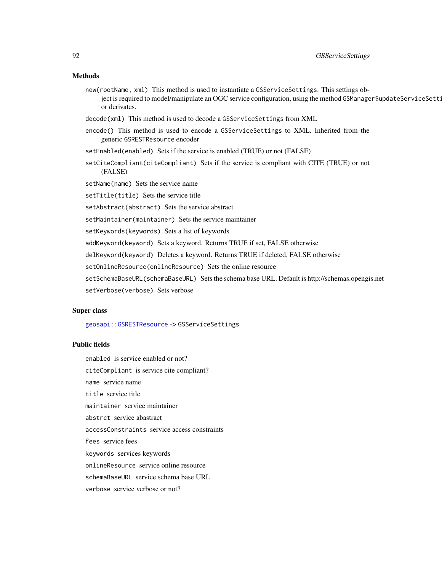#### Methods

- new(rootName, xml) This method is used to instantiate a GSServiceSettings. This settings object is required to model/manipulate an OGC service configuration, using the method GSManager\$updateServiceSett: or derivates.
- decode(xml) This method is used to decode a GSServiceSettings from XML
- encode() This method is used to encode a GSServiceSettings to XML. Inherited from the generic GSRESTResource encoder
- setEnabled(enabled) Sets if the service is enabled (TRUE) or not (FALSE)
- setCiteCompliant(citeCompliant) Sets if the service is compliant with CITE (TRUE) or not (FALSE)
- setName(name) Sets the service name
- setTitle(title) Sets the service title
- setAbstract(abstract) Sets the service abstract
- setMaintainer(maintainer) Sets the service maintainer
- setKeywords(keywords) Sets a list of keywords
- addKeyword(keyword) Sets a keyword. Returns TRUE if set, FALSE otherwise
- delKeyword(keyword) Deletes a keyword. Returns TRUE if deleted, FALSE otherwise
- setOnlineResource(onlineResource) Sets the online resource
- setSchemaBaseURL(schemaBaseURL) Sets the schema base URL. Default is http://schemas.opengis.net
- setVerbose(verbose) Sets verbose

## Super class

[geosapi::GSRESTResource](#page-0-0) -> GSServiceSettings

## Public fields

enabled is service enabled or not?

citeCompliant is service cite compliant?

name service name

title service title

maintainer service maintainer

abstrct service abastract

accessConstraints service access constraints

fees service fees

keywords services keywords

onlineResource service online resource

schemaBaseURL service schema base URL

verbose service verbose or not?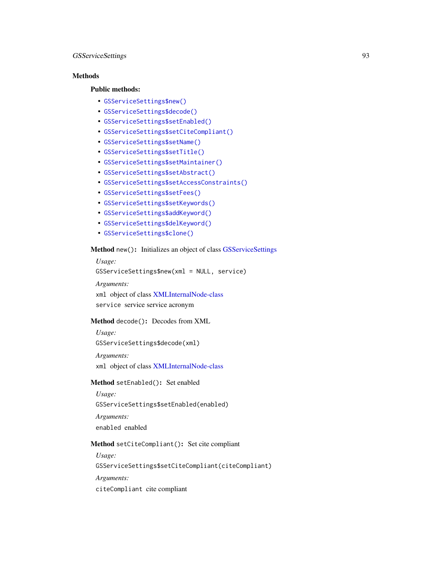## GSServiceSettings 93

# Methods

#### Public methods:

- [GSServiceSettings\\$new\(\)](#page-3-0)
- [GSServiceSettings\\$decode\(\)](#page-3-1)
- [GSServiceSettings\\$setEnabled\(\)](#page-12-1)
- [GSServiceSettings\\$setCiteCompliant\(\)](#page-92-0)
- [GSServiceSettings\\$setName\(\)](#page-17-0)
- [GSServiceSettings\\$setTitle\(\)](#page-55-0)
- [GSServiceSettings\\$setMaintainer\(\)](#page-93-0)
- [GSServiceSettings\\$setAbstract\(\)](#page-56-0)
- [GSServiceSettings\\$setAccessConstraints\(\)](#page-93-1)
- [GSServiceSettings\\$setFees\(\)](#page-93-2)
- [GSServiceSettings\\$setKeywords\(\)](#page-79-0)
- [GSServiceSettings\\$addKeyword\(\)](#page-79-1)
- [GSServiceSettings\\$delKeyword\(\)](#page-79-2)
- [GSServiceSettings\\$clone\(\)](#page-4-0)

## Method new(): Initializes an object of class [GSServiceSettings](#page-90-0)

```
Usage:
GSServiceSettings$new(xml = NULL, service)
Arguments:
```
xml object of class [XMLInternalNode-class](#page-0-0) service service service acronym

## Method decode(): Decodes from XML

*Usage:* GSServiceSettings\$decode(xml)

*Arguments:* xml object of class [XMLInternalNode-class](#page-0-0)

## Method setEnabled(): Set enabled

*Usage:* GSServiceSettings\$setEnabled(enabled) *Arguments:* enabled enabled

## <span id="page-92-0"></span>Method setCiteCompliant(): Set cite compliant

*Usage:*

GSServiceSettings\$setCiteCompliant(citeCompliant)

*Arguments:*

citeCompliant cite compliant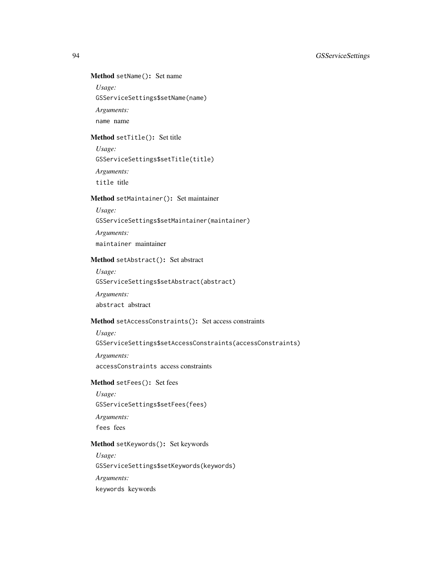# Method setName(): Set name

*Usage:*

GSServiceSettings\$setName(name)

*Arguments:*

name name

## Method setTitle(): Set title

*Usage:*

GSServiceSettings\$setTitle(title)

*Arguments:*

title title

# <span id="page-93-0"></span>Method setMaintainer(): Set maintainer

*Usage:*

GSServiceSettings\$setMaintainer(maintainer)

*Arguments:*

maintainer maintainer

# Method setAbstract(): Set abstract

*Usage:* GSServiceSettings\$setAbstract(abstract)

*Arguments:*

abstract abstract

# <span id="page-93-1"></span>Method setAccessConstraints(): Set access constraints

*Usage:* GSServiceSettings\$setAccessConstraints(accessConstraints) *Arguments:* accessConstraints access constraints

# <span id="page-93-2"></span>Method setFees(): Set fees

*Usage:* GSServiceSettings\$setFees(fees) *Arguments:* fees fees

## Method setKeywords(): Set keywords

*Usage:*

GSServiceSettings\$setKeywords(keywords)

*Arguments:*

keywords keywords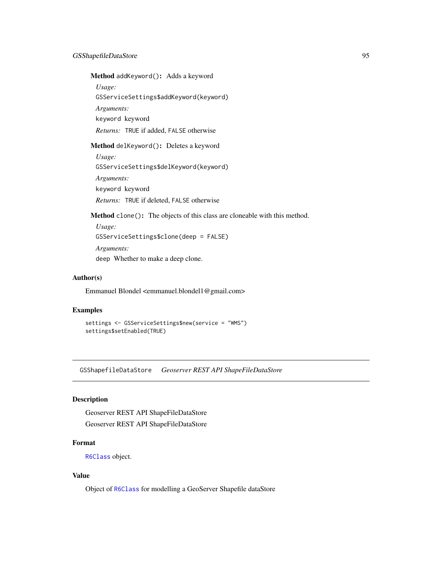Method addKeyword(): Adds a keyword

*Usage:*

GSServiceSettings\$addKeyword(keyword)

*Arguments:*

keyword keyword

*Returns:* TRUE if added, FALSE otherwise

Method delKeyword(): Deletes a keyword

*Usage:* GSServiceSettings\$delKeyword(keyword) *Arguments:* keyword keyword *Returns:* TRUE if deleted, FALSE otherwise

Method clone(): The objects of this class are cloneable with this method.

```
Usage:
GSServiceSettings$clone(deep = FALSE)
Arguments:
deep Whether to make a deep clone.
```
# Author(s)

Emmanuel Blondel <emmanuel.blondel1@gmail.com>

## Examples

```
settings <- GSServiceSettings$new(service = "WMS")
settings$setEnabled(TRUE)
```
GSShapefileDataStore *Geoserver REST API ShapeFileDataStore*

## Description

Geoserver REST API ShapeFileDataStore Geoserver REST API ShapeFileDataStore

# Format

[R6Class](#page-0-0) object.

## Value

Object of [R6Class](#page-0-0) for modelling a GeoServer Shapefile dataStore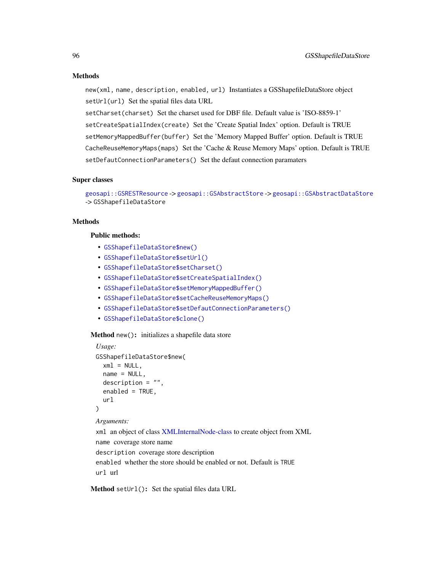#### Methods

new(xml, name, description, enabled, url) Instantiates a GSShapefileDataStore object setUrl(url) Set the spatial files data URL

setCharset(charset) Set the charset used for DBF file. Default value is 'ISO-8859-1' setCreateSpatialIndex(create) Set the 'Create Spatial Index' option. Default is TRUE setMemoryMappedBuffer(buffer) Set the 'Memory Mapped Buffer' option. Default is TRUE CacheReuseMemoryMaps(maps) Set the 'Cache & Reuse Memory Maps' option. Default is TRUE setDefautConnectionParameters() Set the defaut connection paramaters

#### Super classes

[geosapi::GSRESTResource](#page-0-0) -> [geosapi::GSAbstractStore](#page-0-0) -> [geosapi::GSAbstractDataStore](#page-0-0) -> GSShapefileDataStore

## **Methods**

## Public methods:

- [GSShapefileDataStore\\$new\(\)](#page-3-0)
- [GSShapefileDataStore\\$setUrl\(\)](#page-3-2)
- [GSShapefileDataStore\\$setCharset\(\)](#page-96-0)
- [GSShapefileDataStore\\$setCreateSpatialIndex\(\)](#page-96-1)
- [GSShapefileDataStore\\$setMemoryMappedBuffer\(\)](#page-96-2)
- [GSShapefileDataStore\\$setCacheReuseMemoryMaps\(\)](#page-96-3)
- [GSShapefileDataStore\\$setDefautConnectionParameters\(\)](#page-10-0)
- [GSShapefileDataStore\\$clone\(\)](#page-4-0)

#### Method new(): initializes a shapefile data store

```
Usage:
GSShapefileDataStore$new(
  xml = NULL,name = NULL,
 description = ",
  enabled = TRUE,
 url
)
```
## *Arguments:*

xml an object of class [XMLInternalNode-class](#page-0-0) to create object from XML name coverage store name description coverage store description enabled whether the store should be enabled or not. Default is TRUE url url

Method setUrl(): Set the spatial files data URL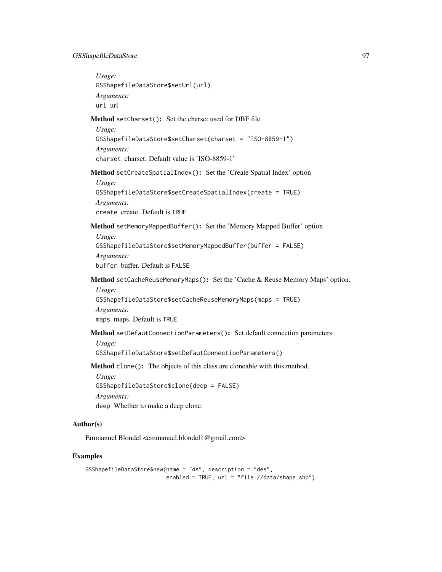## GSShapefileDataStore 97

<span id="page-96-2"></span><span id="page-96-1"></span><span id="page-96-0"></span>*Usage:* GSShapefileDataStore\$setUrl(url) *Arguments:* url url Method setCharset(): Set the charset used for DBF file. *Usage:* GSShapefileDataStore\$setCharset(charset = "ISO-8859-1") *Arguments:* charset charset. Default value is 'ISO-8859-1' Method setCreateSpatialIndex(): Set the 'Create Spatial Index' option *Usage:* GSShapefileDataStore\$setCreateSpatialIndex(create = TRUE) *Arguments:* create create. Default is TRUE Method setMemoryMappedBuffer(): Set the 'Memory Mapped Buffer' option *Usage:* GSShapefileDataStore\$setMemoryMappedBuffer(buffer = FALSE) *Arguments:* buffer buffer. Default is FALSE Method setCacheReuseMemoryMaps(): Set the 'Cache & Reuse Memory Maps' option. *Usage:* GSShapefileDataStore\$setCacheReuseMemoryMaps(maps = TRUE) *Arguments:* maps maps. Default is TRUE Method setDefautConnectionParameters(): Set default connection parameters *Usage:* GSShapefileDataStore\$setDefautConnectionParameters() Method clone(): The objects of this class are cloneable with this method. *Usage:* GSShapefileDataStore\$clone(deep = FALSE) *Arguments:* deep Whether to make a deep clone.

# <span id="page-96-3"></span>Author(s)

Emmanuel Blondel <emmanuel.blondel1@gmail.com>

# Examples

```
GSShapefileDataStore$new(name = "ds", description = "des",
                        enabled = TRUE, url = "file://data/shape.shp")
```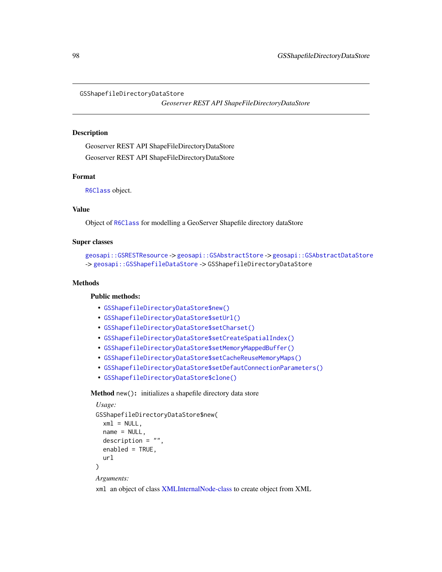GSShapefileDirectoryDataStore

*Geoserver REST API ShapeFileDirectoryDataStore*

#### Description

Geoserver REST API ShapeFileDirectoryDataStore Geoserver REST API ShapeFileDirectoryDataStore

#### Format

[R6Class](#page-0-0) object.

## Value

Object of [R6Class](#page-0-0) for modelling a GeoServer Shapefile directory dataStore

#### Super classes

```
geosapi::GSRESTResource -> geosapi::GSAbstractStore -> geosapi::GSAbstractDataStore
-> geosapi::GSShapefileDataStore -> GSShapefileDirectoryDataStore
```
## Methods

## Public methods:

- [GSShapefileDirectoryDataStore\\$new\(\)](#page-3-0)
- [GSShapefileDirectoryDataStore\\$setUrl\(\)](#page-3-2)
- [GSShapefileDirectoryDataStore\\$setCharset\(\)](#page-96-0)
- [GSShapefileDirectoryDataStore\\$setCreateSpatialIndex\(\)](#page-96-1)
- [GSShapefileDirectoryDataStore\\$setMemoryMappedBuffer\(\)](#page-96-2)
- [GSShapefileDirectoryDataStore\\$setCacheReuseMemoryMaps\(\)](#page-96-3)
- [GSShapefileDirectoryDataStore\\$setDefautConnectionParameters\(\)](#page-10-0)
- [GSShapefileDirectoryDataStore\\$clone\(\)](#page-4-0)

# Method new(): initializes a shapefile directory data store

```
Usage:
GSShapefileDirectoryDataStore$new(
  xml = NULL,name = NULL,description = "",
  enabled = TRUE,
  url
)
Arguments:
```
xml an object of class [XMLInternalNode-class](#page-0-0) to create object from XML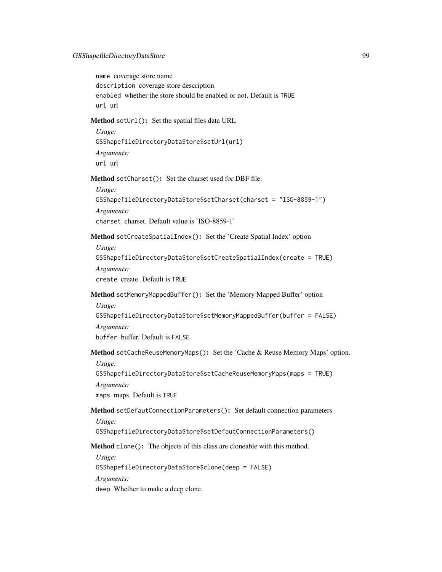name coverage store name description coverage store description enabled whether the store should be enabled or not. Default is TRUE url url

Method setUrl(): Set the spatial files data URL

```
Usage:
GSShapefileDirectoryDataStore$setUrl(url)
Arguments:
url url
```
Method setCharset(): Set the charset used for DBF file.

*Usage:*

```
GSShapefileDirectoryDataStore$setCharset(charset = "ISO-8859-1")
Arguments:
```
charset charset. Default value is 'ISO-8859-1'

Method setCreateSpatialIndex(): Set the 'Create Spatial Index' option

*Usage:*

```
GSShapefileDirectoryDataStore$setCreateSpatialIndex(create = TRUE)
Arguments:
```
create create. Default is TRUE

Method setMemoryMappedBuffer(): Set the 'Memory Mapped Buffer' option *Usage:*

GSShapefileDirectoryDataStore\$setMemoryMappedBuffer(buffer = FALSE)

*Arguments:*

buffer buffer. Default is FALSE

Method setCacheReuseMemoryMaps(): Set the 'Cache & Reuse Memory Maps' option. *Usage:*

GSShapefileDirectoryDataStore\$setCacheReuseMemoryMaps(maps = TRUE)

*Arguments:*

maps maps. Default is TRUE

# Method setDefautConnectionParameters(): Set default connection parameters *Usage:*

GSShapefileDirectoryDataStore\$setDefautConnectionParameters()

#### Method clone(): The objects of this class are cloneable with this method.

*Usage:*

GSShapefileDirectoryDataStore\$clone(deep = FALSE)

*Arguments:*

deep Whether to make a deep clone.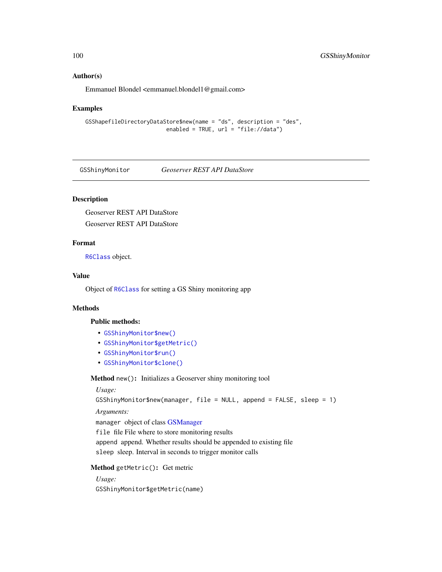#### Author(s)

Emmanuel Blondel <emmanuel.blondel1@gmail.com>

#### Examples

```
GSShapefileDirectoryDataStore$new(name = "ds", description = "des",
                        enabled = TRUE, url = "file://data")
```
GSShinyMonitor *Geoserver REST API DataStore*

# Description

Geoserver REST API DataStore Geoserver REST API DataStore

## Format

[R6Class](#page-0-0) object.

# Value

Object of [R6Class](#page-0-0) for setting a GS Shiny monitoring app

## Methods

## Public methods:

- [GSShinyMonitor\\$new\(\)](#page-3-0)
- [GSShinyMonitor\\$getMetric\(\)](#page-99-0)
- [GSShinyMonitor\\$run\(\)](#page-100-0)
- [GSShinyMonitor\\$clone\(\)](#page-4-0)

Method new(): Initializes a Geoserver shiny monitoring tool

## *Usage:*

GSShinyMonitor\$new(manager, file = NULL, append = FALSE, sleep = 1)

*Arguments:*

manager object of class [GSManager](#page-61-0)

file file File where to store monitoring results

append append. Whether results should be appended to existing file sleep sleep. Interval in seconds to trigger monitor calls

<span id="page-99-0"></span>Method getMetric(): Get metric

*Usage:* GSShinyMonitor\$getMetric(name)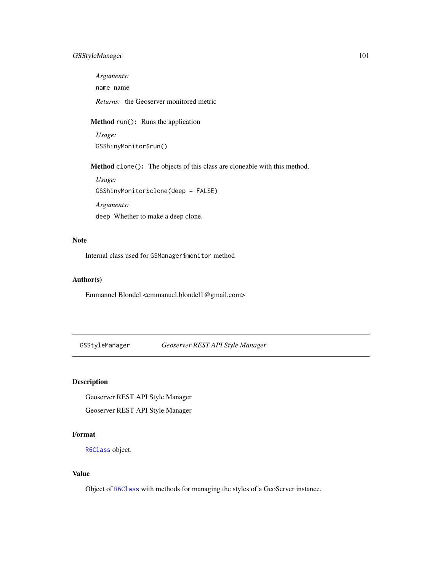# GSStyleManager 101

*Arguments:*

name name

*Returns:* the Geoserver monitored metric

<span id="page-100-0"></span>Method run(): Runs the application

*Usage:* GSShinyMonitor\$run()

Method clone(): The objects of this class are cloneable with this method.

*Usage:* GSShinyMonitor\$clone(deep = FALSE)

*Arguments:* deep Whether to make a deep clone.

#### Note

Internal class used for GSManager\$monitor method

## Author(s)

Emmanuel Blondel <emmanuel.blondel1@gmail.com>

GSStyleManager *Geoserver REST API Style Manager*

# Description

Geoserver REST API Style Manager Geoserver REST API Style Manager

# Format

[R6Class](#page-0-0) object.

# Value

Object of [R6Class](#page-0-0) with methods for managing the styles of a GeoServer instance.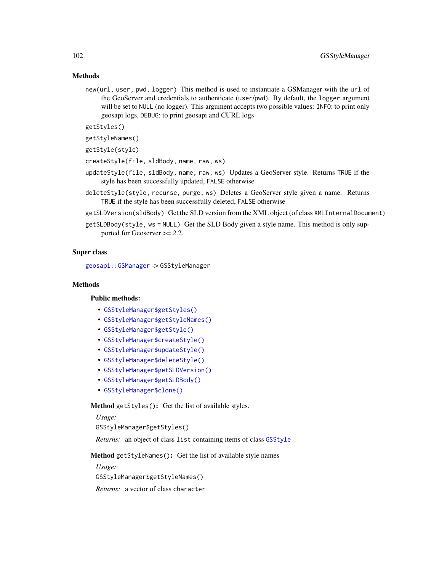## Methods

new(url, user, pwd, logger) This method is used to instantiate a GSManager with the url of the GeoServer and credentials to authenticate (user/pwd). By default, the logger argument will be set to NULL (no logger). This argument accepts two possible values: INFO: to print only geosapi logs, DEBUG: to print geosapi and CURL logs

getStyles()

```
getStyleNames()
```
getStyle(style)

createStyle(file, sldBody, name, raw, ws)

- updateStyle(file, sldBody, name, raw, ws) Updates a GeoServer style. Returns TRUE if the style has been successfully updated, FALSE otherwise
- deleteStyle(style, recurse, purge, ws) Deletes a GeoServer style given a name. Returns TRUE if the style has been successfully deleted, FALSE otherwise
- getSLDVersion(sldBody) Get the SLD version from the XML object (of class XMLInternalDocument)
- getSLDBody(style, ws = NULL) Get the SLD Body given a style name. This method is only supported for Geoserver >= 2.2.

## Super class

[geosapi::GSManager](#page-0-0) -> GSStyleManager

#### **Methods**

# Public methods:

- [GSStyleManager\\$getStyles\(\)](#page-101-0)
- [GSStyleManager\\$getStyleNames\(\)](#page-101-1)
- [GSStyleManager\\$getStyle\(\)](#page-101-2)
- [GSStyleManager\\$createStyle\(\)](#page-102-0)
- [GSStyleManager\\$updateStyle\(\)](#page-102-1)
- [GSStyleManager\\$deleteStyle\(\)](#page-102-2)
- [GSStyleManager\\$getSLDVersion\(\)](#page-103-0)
- [GSStyleManager\\$getSLDBody\(\)](#page-103-1)
- [GSStyleManager\\$clone\(\)](#page-4-0)

<span id="page-101-0"></span>Method getStyles(): Get the list of available styles.

*Usage:*

GSStyleManager\$getStyles()

*Returns:* an object of class list containing items of class [GSStyle](#page-49-0)

<span id="page-101-1"></span>Method getStyleNames(): Get the list of available style names

*Usage:*

GSStyleManager\$getStyleNames()

<span id="page-101-2"></span>*Returns:* a vector of class character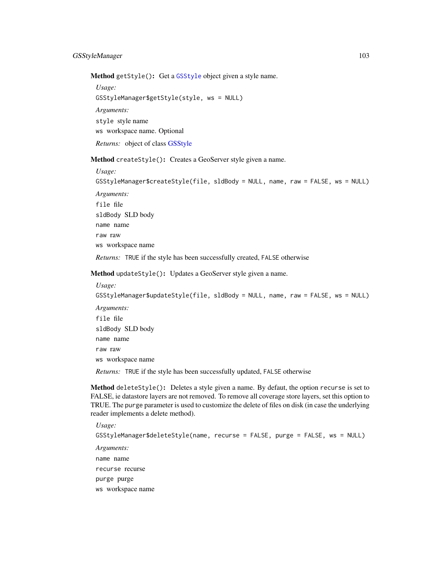Method getStyle(): Get a [GSStyle](#page-49-0) object given a style name.

*Usage:* GSStyleManager\$getStyle(style, ws = NULL) *Arguments:* style style name ws workspace name. Optional *Returns:* object of class [GSStyle](#page-49-0)

<span id="page-102-0"></span>Method createStyle(): Creates a GeoServer style given a name.

*Usage:* GSStyleManager\$createStyle(file, sldBody = NULL, name, raw = FALSE, ws = NULL) *Arguments:* file file sldBody SLD body name name raw raw ws workspace name *Returns:* TRUE if the style has been successfully created, FALSE otherwise

<span id="page-102-1"></span>Method updateStyle(): Updates a GeoServer style given a name.

*Usage:* GSStyleManager\$updateStyle(file, sldBody = NULL, name, raw = FALSE, ws = NULL) *Arguments:* file file sldBody SLD body name name raw raw ws workspace name

*Returns:* TRUE if the style has been successfully updated, FALSE otherwise

<span id="page-102-2"></span>Method deleteStyle(): Deletes a style given a name. By defaut, the option recurse is set to FALSE, ie datastore layers are not removed. To remove all coverage store layers, set this option to TRUE. The purge parameter is used to customize the delete of files on disk (in case the underlying reader implements a delete method).

```
Usage:
GSStyleManager$deleteStyle(name, recurse = FALSE, purge = FALSE, ws = NULL)
Arguments:
name name
recurse recurse
purge purge
ws workspace name
```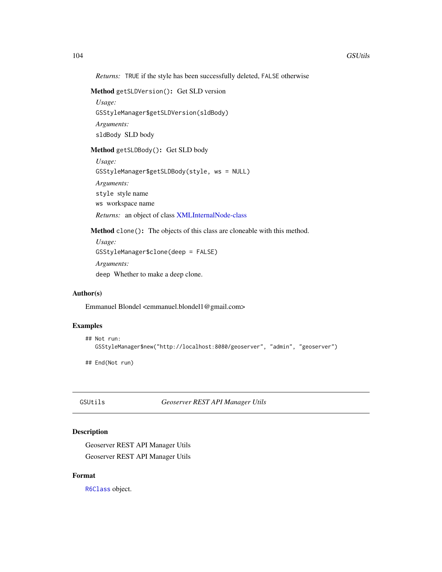*Returns:* TRUE if the style has been successfully deleted, FALSE otherwise

```
Method getSLDVersion(): Get SLD version
```
*Usage:* GSStyleManager\$getSLDVersion(sldBody) *Arguments:* sldBody SLD body

<span id="page-103-1"></span>Method getSLDBody(): Get SLD body

```
Usage:
GSStyleManager$getSLDBody(style, ws = NULL)
Arguments:
style style name
ws workspace name
Returns: an object of class XMLInternalNode-class
```
Method clone(): The objects of this class are cloneable with this method.

```
Usage:
GSStyleManager$clone(deep = FALSE)
Arguments:
deep Whether to make a deep clone.
```
# Author(s)

Emmanuel Blondel <emmanuel.blondel1@gmail.com>

# Examples

```
## Not run:
  GSStyleManager$new("http://localhost:8080/geoserver", "admin", "geoserver")
```
## End(Not run)

GSUtils *Geoserver REST API Manager Utils*

# Description

Geoserver REST API Manager Utils Geoserver REST API Manager Utils

# Format

[R6Class](#page-0-0) object.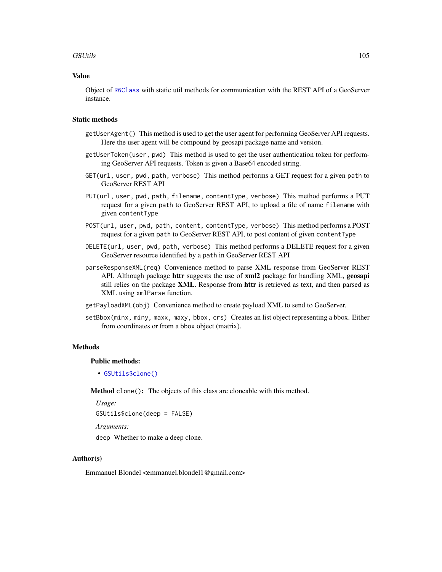#### GSUtils 105

## Value

Object of [R6Class](#page-0-0) with static util methods for communication with the REST API of a GeoServer instance.

#### Static methods

- getUserAgent() This method is used to get the user agent for performing GeoServer API requests. Here the user agent will be compound by geosapi package name and version.
- getUserToken(user, pwd) This method is used to get the user authentication token for performing GeoServer API requests. Token is given a Base64 encoded string.
- GET(url, user, pwd, path, verbose) This method performs a GET request for a given path to GeoServer REST API
- PUT(url, user, pwd, path, filename, contentType, verbose) This method performs a PUT request for a given path to GeoServer REST API, to upload a file of name filename with given contentType
- POST(url, user, pwd, path, content, contentType, verbose) This method performs a POST request for a given path to GeoServer REST API, to post content of given contentType
- DELETE(url, user, pwd, path, verbose) This method performs a DELETE request for a given GeoServer resource identified by a path in GeoServer REST API
- parseResponseXML(req) Convenience method to parse XML response from GeoServer REST API. Although package **httr** suggests the use of **xml2** package for handling XML, **geosapi** still relies on the package XML. Response from httr is retrieved as text, and then parsed as XML using xmlParse function.
- getPayloadXML(obj) Convenience method to create payload XML to send to GeoServer.
- setBbox(minx, miny, maxx, maxy, bbox, crs) Creates an list object representing a bbox. Either from coordinates or from a bbox object (matrix).

#### Methods

#### Public methods:

• [GSUtils\\$clone\(\)](#page-4-0)

Method clone(): The objects of this class are cloneable with this method.

```
Usage:
GSUtils$clone(deep = FALSE)
```
*Arguments:*

deep Whether to make a deep clone.

#### Author(s)

Emmanuel Blondel <emmanuel.blondel1@gmail.com>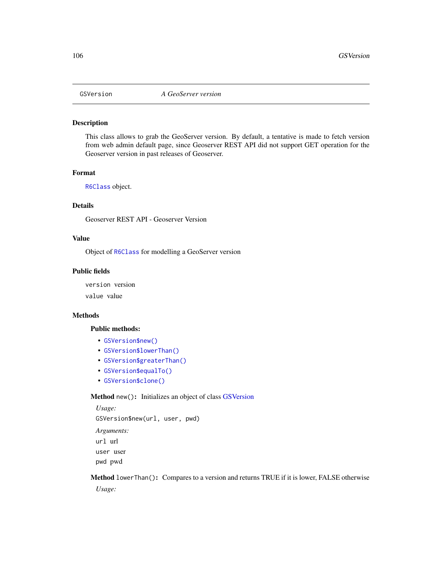<span id="page-105-1"></span>

# Description

This class allows to grab the GeoServer version. By default, a tentative is made to fetch version from web admin default page, since Geoserver REST API did not support GET operation for the Geoserver version in past releases of Geoserver.

#### Format

[R6Class](#page-0-0) object.

#### Details

Geoserver REST API - Geoserver Version

## Value

Object of [R6Class](#page-0-0) for modelling a GeoServer version

## Public fields

version version value value

#### **Methods**

#### Public methods:

- [GSVersion\\$new\(\)](#page-3-0)
- [GSVersion\\$lowerThan\(\)](#page-105-0)
- [GSVersion\\$greaterThan\(\)](#page-106-0)
- [GSVersion\\$equalTo\(\)](#page-106-1)
- [GSVersion\\$clone\(\)](#page-4-0)

# Method new(): Initializes an object of class [GSVersion](#page-105-1)

*Usage:* GSVersion\$new(url, user, pwd) *Arguments:* url url user user pwd pwd

<span id="page-105-0"></span>Method lowerThan(): Compares to a version and returns TRUE if it is lower, FALSE otherwise *Usage:*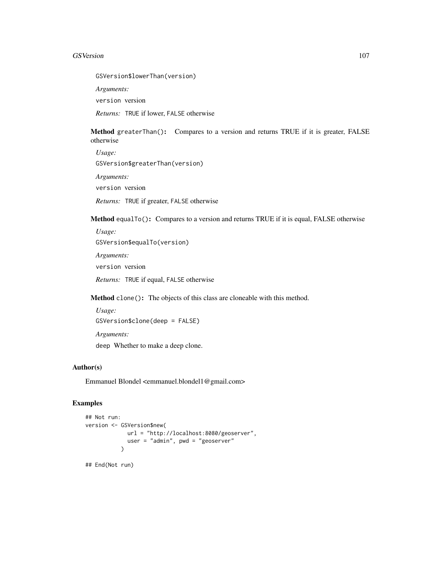#### GSVersion 107

GSVersion\$lowerThan(version)

*Arguments:*

version version

*Returns:* TRUE if lower, FALSE otherwise

<span id="page-106-0"></span>Method greaterThan(): Compares to a version and returns TRUE if it is greater, FALSE otherwise

*Usage:* GSVersion\$greaterThan(version) *Arguments:* version version *Returns:* TRUE if greater, FALSE otherwise

<span id="page-106-1"></span>Method equalTo(): Compares to a version and returns TRUE if it is equal, FALSE otherwise

*Usage:* GSVersion\$equalTo(version) *Arguments:* version version *Returns:* TRUE if equal, FALSE otherwise

Method clone(): The objects of this class are cloneable with this method.

*Usage:* GSVersion\$clone(deep = FALSE) *Arguments:* deep Whether to make a deep clone.

## Author(s)

Emmanuel Blondel <emmanuel.blondel1@gmail.com>

# Examples

```
## Not run:
version <- GSVersion$new(
             url = "http://localhost:8080/geoserver",
             user = "admin", pwd = "geoserver"\mathcal{L}
```
## End(Not run)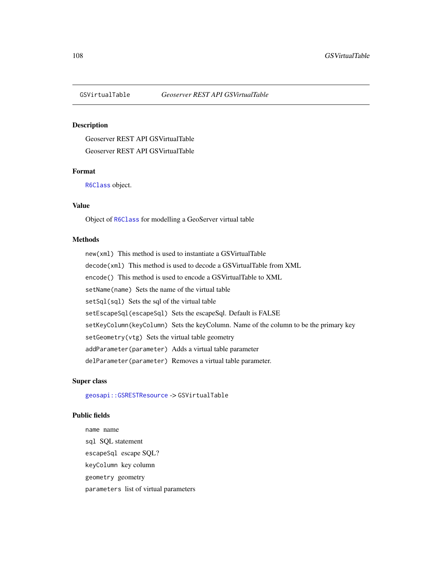## Description

Geoserver REST API GSVirtualTable Geoserver REST API GSVirtualTable

## Format

[R6Class](#page-0-0) object.

## Value

Object of [R6Class](#page-0-0) for modelling a GeoServer virtual table

#### Methods

new(xml) This method is used to instantiate a GSVirtualTable decode(xml) This method is used to decode a GSVirtualTable from XML encode() This method is used to encode a GSVirtualTable to XML setName(name) Sets the name of the virtual table setSql(sql) Sets the sql of the virtual table setEscapeSql(escapeSql) Sets the escapeSql. Default is FALSE setKeyColumn(keyColumn) Sets the keyColumn. Name of the column to be the primary key setGeometry(vtg) Sets the virtual table geometry addParameter(parameter) Adds a virtual table parameter delParameter(parameter) Removes a virtual table parameter.

# Super class

[geosapi::GSRESTResource](#page-0-0) -> GSVirtualTable

## Public fields

name name sql SQL statement escapeSql escape SQL? keyColumn key column geometry geometry parameters list of virtual parameters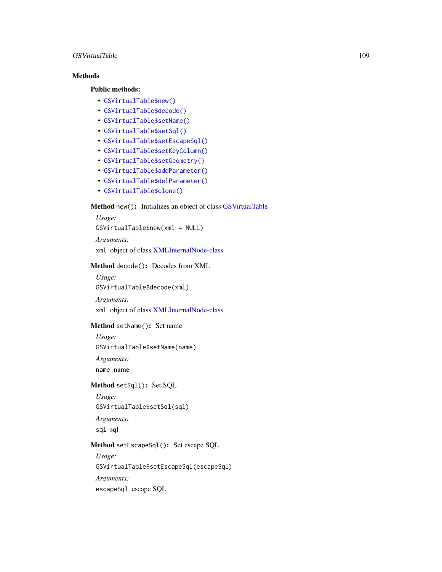#### <span id="page-108-3"></span>GSVirtualTable 109

# Methods

#### Public methods:

- [GSVirtualTable\\$new\(\)](#page-3-0)
- [GSVirtualTable\\$decode\(\)](#page-3-1)
- [GSVirtualTable\\$setName\(\)](#page-17-0)
- [GSVirtualTable\\$setSql\(\)](#page-108-0)
- [GSVirtualTable\\$setEscapeSql\(\)](#page-108-1)
- [GSVirtualTable\\$setKeyColumn\(\)](#page-108-2)
- [GSVirtualTable\\$setGeometry\(\)](#page-109-0)
- [GSVirtualTable\\$addParameter\(\)](#page-109-1)
- [GSVirtualTable\\$delParameter\(\)](#page-109-2)
- [GSVirtualTable\\$clone\(\)](#page-4-0)

# Method new(): Initializes an object of class [GSVirtualTable](#page-107-0)

*Usage:* GSVirtualTable\$new(xml = NULL)

*Arguments:*

xml object of class [XMLInternalNode-class](#page-0-0)

# Method decode(): Decodes from XML

*Usage:* GSVirtualTable\$decode(xml)

*Arguments:*

xml object of class [XMLInternalNode-class](#page-0-0)

# Method setName(): Set name

*Usage:* GSVirtualTable\$setName(name)

*Arguments:*

name name

# <span id="page-108-0"></span>Method setSql(): Set SQL

*Usage:*

GSVirtualTable\$setSql(sql)

*Arguments:*

sql sql

# <span id="page-108-1"></span>Method setEscapeSql(): Set escape SQL

*Usage:*

GSVirtualTable\$setEscapeSql(escapeSql)

*Arguments:*

<span id="page-108-2"></span>escapeSql escape SQL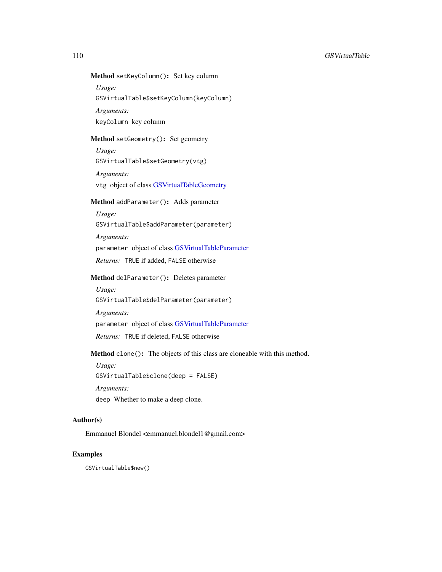# <span id="page-109-3"></span>Method setKeyColumn(): Set key column

*Usage:*

GSVirtualTable\$setKeyColumn(keyColumn)

*Arguments:* keyColumn key column

# <span id="page-109-0"></span>Method setGeometry(): Set geometry

*Usage:* GSVirtualTable\$setGeometry(vtg)

*Arguments:*

vtg object of class [GSVirtualTableGeometry](#page-110-0)

# <span id="page-109-1"></span>Method addParameter(): Adds parameter

*Usage:* GSVirtualTable\$addParameter(parameter) *Arguments:* parameter object of class [GSVirtualTableParameter](#page-111-0) *Returns:* TRUE if added, FALSE otherwise

# <span id="page-109-2"></span>Method delParameter(): Deletes parameter

*Usage:* GSVirtualTable\$delParameter(parameter)

*Arguments:*

parameter object of class [GSVirtualTableParameter](#page-111-0)

*Returns:* TRUE if deleted, FALSE otherwise

Method clone(): The objects of this class are cloneable with this method.

*Usage:*

GSVirtualTable\$clone(deep = FALSE)

*Arguments:*

deep Whether to make a deep clone.

#### Author(s)

Emmanuel Blondel <emmanuel.blondel1@gmail.com>

# Examples

GSVirtualTable\$new()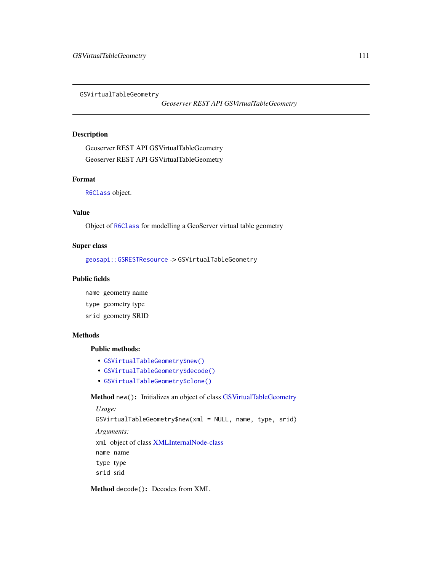<span id="page-110-1"></span><span id="page-110-0"></span>GSVirtualTableGeometry

*Geoserver REST API GSVirtualTableGeometry*

#### Description

Geoserver REST API GSVirtualTableGeometry Geoserver REST API GSVirtualTableGeometry

#### Format

[R6Class](#page-0-0) object.

# Value

Object of [R6Class](#page-0-0) for modelling a GeoServer virtual table geometry

#### Super class

[geosapi::GSRESTResource](#page-0-0) -> GSVirtualTableGeometry

#### Public fields

name geometry name

- type geometry type
- srid geometry SRID

#### Methods

#### Public methods:

- [GSVirtualTableGeometry\\$new\(\)](#page-3-0)
- [GSVirtualTableGeometry\\$decode\(\)](#page-3-1)
- [GSVirtualTableGeometry\\$clone\(\)](#page-4-0)

# Method new(): Initializes an object of class [GSVirtualTableGeometry](#page-110-0)

```
Usage:
GSVirtualTableGeometry$new(xml = NULL, name, type, srid)
Arguments:
xml object of class XMLInternalNode-class
name name
type type
srid srid
```
Method decode(): Decodes from XML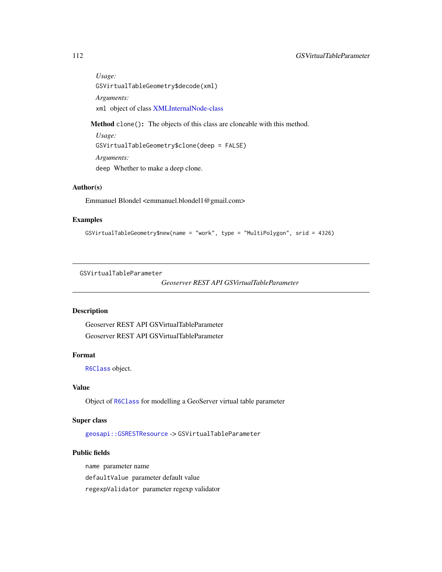<span id="page-111-1"></span>*Usage:* GSVirtualTableGeometry\$decode(xml) *Arguments:* xml object of class [XMLInternalNode-class](#page-0-0)

Method clone(): The objects of this class are cloneable with this method.

*Usage:* GSVirtualTableGeometry\$clone(deep = FALSE) *Arguments:* deep Whether to make a deep clone.

# Author(s)

Emmanuel Blondel <emmanuel.blondel1@gmail.com>

# Examples

```
GSVirtualTableGeometry$new(name = "work", type = "MultiPolygon", srid = 4326)
```
<span id="page-111-0"></span>GSVirtualTableParameter

```
Geoserver REST API GSVirtualTableParameter
```
# Description

Geoserver REST API GSVirtualTableParameter Geoserver REST API GSVirtualTableParameter

# Format

[R6Class](#page-0-0) object.

# Value

Object of [R6Class](#page-0-0) for modelling a GeoServer virtual table parameter

#### Super class

[geosapi::GSRESTResource](#page-0-0) -> GSVirtualTableParameter

# Public fields

name parameter name defaultValue parameter default value regexpValidator parameter regexp validator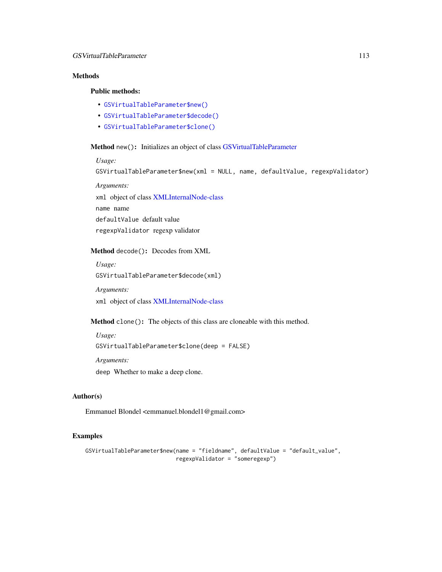# <span id="page-112-0"></span>Methods

# Public methods:

- [GSVirtualTableParameter\\$new\(\)](#page-3-0)
- [GSVirtualTableParameter\\$decode\(\)](#page-3-1)
- [GSVirtualTableParameter\\$clone\(\)](#page-4-0)

Method new(): Initializes an object of class [GSVirtualTableParameter](#page-111-0)

*Usage:* GSVirtualTableParameter\$new(xml = NULL, name, defaultValue, regexpValidator) *Arguments:* xml object of class [XMLInternalNode-class](#page-0-0) name name defaultValue default value regexpValidator regexp validator

Method decode(): Decodes from XML

*Usage:*

GSVirtualTableParameter\$decode(xml)

*Arguments:*

xml object of class [XMLInternalNode-class](#page-0-0)

Method clone(): The objects of this class are cloneable with this method.

*Usage:* GSVirtualTableParameter\$clone(deep = FALSE) *Arguments:* deep Whether to make a deep clone.

#### Author(s)

Emmanuel Blondel <emmanuel.blondel1@gmail.com>

#### Examples

```
GSVirtualTableParameter$new(name = "fieldname", defaultValue = "default_value",
                           regexpValidator = "someregexp")
```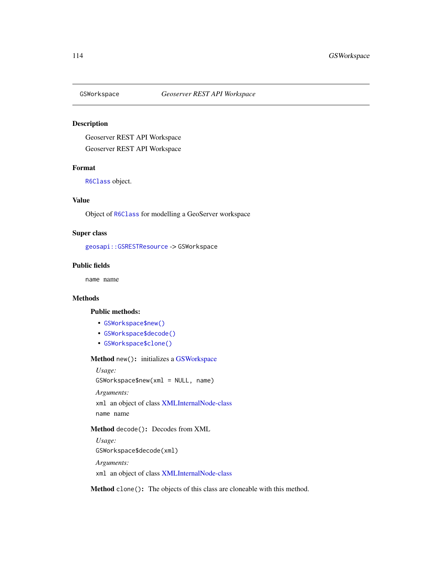<span id="page-113-1"></span><span id="page-113-0"></span>

# Description

Geoserver REST API Workspace Geoserver REST API Workspace

#### Format

[R6Class](#page-0-0) object.

# Value

Object of [R6Class](#page-0-0) for modelling a GeoServer workspace

# Super class

[geosapi::GSRESTResource](#page-0-0) -> GSWorkspace

# Public fields

name name

# Methods

#### Public methods:

- [GSWorkspace\\$new\(\)](#page-3-0)
- [GSWorkspace\\$decode\(\)](#page-3-1)
- [GSWorkspace\\$clone\(\)](#page-4-0)

Method new(): initializes a [GSWorkspace](#page-113-0)

*Usage:*

GSWorkspace\$new(xml = NULL, name)

*Arguments:*

xml an object of class [XMLInternalNode-class](#page-0-0) name name

# Method decode(): Decodes from XML

*Usage:* GSWorkspace\$decode(xml) *Arguments:* xml an object of class [XMLInternalNode-class](#page-0-0)

Method clone(): The objects of this class are cloneable with this method.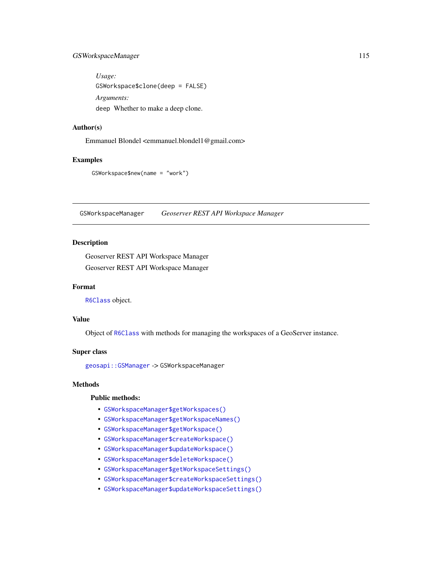# <span id="page-114-0"></span>GSWorkspaceManager 115

*Usage:* GSWorkspace\$clone(deep = FALSE) *Arguments:* deep Whether to make a deep clone.

# Author(s)

Emmanuel Blondel <emmanuel.blondel1@gmail.com>

#### Examples

```
GSWorkspace$new(name = "work")
```
GSWorkspaceManager *Geoserver REST API Workspace Manager*

# Description

Geoserver REST API Workspace Manager Geoserver REST API Workspace Manager

#### Format

[R6Class](#page-0-0) object.

# Value

Object of [R6Class](#page-0-0) with methods for managing the workspaces of a GeoServer instance.

#### Super class

[geosapi::GSManager](#page-0-0) -> GSWorkspaceManager

# Methods

# Public methods:

- [GSWorkspaceManager\\$getWorkspaces\(\)](#page-115-0)
- [GSWorkspaceManager\\$getWorkspaceNames\(\)](#page-115-1)
- [GSWorkspaceManager\\$getWorkspace\(\)](#page-115-2)
- [GSWorkspaceManager\\$createWorkspace\(\)](#page-115-3)
- [GSWorkspaceManager\\$updateWorkspace\(\)](#page-115-4)
- [GSWorkspaceManager\\$deleteWorkspace\(\)](#page-116-0)
- [GSWorkspaceManager\\$getWorkspaceSettings\(\)](#page-116-1)
- [GSWorkspaceManager\\$createWorkspaceSettings\(\)](#page-116-2)
- [GSWorkspaceManager\\$updateWorkspaceSettings\(\)](#page-116-3)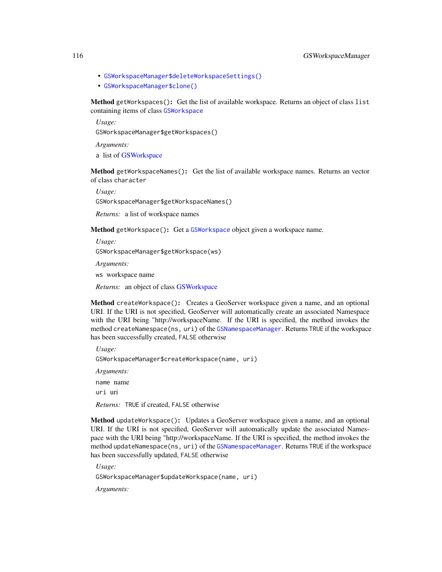- <span id="page-115-5"></span>• [GSWorkspaceManager\\$deleteWorkspaceSettings\(\)](#page-116-4)
- [GSWorkspaceManager\\$clone\(\)](#page-4-0)

<span id="page-115-0"></span>Method getWorkspaces(): Get the list of available workspace. Returns an object of class list containing items of class [GSWorkspace](#page-113-0)

*Usage:*

GSWorkspaceManager\$getWorkspaces()

*Arguments:*

a list of [GSWorkspace](#page-113-0)

<span id="page-115-1"></span>Method getWorkspaceNames(): Get the list of available workspace names. Returns an vector of class character

*Usage:*

GSWorkspaceManager\$getWorkspaceNames()

*Returns:* a list of workspace names

<span id="page-115-2"></span>Method getWorkspace(): Get a [GSWorkspace](#page-113-0) object given a workspace name.

*Usage:* GSWorkspaceManager\$getWorkspace(ws)

*Arguments:*

ws workspace name

*Returns:* an object of class [GSWorkspace](#page-113-0)

<span id="page-115-3"></span>Method createWorkspace(): Creates a GeoServer workspace given a name, and an optional URI. If the URI is not specified, GeoServer will automatically create an associated Namespace with the URI being "http://workspaceName. If the URI is specified, the method invokes the method createNamespace(ns, uri) of the [GSNamespaceManager](#page-69-0). Returns TRUE if the workspace has been successfully created, FALSE otherwise

*Usage:* GSWorkspaceManager\$createWorkspace(name, uri) *Arguments:* name name uri uri *Returns:* TRUE if created, FALSE otherwise

<span id="page-115-4"></span>Method updateWorkspace(): Updates a GeoServer workspace given a name, and an optional URI. If the URI is not specified, GeoServer will automatically update the associated Namespace with the URI being "http://workspaceName. If the URI is specified, the method invokes the method updateNamespace(ns, uri) of the [GSNamespaceManager](#page-69-0). Returns TRUE if the workspace has been successfully updated, FALSE otherwise

*Usage:*

GSWorkspaceManager\$updateWorkspace(name, uri)

*Arguments:*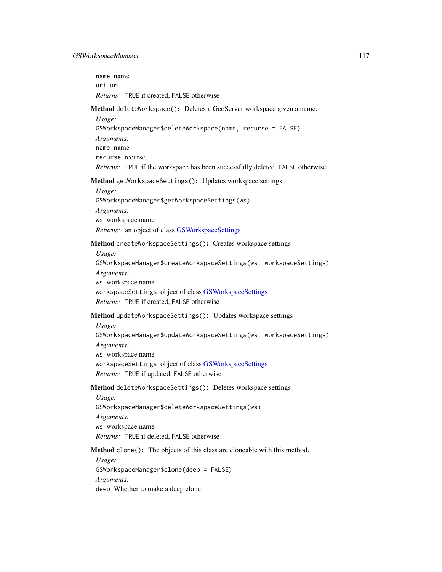<span id="page-116-5"></span>name name uri uri *Returns:* TRUE if created, FALSE otherwise

#### <span id="page-116-0"></span>Method deleteWorkspace(): Deletes a GeoServer workspace given a name.

*Usage:* GSWorkspaceManager\$deleteWorkspace(name, recurse = FALSE) *Arguments:* name name recurse recurse *Returns:* TRUE if the workspace has been successfully deleted, FALSE otherwise

#### <span id="page-116-1"></span>Method getWorkspaceSettings(): Updates workspace settings

*Usage:* GSWorkspaceManager\$getWorkspaceSettings(ws) *Arguments:* ws workspace name *Returns:* an object of class [GSWorkspaceSettings](#page-117-0)

<span id="page-116-2"></span>Method createWorkspaceSettings(): Creates workspace settings

*Usage:*

GSWorkspaceManager\$createWorkspaceSettings(ws, workspaceSettings) *Arguments:* ws workspace name workspaceSettings object of class [GSWorkspaceSettings](#page-117-0) *Returns:* TRUE if created, FALSE otherwise

#### <span id="page-116-3"></span>Method updateWorkspaceSettings(): Updates workspace settings

*Usage:*

GSWorkspaceManager\$updateWorkspaceSettings(ws, workspaceSettings) *Arguments:* ws workspace name

workspaceSettings object of class [GSWorkspaceSettings](#page-117-0)

*Returns:* TRUE if updated, FALSE otherwise

#### <span id="page-116-4"></span>Method deleteWorkspaceSettings(): Deletes workspace settings

*Usage:* GSWorkspaceManager\$deleteWorkspaceSettings(ws) *Arguments:* ws workspace name *Returns:* TRUE if deleted, FALSE otherwise

Method clone(): The objects of this class are cloneable with this method.

*Usage:* GSWorkspaceManager\$clone(deep = FALSE) *Arguments:* deep Whether to make a deep clone.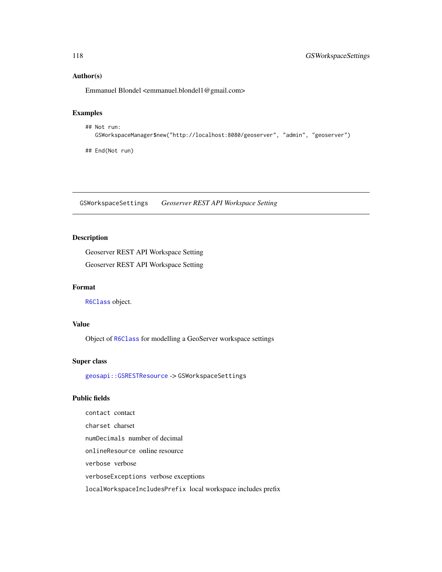# Author(s)

Emmanuel Blondel <emmanuel.blondel1@gmail.com>

# Examples

```
## Not run:
  GSWorkspaceManager$new("http://localhost:8080/geoserver", "admin", "geoserver")
```
## End(Not run)

<span id="page-117-0"></span>GSWorkspaceSettings *Geoserver REST API Workspace Setting*

# Description

Geoserver REST API Workspace Setting Geoserver REST API Workspace Setting

#### Format

[R6Class](#page-0-0) object.

# Value

Object of [R6Class](#page-0-0) for modelling a GeoServer workspace settings

#### Super class

[geosapi::GSRESTResource](#page-0-0) -> GSWorkspaceSettings

#### Public fields

contact contact charset charset numDecimals number of decimal onlineResource online resource verbose verbose verboseExceptions verbose exceptions localWorkspaceIncludesPrefix local workspace includes prefix

<span id="page-117-1"></span>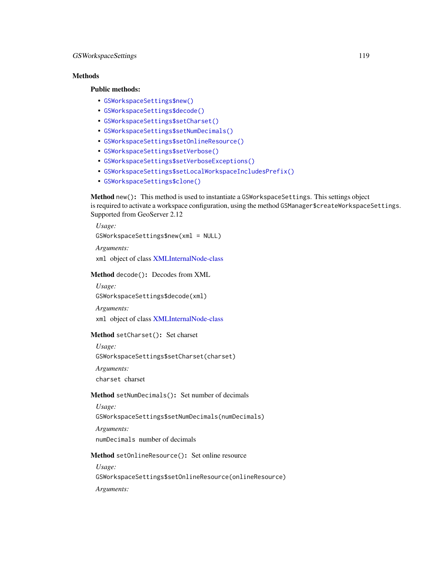# <span id="page-118-2"></span>**Methods**

#### Public methods:

- [GSWorkspaceSettings\\$new\(\)](#page-3-0)
- [GSWorkspaceSettings\\$decode\(\)](#page-3-1)
- [GSWorkspaceSettings\\$setCharset\(\)](#page-96-0)
- [GSWorkspaceSettings\\$setNumDecimals\(\)](#page-118-0)
- [GSWorkspaceSettings\\$setOnlineResource\(\)](#page-118-1)
- [GSWorkspaceSettings\\$setVerbose\(\)](#page-119-0)
- [GSWorkspaceSettings\\$setVerboseExceptions\(\)](#page-119-1)
- [GSWorkspaceSettings\\$setLocalWorkspaceIncludesPrefix\(\)](#page-119-2)
- [GSWorkspaceSettings\\$clone\(\)](#page-4-0)

Method new(): This method is used to instantiate a GSWorkspaceSettings. This settings object is required to activate a workspace configuration, using the method GSManager\$createWorkspaceSettings. Supported from GeoServer 2.12

*Usage:* GSWorkspaceSettings\$new(xml = NULL) *Arguments:*

xml object of class [XMLInternalNode-class](#page-0-0)

Method decode(): Decodes from XML

*Usage:*

GSWorkspaceSettings\$decode(xml)

*Arguments:*

xml object of class [XMLInternalNode-class](#page-0-0)

# Method setCharset(): Set charset

*Usage:*

GSWorkspaceSettings\$setCharset(charset)

*Arguments:*

charset charset

#### <span id="page-118-0"></span>Method setNumDecimals(): Set number of decimals

*Usage:*

GSWorkspaceSettings\$setNumDecimals(numDecimals)

*Arguments:* numDecimals number of decimals

<span id="page-118-1"></span>Method setOnlineResource(): Set online resource

*Usage:*

GSWorkspaceSettings\$setOnlineResource(onlineResource)

*Arguments:*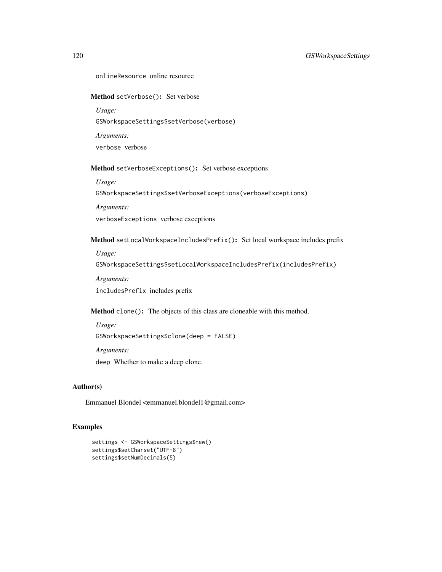# <span id="page-119-0"></span>Method setVerbose(): Set verbose

*Usage:* GSWorkspaceSettings\$setVerbose(verbose)

*Arguments:* verbose verbose

<span id="page-119-1"></span>Method setVerboseExceptions(): Set verbose exceptions

*Usage:*

GSWorkspaceSettings\$setVerboseExceptions(verboseExceptions)

*Arguments:*

verboseExceptions verbose exceptions

<span id="page-119-2"></span>Method setLocalWorkspaceIncludesPrefix(): Set local workspace includes prefix

*Usage:*

GSWorkspaceSettings\$setLocalWorkspaceIncludesPrefix(includesPrefix)

*Arguments:*

includesPrefix includes prefix

Method clone(): The objects of this class are cloneable with this method.

*Usage:* GSWorkspaceSettings\$clone(deep = FALSE) *Arguments:* deep Whether to make a deep clone.

# Author(s)

Emmanuel Blondel <emmanuel.blondel1@gmail.com>

# Examples

```
settings <- GSWorkspaceSettings$new()
settings$setCharset("UTF-8")
settings$setNumDecimals(5)
```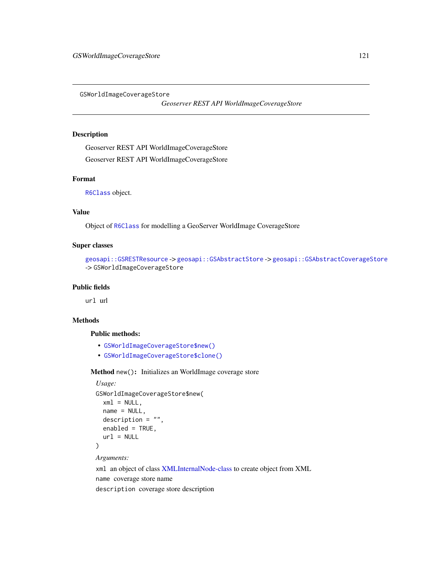<span id="page-120-0"></span>GSWorldImageCoverageStore

*Geoserver REST API WorldImageCoverageStore*

#### Description

Geoserver REST API WorldImageCoverageStore

Geoserver REST API WorldImageCoverageStore

# Format

[R6Class](#page-0-0) object.

# Value

Object of [R6Class](#page-0-0) for modelling a GeoServer WorldImage CoverageStore

#### Super classes

```
geosapi::GSRESTResource -> geosapi::GSAbstractStore -> geosapi::GSAbstractCoverageStore
-> GSWorldImageCoverageStore
```
#### Public fields

url url

#### Methods

#### Public methods:

- [GSWorldImageCoverageStore\\$new\(\)](#page-3-0)
- [GSWorldImageCoverageStore\\$clone\(\)](#page-4-0)

Method new(): Initializes an WorldImage coverage store

```
Usage:
GSWorldImageCoverageStore$new(
 xml = NULL,name = NULL,description = "",
 enabled = TRUE,
  url = NULL)
```
*Arguments:*

xml an object of class [XMLInternalNode-class](#page-0-0) to create object from XML name coverage store name description coverage store description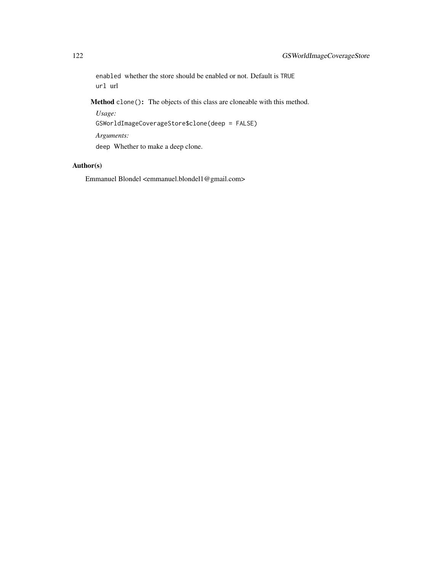enabled whether the store should be enabled or not. Default is TRUE url url

Method clone(): The objects of this class are cloneable with this method.

*Usage:* GSWorldImageCoverageStore\$clone(deep = FALSE) *Arguments:* deep Whether to make a deep clone.

# Author(s)

Emmanuel Blondel <emmanuel.blondel1@gmail.com>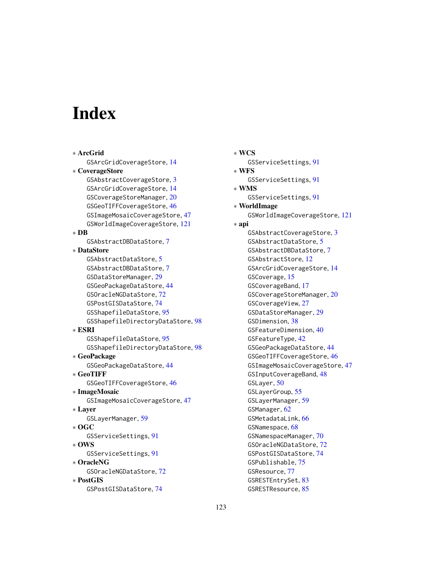# **Index**

∗ ArcGrid GSArcGridCoverageStore, [14](#page-13-0) ∗ CoverageStore GSAbstractCoverageStore, [3](#page-2-0) GSArcGridCoverageStore, [14](#page-13-0) GSCoverageStoreManager, [20](#page-19-0) GSGeoTIFFCoverageStore, [46](#page-45-0) GSImageMosaicCoverageStore, [47](#page-46-0) GSWorldImageCoverageStore, [121](#page-120-0) ∗ DB GSAbstractDBDataStore, [7](#page-6-0) ∗ DataStore GSAbstractDataStore, [5](#page-4-1) GSAbstractDBDataStore, [7](#page-6-0) GSDataStoreManager, [29](#page-28-0) GSGeoPackageDataStore, [44](#page-43-0) GSOracleNGDataStore, [72](#page-71-0) GSPostGISDataStore, [74](#page-73-0) GSShapefileDataStore, [95](#page-94-0) GSShapefileDirectoryDataStore, [98](#page-97-0) ∗ ESRI GSShapefileDataStore, [95](#page-94-0) GSShapefileDirectoryDataStore, [98](#page-97-0) ∗ GeoPackage GSGeoPackageDataStore, [44](#page-43-0) ∗ GeoTIFF GSGeoTIFFCoverageStore, [46](#page-45-0) ∗ ImageMosaic GSImageMosaicCoverageStore, [47](#page-46-0) ∗ Layer GSLayerManager, [59](#page-58-0) ∗ OGC GSServiceSettings, [91](#page-90-0) ∗ OWS GSServiceSettings, [91](#page-90-0) ∗ OracleNG GSOracleNGDataStore, [72](#page-71-0) ∗ PostGIS GSPostGISDataStore, [74](#page-73-0)

∗ WCS GSServiceSettings, [91](#page-90-0) ∗ WFS GSServiceSettings, [91](#page-90-0) ∗ WMS GSServiceSettings, [91](#page-90-0) ∗ WorldImage GSWorldImageCoverageStore, [121](#page-120-0) ∗ api GSAbstractCoverageStore, [3](#page-2-0) GSAbstractDataStore, [5](#page-4-1) GSAbstractDBDataStore, [7](#page-6-0) GSAbstractStore, [12](#page-11-0) GSArcGridCoverageStore, [14](#page-13-0) GSCoverage, [15](#page-14-0) GSCoverageBand, [17](#page-16-0) GSCoverageStoreManager, [20](#page-19-0) GSCoverageView, [27](#page-26-0) GSDataStoreManager, [29](#page-28-0) GSDimension, [38](#page-37-0) GSFeatureDimension, [40](#page-39-0) GSFeatureType, [42](#page-41-0) GSGeoPackageDataStore, [44](#page-43-0) GSGeoTIFFCoverageStore, [46](#page-45-0) GSImageMosaicCoverageStore, [47](#page-46-0) GSInputCoverageBand, [48](#page-47-0) GSLayer, [50](#page-49-0) GSLayerGroup, [55](#page-54-0) GSLayerManager, [59](#page-58-0) GSManager, [62](#page-61-0) GSMetadataLink, [66](#page-65-0) GSNamespace, [68](#page-67-0) GSNamespaceManager, [70](#page-69-1) GSOracleNGDataStore, [72](#page-71-0) GSPostGISDataStore, [74](#page-73-0) GSPublishable, [75](#page-74-0) GSResource, [77](#page-76-0) GSRESTEntrySet, [83](#page-82-0) GSRESTResource, [85](#page-84-0)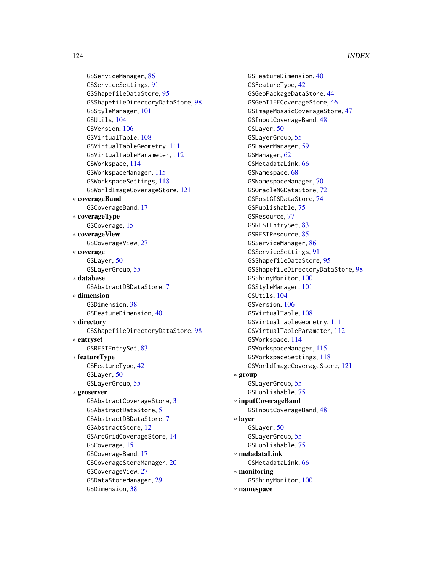GSServiceManager, [86](#page-85-0) GSServiceSettings, [91](#page-90-0) GSShapefileDataStore, [95](#page-94-0) GSShapefileDirectoryDataStore, [98](#page-97-0) GSStyleManager, [101](#page-100-0) GSUtils, [104](#page-103-0) GSVersion, [106](#page-105-0) GSVirtualTable, [108](#page-107-1) GSVirtualTableGeometry, [111](#page-110-1) GSVirtualTableParameter, [112](#page-111-1) GSWorkspace, [114](#page-113-1) GSWorkspaceManager, [115](#page-114-0) GSWorkspaceSettings, [118](#page-117-1) GSWorldImageCoverageStore, [121](#page-120-0) ∗ coverageBand GSCoverageBand, [17](#page-16-0) ∗ coverageType GSCoverage, [15](#page-14-0) ∗ coverageView GSCoverageView, [27](#page-26-0) ∗ coverage GSLayer, [50](#page-49-0) GSLayerGroup, [55](#page-54-0) ∗ database GSAbstractDBDataStore, [7](#page-6-0) ∗ dimension GSDimension, [38](#page-37-0) GSFeatureDimension, [40](#page-39-0) ∗ directory GSShapefileDirectoryDataStore, [98](#page-97-0) ∗ entryset GSRESTEntrySet, [83](#page-82-0) ∗ featureType GSFeatureType, [42](#page-41-0) GSLayer, [50](#page-49-0) GSLayerGroup, [55](#page-54-0) ∗ geoserver GSAbstractCoverageStore, [3](#page-2-0) GSAbstractDataStore, [5](#page-4-1) GSAbstractDBDataStore, [7](#page-6-0) GSAbstractStore, [12](#page-11-0) GSArcGridCoverageStore, [14](#page-13-0) GSCoverage, [15](#page-14-0) GSCoverageBand, [17](#page-16-0) GSCoverageStoreManager, [20](#page-19-0) GSCoverageView, [27](#page-26-0) GSDataStoreManager, [29](#page-28-0)

GSDimension, [38](#page-37-0)

GSFeatureDimension, [40](#page-39-0) GSFeatureType, [42](#page-41-0) GSGeoPackageDataStore, [44](#page-43-0) GSGeoTIFFCoverageStore, [46](#page-45-0) GSImageMosaicCoverageStore, [47](#page-46-0) GSInputCoverageBand, [48](#page-47-0) GSLayer, [50](#page-49-0) GSLayerGroup, [55](#page-54-0) GSLayerManager, [59](#page-58-0) GSManager, [62](#page-61-0) GSMetadataLink, [66](#page-65-0) GSNamespace, [68](#page-67-0) GSNamespaceManager, [70](#page-69-1) GSOracleNGDataStore, [72](#page-71-0) GSPostGISDataStore, [74](#page-73-0) GSPublishable, [75](#page-74-0) GSResource, [77](#page-76-0) GSRESTEntrySet, [83](#page-82-0) GSRESTResource, [85](#page-84-0) GSServiceManager, [86](#page-85-0) GSServiceSettings, [91](#page-90-0) GSShapefileDataStore, [95](#page-94-0) GSShapefileDirectoryDataStore, [98](#page-97-0) GSShinyMonitor, [100](#page-99-0) GSStyleManager, [101](#page-100-0) GSUtils, [104](#page-103-0) GSVersion, [106](#page-105-0) GSVirtualTable, [108](#page-107-1) GSVirtualTableGeometry, [111](#page-110-1) GSVirtualTableParameter, [112](#page-111-1) GSWorkspace, [114](#page-113-1) GSWorkspaceManager, [115](#page-114-0) GSWorkspaceSettings, [118](#page-117-1) GSWorldImageCoverageStore, [121](#page-120-0) ∗ group GSLayerGroup, [55](#page-54-0) GSPublishable, [75](#page-74-0) ∗ inputCoverageBand GSInputCoverageBand, [48](#page-47-0) ∗ layer GSLayer, [50](#page-49-0) GSLayerGroup, [55](#page-54-0) GSPublishable, [75](#page-74-0) ∗ metadataLink GSMetadataLink, [66](#page-65-0) ∗ monitoring GSShinyMonitor, [100](#page-99-0) ∗ namespace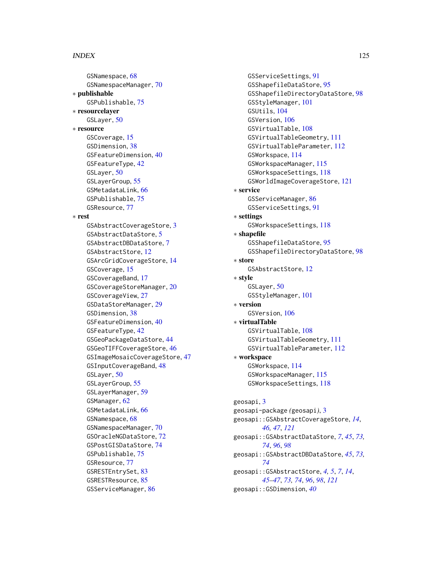#### INDEX 125

GSNamespace, [68](#page-67-0) GSNamespaceManager, [70](#page-69-1) ∗ publishable GSPublishable, [75](#page-74-0) ∗ resourcelayer GSLayer, [50](#page-49-0) ∗ resource GSCoverage, [15](#page-14-0) GSDimension, [38](#page-37-0) GSFeatureDimension, [40](#page-39-0) GSFeatureType, [42](#page-41-0) GSLayer, [50](#page-49-0) GSLayerGroup, [55](#page-54-0) GSMetadataLink, [66](#page-65-0) GSPublishable, [75](#page-74-0) GSResource, [77](#page-76-0) ∗ rest GSAbstractCoverageStore, [3](#page-2-0) GSAbstractDataStore, [5](#page-4-1) GSAbstractDBDataStore, [7](#page-6-0) GSAbstractStore, [12](#page-11-0) GSArcGridCoverageStore, [14](#page-13-0) GSCoverage, [15](#page-14-0) GSCoverageBand, [17](#page-16-0) GSCoverageStoreManager, [20](#page-19-0) GSCoverageView, [27](#page-26-0) GSDataStoreManager, [29](#page-28-0) GSDimension, [38](#page-37-0) GSFeatureDimension, [40](#page-39-0) GSFeatureType, [42](#page-41-0) GSGeoPackageDataStore, [44](#page-43-0) GSGeoTIFFCoverageStore, [46](#page-45-0) GSImageMosaicCoverageStore, [47](#page-46-0) GSInputCoverageBand, [48](#page-47-0) GSLayer, [50](#page-49-0) GSLayerGroup, [55](#page-54-0) GSLayerManager, [59](#page-58-0) GSManager, [62](#page-61-0) GSMetadataLink, [66](#page-65-0) GSNamespace, [68](#page-67-0) GSNamespaceManager, [70](#page-69-1) GSOracleNGDataStore, [72](#page-71-0) GSPostGISDataStore, [74](#page-73-0) GSPublishable, [75](#page-74-0) GSResource, [77](#page-76-0) GSRESTEntrySet, [83](#page-82-0) GSRESTResource, [85](#page-84-0) GSServiceManager, [86](#page-85-0)

GSServiceSettings, [91](#page-90-0) GSShapefileDataStore, [95](#page-94-0) GSShapefileDirectoryDataStore, [98](#page-97-0) GSStyleManager, [101](#page-100-0) GSUtils, [104](#page-103-0) GSVersion, [106](#page-105-0) GSVirtualTable, [108](#page-107-1) GSVirtualTableGeometry, [111](#page-110-1) GSVirtualTableParameter, [112](#page-111-1) GSWorkspace, [114](#page-113-1) GSWorkspaceManager, [115](#page-114-0) GSWorkspaceSettings, [118](#page-117-1) GSWorldImageCoverageStore, [121](#page-120-0) ∗ service GSServiceManager, [86](#page-85-0) GSServiceSettings, [91](#page-90-0) ∗ settings GSWorkspaceSettings, [118](#page-117-1) ∗ shapefile GSShapefileDataStore, [95](#page-94-0) GSShapefileDirectoryDataStore, [98](#page-97-0) ∗ store GSAbstractStore, [12](#page-11-0) ∗ style GSLayer, [50](#page-49-0) GSStyleManager, [101](#page-100-0) ∗ version GSVersion, [106](#page-105-0) ∗ virtualTable GSVirtualTable, [108](#page-107-1) GSVirtualTableGeometry, [111](#page-110-1) GSVirtualTableParameter, [112](#page-111-1) ∗ workspace GSWorkspace, [114](#page-113-1) GSWorkspaceManager, [115](#page-114-0) GSWorkspaceSettings, [118](#page-117-1) geosapi, [3](#page-2-0) geosapi-package *(*geosapi*)*, [3](#page-2-0) geosapi::GSAbstractCoverageStore, *[14](#page-13-0)*, *[46,](#page-45-0) [47](#page-46-0)*, *[121](#page-120-0)* geosapi::GSAbstractDataStore, *[7](#page-6-0)*, *[45](#page-44-0)*, *[73,](#page-72-0) [74](#page-73-0)*, *[96](#page-95-0)*, *[98](#page-97-0)* geosapi::GSAbstractDBDataStore, *[45](#page-44-0)*, *[73,](#page-72-0) [74](#page-73-0)* geosapi::GSAbstractStore, *[4,](#page-3-2) [5](#page-4-1)*, *[7](#page-6-0)*, *[14](#page-13-0)*, *[45](#page-44-0)[–47](#page-46-0)*, *[73,](#page-72-0) [74](#page-73-0)*, *[96](#page-95-0)*, *[98](#page-97-0)*, *[121](#page-120-0)* geosapi::GSDimension, *[40](#page-39-0)*